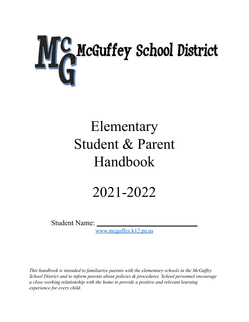

# Elementary Student & Parent Handbook

# 2021-2022

Student Name:

[www.mcguffey.k12.pa.us](http://www.mcguffey.k12.pa.us)

*This handbook is intended to familiarize parents with the elementary schools in the McGuffey School District and to inform parents about policies & procedures. School personnel encourage a close working relationship with the home to provide a positive and relevant learning experience for every child.*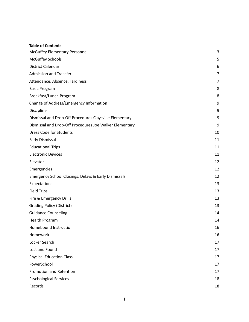### **Table of Contents**

| McGuffey Elementary Personnel                           | 3              |
|---------------------------------------------------------|----------------|
| <b>McGuffey Schools</b>                                 | 5              |
| <b>District Calendar</b>                                | 6              |
| <b>Admission and Transfer</b>                           | $\overline{7}$ |
| Attendance, Absence, Tardiness                          | 7              |
| <b>Basic Program</b>                                    | 8              |
| Breakfast/Lunch Program                                 | 8              |
| Change of Address/Emergency Information                 | 9              |
| Discipline                                              | 9              |
| Dismissal and Drop-Off Procedures Claysville Elementary | 9              |
| Dismissal and Drop-Off Procedures Joe Walker Elementary | 9              |
| <b>Dress Code for Students</b>                          | 10             |
| Early Dismissal                                         | 11             |
| <b>Educational Trips</b>                                | 11             |
| <b>Electronic Devices</b>                               | 11             |
| Elevator                                                | 12             |
| Emergencies                                             | 12             |
| Emergency School Closings, Delays & Early Dismissals    | 12             |
| Expectations                                            | 13             |
| <b>Field Trips</b>                                      | 13             |
| Fire & Emergency Drills                                 | 13             |
| <b>Grading Policy (District)</b>                        | 13             |
| <b>Guidance Counseling</b>                              | 14             |
| Health Program                                          | 14             |
| <b>Homebound Instruction</b>                            | 16             |
| Homework                                                | 16             |
| Locker Search                                           | 17             |
| Lost and Found                                          | 17             |
| <b>Physical Education Class</b>                         | 17             |
| PowerSchool                                             | 17             |
| Promotion and Retention                                 | 17             |
| <b>Psychological Services</b>                           | 18             |
| Records                                                 | 18             |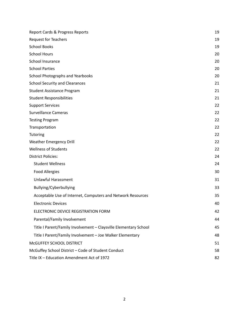| Report Cards & Progress Reports                                  | 19 |
|------------------------------------------------------------------|----|
| Request for Teachers                                             | 19 |
| <b>School Books</b>                                              | 19 |
| <b>School Hours</b>                                              | 20 |
| School Insurance                                                 | 20 |
| <b>School Parties</b>                                            | 20 |
| School Photographs and Yearbooks                                 | 20 |
| <b>School Security and Clearances</b>                            | 21 |
| <b>Student Assistance Program</b>                                | 21 |
| <b>Student Responsibilities</b>                                  | 21 |
| <b>Support Services</b>                                          | 22 |
| <b>Surveillance Cameras</b>                                      | 22 |
| <b>Testing Program</b>                                           | 22 |
| Transportation                                                   | 22 |
| Tutoring                                                         | 22 |
| <b>Weather Emergency Drill</b>                                   | 22 |
| <b>Wellness of Students</b>                                      | 22 |
| <b>District Policies:</b>                                        | 24 |
| <b>Student Wellness</b>                                          | 24 |
| <b>Food Allergies</b>                                            | 30 |
| <b>Unlawful Harassment</b>                                       | 31 |
| Bullying/Cyberbullying                                           | 33 |
| Acceptable Use of Internet, Computers and Network Resources      | 35 |
| <b>Electronic Devices</b>                                        | 40 |
| ELECTRONIC DEVICE REGISTRATION FORM                              | 42 |
| Parental/Family Involvement                                      | 44 |
| Title I Parent/Family Involvement - Claysville Elementary School | 45 |
| Title I Parent/Family Involvement - Joe Walker Elementary        | 48 |
| McGUFFEY SCHOOL DISTRICT                                         | 51 |
| McGuffey School District - Code of Student Conduct               | 58 |
| Title IX - Education Amendment Act of 1972                       | 82 |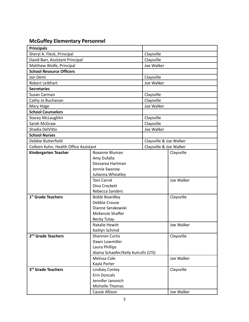# <span id="page-3-0"></span>**McGuffey Elementary Personnel**

| <b>Principals</b>                     |                                      |                         |            |
|---------------------------------------|--------------------------------------|-------------------------|------------|
| Sheryl A. Fleck, Principal            |                                      | Claysville              |            |
| David Barr, Assistant Principal       |                                      | Claysville              |            |
| Matthew Wolfe, Principal              |                                      | Joe Walker              |            |
| <b>School Resource Officers</b>       |                                      |                         |            |
| Jon Demi                              |                                      | Claysville              |            |
| Robert Leibhart                       |                                      | Joe Walker              |            |
| <b>Secretaries</b>                    |                                      |                         |            |
| Susan Carman                          |                                      | Claysville              |            |
| Cathy Jo Buchanan                     |                                      | Claysville              |            |
| Mary Hoge                             |                                      | Joe Walker              |            |
| <b>School Counselors</b>              |                                      |                         |            |
| <b>Stacey McLaughlin</b>              |                                      | Claysville              |            |
| Sarah McGraw                          |                                      | Claysville              |            |
| Shadia DelVitto                       |                                      | Joe Walker              |            |
| <b>School Nurses</b>                  |                                      |                         |            |
| Debbie Butterfield                    |                                      | Claysville & Joe Walker |            |
| Colleen Kuhn, Health Office Assistant |                                      | Claysville & Joe Walker |            |
| <b>Kindergarten Teacher</b>           | Roxanne Bluman                       |                         | Claysville |
|                                       | Amy Dufalla                          |                         |            |
|                                       | Dezzarea Hartman                     |                         |            |
|                                       | Jonnie Swarow                        |                         |            |
|                                       | Julianna Wheatley                    |                         |            |
|                                       | <b>Toni Carrol</b>                   |                         | Joe Walker |
|                                       | Dina Crockett                        |                         |            |
| 1 <sup>st</sup> Grade Teachers        | Rebecca Sanders                      |                         |            |
|                                       | Bobbi Boardley<br>Debbie Crouse      |                         | Claysville |
|                                       | Dianne Serakowski                    |                         |            |
|                                       | <b>McKenzie Shaffer</b>              |                         |            |
|                                       | <b>Becky Tutay</b>                   |                         |            |
|                                       | <b>Natalie Hewitt</b>                |                         | Joe Walker |
| Kaitlyn Schmid                        |                                      |                         |            |
| 2 <sup>nd</sup> Grade Teachers        | <b>Shannon Curtis</b>                |                         | Claysville |
|                                       | Dawn Lowmiller                       |                         |            |
|                                       | Laura Phillips                       |                         |            |
|                                       | Alaina Schaefer/Kelly Kutrufis (LTS) |                         |            |
|                                       | Melissa Cole                         |                         | Joe Walker |
|                                       | Kayla Porter                         |                         |            |
| 3rd Grade Teachers                    | <b>Lindsey Conley</b>                |                         | Claysville |
|                                       | <b>Erin Doncals</b>                  |                         |            |
|                                       | Jennifer Janovich                    |                         |            |
|                                       | Michelle Thomas                      |                         |            |
|                                       | Cassie Allison                       |                         | Joe Walker |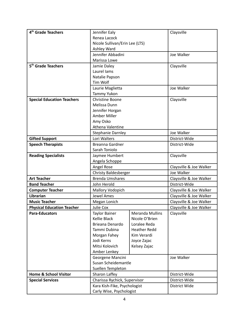| 4 <sup>th</sup> Grade Teachers    | Jennifer Ealy                  |                        | Claysville              |
|-----------------------------------|--------------------------------|------------------------|-------------------------|
|                                   | Renea Lacock                   |                        |                         |
|                                   | Nicole Sullivan/Erin Lee (LTS) |                        |                         |
|                                   | Ashley Ward                    |                        |                         |
|                                   | Jennifer Abbadini              |                        | Joe Walker              |
|                                   | Marissa Lowe                   |                        |                         |
| 5 <sup>th</sup> Grade Teachers    | Jamie Daley                    |                        | Claysville              |
|                                   | Laurel lams                    |                        |                         |
|                                   | Natalie Papson                 |                        |                         |
|                                   | Tim Wolf                       |                        |                         |
|                                   | Laurie Maglietta               |                        | Joe Walker              |
|                                   | Tammy Yukon                    |                        |                         |
| <b>Special Education Teachers</b> | <b>Christine Boone</b>         |                        | Claysville              |
|                                   | Melissa Dunn                   |                        |                         |
|                                   | Jennifer Horgan                |                        |                         |
|                                   | Amber Miller                   |                        |                         |
|                                   | Amy Osko                       |                        |                         |
|                                   | Athena Valentine               |                        |                         |
|                                   | <b>Stephanie Darnley</b>       |                        | Joe Walker              |
| <b>Gifted Support</b>             | Lori Walters                   |                        | District-Wide           |
| <b>Speech Therapists</b>          | <b>Breanna Gardner</b>         |                        | District-Wide           |
|                                   | Sarah Toniolo                  |                        |                         |
| <b>Reading Specialists</b>        | Jaymee Humbert                 |                        | Claysville              |
|                                   | Angela Schoppe                 |                        |                         |
|                                   | Angel Rose                     |                        | Claysville & Joe Walker |
|                                   | <b>Christy Baldesberger</b>    |                        | Joe Walker              |
| <b>Art Teacher</b>                | <b>Brenda Umshares</b>         |                        | Claysville & Joe Walker |
| <b>Band Teacher</b>               | John Herold                    |                        | District-Wide           |
| <b>Computer Teacher</b>           | Mallory Vodopich               |                        | Claysville & Joe Walker |
| <b>Librarian</b>                  | <b>Jewel Ames</b>              |                        | Claysville & Joe Walker |
| <b>Music Teacher</b>              | Megan Lonich                   |                        | Claysville & Joe Walker |
| <b>Physical Education Teacher</b> | Julie Cox                      |                        | Claysville & Joe Walker |
| <b>Para-Educators</b>             | <b>Taylor Bainer</b>           | <b>Meranda Mullins</b> | Claysville              |
|                                   | Kellie Black                   | Nicole O'Brien         |                         |
|                                   | Brieana Denardo                | Loralee Reda           |                         |
|                                   | Tammi Dubina                   | <b>Heather Redd</b>    |                         |
|                                   | Morgan Fahey                   | Kim Verardi            |                         |
|                                   | Jodi Kerns                     | Joyce Zajac            |                         |
|                                   | Mitsi Kolovich                 | Kelsey Zajac           |                         |
|                                   | Amber Lenkey                   |                        |                         |
|                                   | Georgene Mancini               |                        | Joe Walker              |
|                                   | Susan Scheidemantle            |                        |                         |
|                                   | Suellen Templeton              |                        |                         |
| <b>Home &amp; School Visitor</b>  | Sharon Laffey                  |                        | District-Wide           |
| <b>Special Services</b>           | Charissa Rychick, Supervisor   |                        | District-Wide           |
|                                   | Kara Kish-Fike, Psychologist   |                        | District Wide           |
|                                   | Carly Wise, Psychologist       |                        |                         |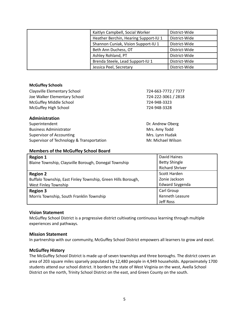| Kaitlyn Campbell, Social Worker       | District-Wide |
|---------------------------------------|---------------|
| Heather Berchin, Hearing Support-IU 1 | District-Wide |
| Shannon Cuniak, Vision Support-IU 1   | District-Wide |
| Beth Ann Duchess, OT                  | District-Wide |
| Ashley Rohland, PT                    | District-Wide |
| Brenda Steele, Lead Support-IU 1      | District-Wide |
| Jessica Peel, Secretary               | District-Wide |

### <span id="page-5-0"></span>**McGuffey Schools**

| Claysville Elementary School              | 724-663-7772 / 7377 |
|-------------------------------------------|---------------------|
| Joe Walker Elementary School              | 724-222-3061 / 2818 |
| McGuffey Middle School                    | 724-948-3323        |
| McGuffey High School                      | 724-948-3328        |
| Administration                            |                     |
| Superintendent                            | Dr. Andrew Oberg    |
| <b>Business Administrator</b>             | Mrs. Amy Todd       |
| <b>Supervisor of Accounting</b>           | Mrs. Lynn Hudak     |
| Supervisor of Technology & Transportation | Mr. Michael Wilson  |

# **Members of the McGuffey School Board**

| <b>Region 1</b>                                              | David Haines           |
|--------------------------------------------------------------|------------------------|
| Blaine Township, Claysville Borough, Donegal Township        | <b>Betty Shingle</b>   |
|                                                              | <b>Richard Shriver</b> |
| <b>Region 2</b>                                              | Scott Harden           |
| Buffalo Township, East Finley Township, Green Hills Borough, | Zonie Jackson          |
| West Finley Township                                         | <b>Edward Szygenda</b> |
| <b>Region 3</b>                                              | Carl Group             |
| Morris Township, South Franklin Township                     | Kenneth Leasure        |
|                                                              | Jeff Ross              |

# **Vision Statement**

McGuffey School District is a progressive district cultivating continuous learning through multiple experiences and pathways.

# **Mission Statement**

In partnership with our community, McGuffey School District empowers all learners to grow and excel.

# **McGuffey History**

The McGuffey School District is made up of seven townships and three boroughs. The district covers an area of 203 square miles sparsely populated by 12,480 people in 4,949 households. Approximately 1700 students attend our school district. It borders the state of West Virginia on the west, Avella School District on the north, Trinity School District on the east, and Green County on the south.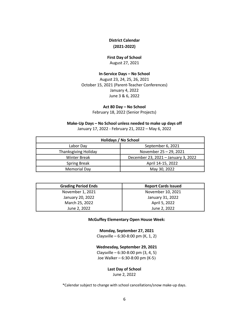# **District Calendar (2021-2022)**

# **First Day of School**

August 27, 2021

# **In-Service Days – No School**

<span id="page-6-0"></span>August 23, 24, 25, 26, 2021 October 15, 2021 (Parent-Teacher Conferences) January 4, 2022 June 3 & 6, 2022

#### **Act 80 Day – No School**

February 18, 2022 (Senior Projects)

#### **Make-Up Days – No School unless needed to make up days off**

January 17, 2022 - February 21, 2022 – May 6, 2022

| Holidays / No School |                                     |  |
|----------------------|-------------------------------------|--|
| Labor Day            | September 6, 2021                   |  |
| Thanksgiving Holiday | November 25 - 29, 2021              |  |
| <b>Winter Break</b>  | December 23, 2021 - January 3, 2022 |  |
| <b>Spring Break</b>  | April 14-15, 2022                   |  |
| <b>Memorial Day</b>  | May 30, 2022                        |  |

| <b>Grading Period Ends</b> | <b>Report Cards Issued</b> |
|----------------------------|----------------------------|
| November 1, 2021           | November 10, 2021          |
| January 20, 2022           | January 31, 2022           |
| March 25, 2022             | April 5, 2022              |
| June 2, 2022               | June 2, 2022               |

#### **McGuffey Elementary Open House Week:**

**Monday, September 27, 2021**

Claysville –  $6:30-8:00$  pm (K, 1, 2)

#### **Wednesday, September 29, 2021**

Claysville – 6:30-8:00 pm (3, 4, 5) Joe Walker – 6:30-8:00 pm (K-5)

#### **Last Day of School**

June 2, 2022

\*Calendar subject to change with school cancellations/snow make-up days.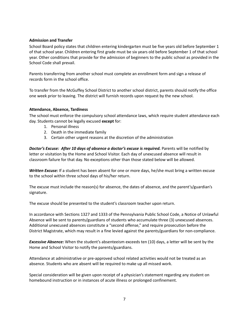# <span id="page-7-0"></span>**Admission and Transfer**

School Board policy states that children entering kindergarten must be five years old before September 1 of that school year. Children entering first grade must be six years old before September 1 of that school year. Other conditions that provide for the admission of beginners to the public school as provided in the School Code shall prevail.

Parents transferring from another school must complete an enrollment form and sign a release of records form in the school office.

To transfer from the McGuffey School District to another school district, parents should notify the office one week prior to leaving. The district will furnish records upon request by the new school.

# <span id="page-7-1"></span>**Attendance, Absence, Tardiness**

The school must enforce the compulsory school attendance laws, which require student attendance each day. Students cannot be legally excused **except** for:

- 1. Personal illness
- 2. Death in the immediate family
- 3. Certain other urgent reasons at the discretion of the administration

*Doctor's Excuse: After 10 days of absence a doctor's excuse is required.* Parents will be notified by letter or visitation by the Home and School Visitor. Each day of unexcused absence will result in classroom failure for that day. No exceptions other than those stated below will be allowed.

*Written Excuse:* If a student has been absent for one or more days, he/she must bring a written excuse to the school within three school days of his/her return.

The excuse must include the reason(s) for absence, the dates of absence, and the parent's/guardian's signature.

The excuse should be presented to the student's classroom teacher upon return.

In accordance with Sections 1327 and 1333 of the Pennsylvania Public School Code, a Notice of Unlawful Absence will be sent to parents/guardians of students who accumulate three (3) unexcused absences. Additional unexcused absences constitute a "second offense," and require prosecution before the District Magistrate, which may result in a fine levied against the parents/guardians for non-compliance.

*Excessive Absence:* When the student's absenteeism exceeds ten (10) days, a letter will be sent by the Home and School Visitor to notify the parents/guardians.

Attendance at administrative or pre-approved school related activities would not be treated as an absence. Students who are absent will be required to make up all missed work.

Special consideration will be given upon receipt of a physician's statement regarding any student on homebound instruction or in instances of acute illness or prolonged confinement.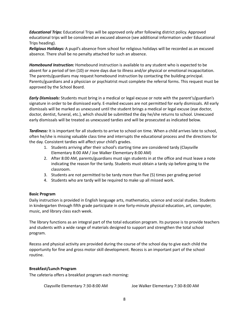*Educational Trips:* Educational Trips will be approved only after following district policy. Approved educational trips will be considered an excused absence (see additional information under Educational Trips heading).

*Religious Holidays:* A pupil's absence from school for religious holidays will be recorded as an excused absence. There shall be no penalty attached for such an absence.

*Homebound Instruction:* Homebound instruction is available to any student who is expected to be absent for a period of ten (10) or more days due to illness and/or physical or emotional incapacitation. The parents/guardians may request homebound instruction by contacting the building principal. Parents/guardians and a physician or psychiatrist must complete the referral forms. This request must be approved by the School Board.

*Early Dismissals:* Students must bring in a medical or legal excuse or note with the parent's/guardian's signature in order to be dismissed early. E-mailed excuses are not permitted for early dismissals. All early dismissals will be marked as unexcused until the student brings a medical or legal excuse (eye doctor, doctor, dentist, funeral, etc.), which should be submitted the day he/she returns to school. Unexcused early dismissals will be treated as unexcused tardies and will be prosecuted as indicated below.

*Tardiness:* It is important for all students to arrive to school on time. When a child arrives late to school, often he/she is missing valuable class time and interrupts the educational process and the directions for the day. Consistent tardies will affect your child's grades.

- 1. Students arriving after their school's starting time are considered tardy (Claysville Elementary 8:00 AM / Joe Walker Elementary 8:00 AM)
- 2. After 8:00 AM, parents/guardians must sign students in at the office and must leave a note indicating the reason for the tardy. Students must obtain a tardy sip before going to the classroom.
- 3. Students are not permitted to be tardy more than five (5) times per grading period
- 4. Students who are tardy will be required to make up all missed work.

# <span id="page-8-0"></span>**Basic Program**

Daily instruction is provided in English language arts, mathematics, science and social studies. Students in kindergarten through fifth grade participate in one forty-minute physical education, art, computer, music, and library class each week.

The library functions as an integral part of the total education program. Its purpose is to provide teachers and students with a wide range of materials designed to support and strengthen the total school program.

Recess and physical activity are provided during the course of the school day to give each child the opportunity for fine and gross motor skill development. Recess is an important part of the school routine.

#### <span id="page-8-1"></span>**Breakfast/Lunch Program**

The cafeteria offers a breakfast program each morning:

Claysville Elementary 7:30-8:00 AM Joe Walker Elementary 7:30-8:00 AM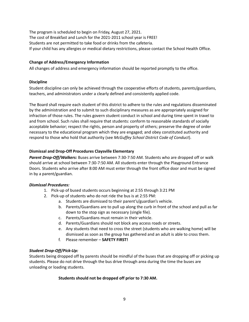The program is scheduled to begin on Friday, August 27, 2021. The cost of Breakfast and Lunch for the 2021-2011 school year is FREE! Students are not permitted to take food or drinks from the cafeteria. If your child has any allergies or medical dietary restrictions, please contact the School Health Office.

# <span id="page-9-0"></span>**Change of Address/Emergency Information**

<span id="page-9-1"></span>All changes of address and emergency information should be reported promptly to the office.

# **Discipline**

Student discipline can only be achieved through the cooperative efforts of students, parents/guardians, teachers, and administrators under a clearly defined and consistently applied code.

The Board shall require each student of this district to adhere to the rules and regulations disseminated by the administration and to submit to such disciplinary measures as are appropriately assigned for infraction of those rules. The rules govern student conduct in school and during time spent in travel to and from school. Such rules shall require that students: conform to reasonable standards of socially acceptable behavior; respect the rights, person and property of others; preserve the degree of order necessary to the educational program which they are engaged; and obey constituted authority and respond to those who hold that authority (see *McGuffey School District Code of Conduct*).

# <span id="page-9-2"></span>**Dismissal and Drop-Off Procedures Claysville Elementary**

*Parent Drop-Off/Walkers:* Buses arrive between 7:30-7:50 AM. Students who are dropped off or walk should arrive at school between 7:30-7:50 AM. All students enter through the Playground Entrance Doors. Students who arrive after 8:00 AM must enter through the front office door and must be signed in by a parent/guardian.

# *Dismissal Procedures:*

- 1. Pick-up of bused students occurs beginning at 2:55 through 3:21 PM
- 2. Pick-up of students who do not ride the bus is at 2:55 PM:
	- a. Students are dismissed to their parent's/guardian's vehicle.
	- b. Parents/Guardians are to pull up along the curb in front of the school and pull as far down to the stop sign as necessary (single file).
	- c. Parents/Guardians must remain in their vehicle.
	- d. Parents/Guardians should not block any access roads or streets.
	- e. Any students that need to cross the street (students who are walking home) will be dismissed as soon as the group has gathered and an adult is able to cross them.
	- f. Please remember **SAFETY FIRST!**

# *Student Drop-Off/Pick-Up:*

Students being dropped off by parents should be mindful of the buses that are dropping off or picking up students. Please do not drive through the bus drive through area during the time the buses are unloading or loading students.

# **Students should not be dropped off prior to 7:30 AM.**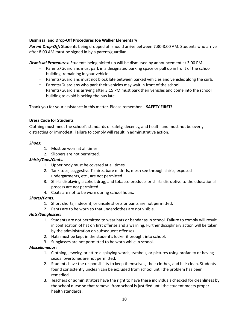# <span id="page-10-0"></span>**Dismissal and Drop-Off Procedures Joe Walker Elementary**

*Parent Drop-Off:* Students being dropped off should arrive between 7:30-8:00 AM. Students who arrive after 8:00 AM must be signed in by a parent/guardian.

*Dismissal Procedures:* Students being picked up will be dismissed by announcement at 3:00 PM.

- Parents/Guardians must park in a designated parking space or pull up in front of the school building, remaining in your vehicle.
- − Parents/Guardians must not block late between parked vehicles and vehicles along the curb.
- − Parents/Guardians who park their vehicles may wait in front of the school.
- − Parents/Guardians arriving after 3:15 PM must park their vehicles and come into the school building to avoid blocking the bus late.

<span id="page-10-1"></span>Thank you for your assistance in this matter. Please remember – **SAFETY FIRST!**

### **Dress Code for Students**

Clothing must meet the school's standards of safety, decency, and health and must not be overly distracting or immodest. Failure to comply will result in administrative action.

### *Shoes:*

- 1. Must be worn at all times.
- 2. Slippers are not permitted.

# *Shirts/Tops/Coats:*

- 1. Upper body must be covered at all times.
- 2. Tank tops, suggestive T-shirts, bare midriffs, mesh see through shirts, exposed undergarments, etc., are not permitted.
- 3. Shirts displaying alcohol, drug, and tobacco products or shirts disruptive to the educational process are not permitted.
- 4. Coats are not to be worn during school hours.

# *Shorts/Pants:*

- 1. Short shorts, indecent, or unsafe shorts or pants are not permitted.
- 2. Pants are to be worn so that underclothes are not visible.

# *Hats/Sunglasses:*

- 1. Students are not permitted to wear hats or bandanas in school. Failure to comply will result in confiscation of hat on first offense and a warning. Further disciplinary action will be taken by the administration on subsequent offenses.
- 2. Hats must be kept in the student's locker if brought into school.
- 3. Sunglasses are not permitted to be worn while in school.

# *Miscellaneous:*

- 1. Clothing, jewelry, or attire displaying words, symbols, or pictures using profanity or having sexual overtones are not permitted.
- 2. Students have the responsibility to keep themselves, their clothes, and hair clean. Students found consistently unclean can be excluded from school until the problem has been remedied.
- 3. Teachers or administrators have the right to have these individuals checked for cleanliness by the school nurse so that removal from school is justified until the student meets proper health standards.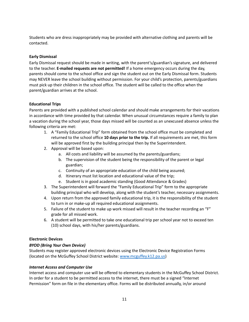Students who are dress inappropriately may be provided with alternative clothing and parents will be contacted.

# <span id="page-11-0"></span>**Early Dismissal**

Early Dismissal request should be made in writing, with the parent's/guardian's signature, and delivered to the teacher. **E-mailed requests are not permitted!** If a home emergency occurs during the day, parents should come to the school office and sign the student out on the Early Dismissal form. Students may NEVER leave the school building without permission. For your child's protection, parents/guardians must pick up their children in the school office. The student will be called to the office when the parent/guardian arrives at the school.

# <span id="page-11-1"></span>**Educational Trips**

Parents are provided with a published school calendar and should make arrangements for their vacations in accordance with time provided by that calendar. When unusual circumstances require a family to plan a vacation during the school year, those days missed will be counted as an unexcused absence unless the following criteria are met:

- 1. A "Family Educational Trip" form obtained from the school office must be completed and returned to the school office **10 days prior to the trip.** If all requirements are met, this form will be approved first by the building principal then by the Superintendent.
- 2. Approval will be based upon:
	- a. All costs and liability will be assumed by the parents/guardians;
	- b. The supervision of the student being the responsibility of the parent or legal guardian;
	- c. Continuity of an appropriate education of the child being assured;
	- d. Itinerary must list location and educational value of the trip;
	- e. Student is in good academic standing (Good Attendance & Grades)
- 3. The Superintendent will forward the "Family Educational Trip" form to the appropriate building principal who will develop, along with the student's teacher, necessary assignments.
- 4. Upon return from the approved family educational trip, it is the responsibility of the student to turn in or make-up all required educational assignments.
- 5. Failure of the student to make up work missed will result in the teacher recording an "F" grade for all missed work.
- 6. A student will be permitted to take one educational trip per school year not to exceed ten (10) school days, with his/her parents/guardians.

# <span id="page-11-2"></span>**Electronic Devices**

# *BYOD (Bring Your Own Device)*

Students may register approved electronic devices using the Electronic Device Registration Forms (located on the McGuffey School District website: [www.mcguffey.k12.pa.us](http://www.mcguffey.k12.pa.us))

# *Internet Access and Computer Use*

Internet access and computer use will be offered to elementary students in the McGuffey School District. In order for a student to be permitted access to the internet, there must be a signed "Internet Permission" form on file in the elementary office. Forms will be distributed annually, in/or around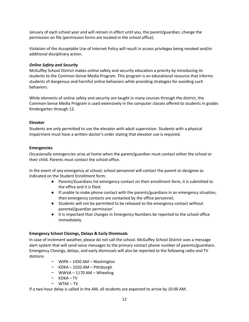January of each school year and will remain in effect until you, the parent/guardian, change the permission on file (permission forms are located in the school office).

Violation of the Acceptable Use of Internet Policy will result in access privileges being revoked and/or additional disciplinary action.

# *Online Safety and Security*

McGuffey School District makes online safety and security education a priority by introducing its students to the Common-Sense Media Program. This program is an educational resource that informs students of dangerous and harmful online behaviors while providing strategies for avoiding such behaviors.

While elements of online safety and security are taught in many courses through the district, the Common-Sense Media Program is used extensively in the computer classes offered to students in grades Kindergarten through 12.

# <span id="page-12-0"></span>**Elevator**

Students are only permitted to use the elevator with adult supervision. Students with a physical impairment must have a written doctor's order stating that elevator use is required.

# <span id="page-12-1"></span>**Emergencies**

Occasionally emergencies arise at home when the parent/guardian must contact either the school or their child. Parents must contact the school office.

In the event of any emergency at school, school personnel will contact the parent or designee as indicated on the Student Enrollment form:

- Parents/Guardians list emergency contact on their enrollment form, it is submitted to the office and it is filed;
- If unable to make phone contact with the parents/guardians in an emergency situation, then emergency contacts are contacted by the office personnel;
- Students will not be permitted to be released to the emergency contact without parental/guardian permission'
- It is important that changes in Emergency Numbers be reported to the school office immediately.

# <span id="page-12-2"></span>**Emergency School Closings, Delays & Early Dismissals**

In case of inclement weather, please do not call the school. McGuffey School District uses a message alert system that will send voice messages to the primary contact phone number of parents/guardians. Emergency Closings, delays, and early dismissals will also be reported to the following radio and TV stations:

- − WJPA 1450 AM Washington
- − KDKA 1020 AM Pittsburgh
- − WWVA 1170 AM Wheeling
- − KDKA TV
- − WTAE TV

If a two-hour delay is called in the AM, all students are expected to arrive by 10:00 AM.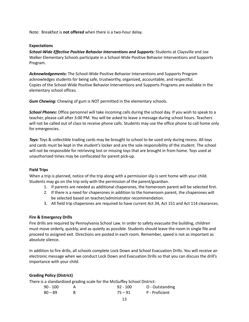<span id="page-13-0"></span>Note: Breakfast is **not offered** when there is a two-hour delay.

# **Expectations**

*School-Wide Effective Positive Behavior Interventions and Supports:* Students at Claysville and Joe Walker Elementary Schools participate in a School-Wide Positive Behavior Interventions and Supports Program.

*Acknowledgements:* The School-Wide Positive Behavior Interventions and Supports Program acknowledges students for being safe, trustworthy, organized, accountable, and respectful. Copies of the School-Wide Positive Behavior Interventions and Supports Programs are available in the elementary school offices.

*Gum Chewing:* Chewing of gum is NOT permitted in the elementary schools.

*School Phones:* Office personnel will take incoming calls during the school day. If you wish to speak to a teacher, please call after 3:00 PM. You will be asked to leave a message during school hours. Teachers will not be called out of class to receive phone calls. Students may use the office phone to call home only for emergencies.

**Toys:** Toys & collectible trading cards may be brought to school to be used only during recess. All toys and cards must be kept in the student's locker and are the sole responsibility of the student. The school will not be responsible for retrieving lost or missing toys that are brought in from home. Toys used at unauthorized times may be confiscated for parent pick-up.

#### <span id="page-13-1"></span>**Field Trips**

When a trip is planned, notice of the trip along with a permission slip is sent home with your child. Students may go on the trip only with the permission of the parent/guardian.

- 1. If parents are needed as additional chaperones, the homeroom parent will be selected first.
- 2. If there is a need for chaperones in addition to the homeroom parent, the chaperones will be selected based on teacher/administrator recommendation.
- 3. All field trip chaperones are required to have current Act 34, Act 151 and Act 114 clearances.

# <span id="page-13-2"></span>**Fire & Emergency Drills**

Fire drills are required by Pennsylvania School Law. In order to safety evacuate the building, children must move orderly, quickly, and as quietly as possible. Students should leave the room in single file and proceed to assigned exit. Directions are posted in each room. Remember, speed is not as important as absolute silence.

In addition to fire drills, all schools complete Lock Down and School Evacuation Drills. You will receive an electronic message when we conduct Lock Down and Evacuation Drills so that you can discuss the drill's importance with your child.

# <span id="page-13-3"></span>**Grading Policy (District)**

There is a standardized grading scale for the McGuffey School District:

| 90 - 100  | $92 - 100$ | O - Outstanding |
|-----------|------------|-----------------|
| $80 - 89$ | $75 - 91$  | P - Proficient  |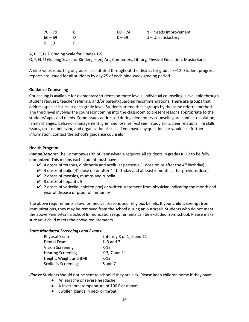| $70 - 79$ | $60 - 74$ | N – Needs Improvement |
|-----------|-----------|-----------------------|
| $60 - 69$ | $0 - 59$  | $U$ – Unsatisfactory  |
| $0 - 59$  |           |                       |

A, B, C, D, F Grading Scale for Grades 1-5

O, P, N, U Grading Scale for Kindergarten, Art, Computers, Library, Physical Education, Music/Band

A nine-week reporting of grades is instituted throughout the district for grades K–12. Student progress reports are issued for all students by day 25 of each nine-week grading period.

#### <span id="page-14-0"></span>**Guidance Counseling**

Counseling is available for elementary students on three levels. Individual counseling is available through student request, teacher referrals, and/or parent/guardian recommendations. There are groups that address special issues at each grade level. Students attend these groups by the same referral method. The third level involves the counselor coming into the classroom to present lessons appropriate to the students' ages and needs. Some issues addressed during elementary counseling are conflict resolution, family changes, behavior management, grief and loss, self-esteem, study skills, peer relations, life skills issues, on-task behavior, and organizational skills. If you have any questions or would like further information, contact the school's guidance counselor.

#### <span id="page-14-1"></span>**Health Program**

Immunizations: The Commonwealth of Pennsylvania requires all students in grades K-12 to be fully immunized. This means each student must have:

- $\checkmark$  4 doses of tetanus, diphtheria and acellular pertussis (1 dose on or after the 4<sup>th</sup> birthday)
- $\blacktriangleright$  4 doses of polio (4<sup>th</sup> dose on or after 4<sup>th</sup> birthday and at least 6 months after previous dose)
- $\checkmark$  2 doses of measles, mumps and rubella
- $\vee$  3 doses of hepatitis B
- $\vee$  2 doses of varicella (chicken pox) or written statement from physician indicating the month and year of disease or proof of immunity

The above requirements allow for medical reasons and religious beliefs. If your child is exempt from immunizations, they may be removed from the school during an outbreak. Students who do not meet the above Pennsylvania School Immunization requirements can be excluded from school. Please make sure your child meets the above requirements.

#### *State Mandated Screenings and Exams:*

| Physical Exam               | Entering K or 1; 6 and 11 |
|-----------------------------|---------------------------|
| Dental Exam                 | 1, 3 and 7                |
| Vision Screening            | $K-12$                    |
| <b>Hearing Screening</b>    | K-3, 7 and 11             |
| Height, Weight and BMI      | $K-12$                    |
| <b>Scoliosis Screenings</b> | 6 and 7                   |

*Illness:* Students should not be sent to school if they are sick. Please keep children home if they have:

- An earache or severe headache
- A fever (oral temperature of 100 F or above)
- Swollen glands in neck or throat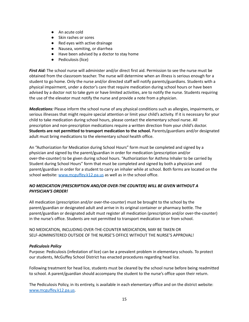- An acute cold
- Skin rashes or sores
- Red eyes with active drainage
- Nausea, vomiting, or diarrhea
- Have been advised by a doctor to stay home
- Pediculosis (lice)

*First Aid:* The school nurse will administer and/or direct first aid. Permission to see the nurse must be obtained from the classroom teacher. The nurse will determine when an illness is serious enough for a student to go home. Only the nurse and/or directed staff will notify parents/guardians. Students with a physical impairment, under a doctor's care that require medication during school hours or have been advised by a doctor not to take gym or have limited activities, are to notify the nurse. Students requiring the use of the elevator must notify the nurse and provide a note from a physician.

*Medications:* Please inform the school nurse of any physical conditions such as allergies, impairments, or serious illnesses that might require special attention or limit your child's activity. If it is necessary for your child to take medication during school hours, please contact the elementary school nurse. All prescription and non-prescription medications require a written direction from your child's doctor. **Students are not permitted to transport medication to the school.** Parents/guardians and/or designated adult must bring medications to the elementary school health office.

An "Authorization for Medication during School Hours" form must be completed and signed by a physician and signed by the parent/guardian in order for medication (prescription and/or over-the-counter) to be given during school hours. "Authorization for Asthma Inhaler to be carried by Student during School Hours" form that must be completed and signed by both a physician and parent/guardian in order for a student to carry an inhaler while at school. Both forms are located on the school website: [www.mcguffey.k12.pa.us](http://www.mcguffey.k12.pa.us) as well as in the school office.

# *NO MEDICATION (PRESCRIPTION AND/OR OVER-THE COUNTER) WILL BE GIVEN WITHOUT A PHYSICIAN'S ORDER!*

All medication (prescription and/or over-the-counter) must be brought to the school by the parent/guardian or designated adult and arrive in its original container or pharmacy bottle. The parent/guardian or designated adult must register all medication (prescription and/or over-the-counter) in the nurse's office. Students are not permitted to transport medication to or from school.

NO MEDICATION, INCLUDING OVER-THE-COUNTER MEDICATION, MAY BE TAKEN OR SELF-ADMINISTERED OUTSIDE OF THE NURSE'S OFFICE WITHOUT THE NURSE'S APPROVAL!

# *Pediculosis Policy*

Purpose: Pediculosis (infestation of lice) can be a prevalent problem in elementary schools. To protect our students, McGuffey School District has enacted procedures regarding head lice.

Following treatment for head lice, students must be cleared by the school nurse before being readmitted to school. A parent/guardian should accompany the student to the nurse's office upon their return.

The Pediculosis Policy, in its entirety, is available in each elementary office and on the district website: [www.mcguffey.k12.pa.us.](http://www.mcguffey.k12.pa.us)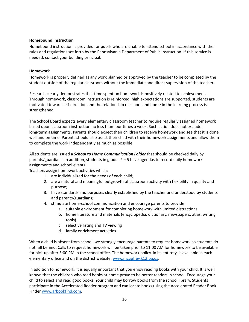# <span id="page-16-0"></span>**Homebound Instruction**

Homebound instruction is provided for pupils who are unable to attend school in accordance with the rules and regulations set forth by the Pennsylvania Department of Public Instruction. If this service is needed, contact your building principal.

# <span id="page-16-1"></span>**Homework**

Homework is properly defined as any work planned or approved by the teacher to be completed by the student outside of the regular classroom without the immediate and direct supervision of the teacher.

Research clearly demonstrates that time spent on homework is positively related to achievement. Through homework, classroom instruction is reinforced, high expectations are supported, students are motivated toward self-direction and the relationship of school and home in the learning process is strengthened.

The School Board expects every elementary classroom teacher to require regularly assigned homework based upon classroom instruction no less than four times a week. Such action does not exclude long-term assignments. Parents should expect their children to receive homework and see that it is done well and on time. Parents should also assist their child with their homework assignments and allow them to complete the work independently as much as possible.

All students are issued a *School to Home Communication Folder* that should be checked daily by parents/guardians. In addition, students in grades 2 – 5 have agendas to record daily homework assignments and school events.

Teachers assign homework activities which:

- 1. are individualized for the needs of each child;
- 2. are a natural and meaningful outgrowth of classroom activity with flexibility in quality and purpose;
- 3. have standards and purposes clearly established by the teacher and understood by students and parents/guardians;
- 4. stimulate home-school communication and encourage parents to provide:
	- a. suitable environment for completing homework with limited distractions
	- b. home literature and materials (encyclopedia, dictionary, newspapers, atlas, writing tools)
	- c. selective listing and TV viewing
	- d. family enrichment activities

When a child is absent from school, we strongly encourage parents to request homework so students do not fall behind. Calls to request homework will be taken prior to 11:00 AM for homework to be available for pick-up after 3:00 PM in the school office. The homework policy, in its entirety, is available in each elementary office and on the district website: [www.mcguffey.k12.pa.us](http://www.mcguffey.k12.pa.us).

In addition to homework, it is equally important that you enjoy reading books with your child. It is well known that the children who read books at home prove to be better readers in school. Encourage your child to select and read good books. Your child may borrow books from the school library. Students participate in the Accelerated Reader program and can locate books using the Accelerated Reader Book Finder [www.arbookfind.com](http://www.arbookfind.com).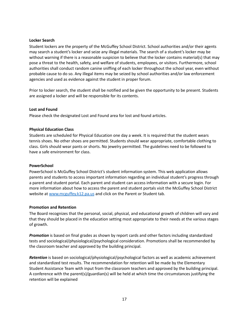### <span id="page-17-0"></span>**Locker Search**

Student lockers are the property of the McGuffey School District. School authorities and/or their agents may search a student's locker and seize any illegal materials. The search of a student's locker may be without warning if there is a reasonable suspicion to believe that the locker contains material(s) that may pose a threat to the health, safety, and welfare of students, employees, or visitors. Furthermore, school authorities shall conduct random canine sniffing of each locker throughout the school year, even without probable cause to do so. Any illegal items may be seized by school authorities and/or law enforcement agencies and used as evidence against the student in proper forum.

Prior to locker search, the student shall be notified and be given the opportunity to be present. Students are assigned a locker and will be responsible for its contents.

### <span id="page-17-1"></span>**Lost and Found**

<span id="page-17-2"></span>Please check the designated Lost and Found area for lost and found articles.

### **Physical Education Class**

Students are scheduled for Physical Education one day a week. It is required that the student wears tennis shoes. No other shoes are permitted. Students should wear appropriate, comfortable clothing to class. Girls should wear pants or shorts. No jewelry permitted. The guidelines need to be followed to have a safe environment for class.

#### <span id="page-17-3"></span>**PowerSchool**

PowerSchool is McGuffey School District's student information system. This web application allows parents and students to access important information regarding an individual student's progress through a parent and student portal. Each parent and student can access information with a secure login. For more information about how to access the parent and student portals visit the McGuffey School District website at [www.mcguffey.k12.pa.us](http://www.mcguffey.k12.pa.us) and click on the Parent or Student tab.

#### <span id="page-17-4"></span>**Promotion and Retention**

The Board recognizes that the personal, social, physical, and educational growth of children will vary and that they should be placed in the education setting most appropriate to their needs at the various stages of growth.

*Promotion* is based on final grades as shown by report cards and other factors including standardized tests and sociological/physiological/psychological consideration. Promotions shall be recommended by the classroom teacher and approved by the building principal.

*Retention* is based on sociological/physiological/psychological factors as well as academic achievement and standardized test results. The recommendation for retention will be made by the Elementary Student Assistance Team with input from the classroom teachers and approved by the building principal. A conference with the parent(s)/guardian(s) will be held at which time the circumstances justifying the retention will be explained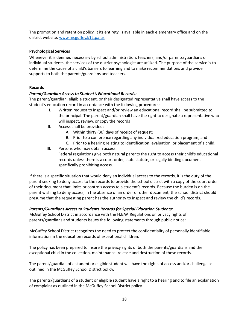The promotion and retention policy, it its entirety, is available in each elementary office and on the district website: [www.mcguffey.k12.pa.us](http://www.mcguffey.k12.pa.us).

# <span id="page-18-0"></span>**Psychological Services**

Whenever it is deemed necessary by school administration, teachers, and/or parents/guardians of individual students, the services of the district psychologist are utilized. The purpose of the service is to determine the cause of a child's barriers to learning and to make recommendations and provide supports to both the parents/guardians and teachers.

# <span id="page-18-1"></span>**Records**

# *Parent/Guardian Access to Student's Educational Records:*

The parent/guardian, eligible student, or their designated representative shall have access to the student's education record in accordance with the following procedures:

- I. Written request to inspect and/or review an educational record shall be submitted to the principal. The parent/guardian shall have the right to designate a representative who will inspect, review, or copy the records
- II. Access shall be provided:
	- A. Within thirty (30) days of receipt of request;
	- B. Prior to a conference regarding any individualized education program, and
	- C. Prior to a hearing relating to identification, evaluation, or placement of a child.

III. Persons who may obtain access: Federal regulations give both natural parents the right to access their child's educational records unless there is a court order, state statute, or legally binding document specifically prohibiting access.

If there is a specific situation that would deny an individual access to the records, it is the duty of the parent seeking to deny access to the records to provide the school district with a copy of the court order of their document that limits or controls access to a student's records. Because the burden is on the parent wishing to deny access, in the absence of an order or other document, the school district should presume that the requesting parent has the authority to inspect and review the child's records.

# *Parents/Guardians Access to Students Records for Special Education Students:*

McGuffey School District in accordance with the H.E.W. Regulations on privacy rights of parents/guardians and students issues the following statements through public notice:

McGuffey School District recognizes the need to protect the confidentiality of personally identifiable information in the education records of exceptional children.

The policy has been prepared to insure the privacy rights of both the parents/guardians and the exceptional child in the collection, maintenance, release and destruction of these records.

The parent/guardian of a student or eligible student will have the rights of access and/or challenge as outlined in the McGuffey School District policy.

The parents/guardians of a student or eligible student have a right to a hearing and to file an explanation of complaint as outlined in the McGuffey School District policy.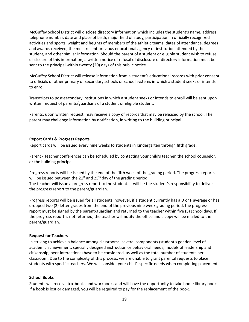McGuffey School District will disclose directory information which includes the student's name, address, telephone number, date and place of birth, major field of study, participation in officially recognized activities and sports, weight and heights of members of the athletic teams, dates of attendance, degrees and awards received, the most recent previous educational agency or institution attended by the student, and other similar information. Should the parent of a student or eligible student wish to refuse disclosure of this information, a written notice of refusal of disclosure of directory information must be sent to the principal within twenty (20) days of this public notice.

McGuffey School District will release information from a student's educational records with prior consent to officials of other primary or secondary schools or school systems in which a student seeks or intends to enroll.

Transcripts to post-secondary institutions in which a student seeks or intends to enroll will be sent upon written request of parents/guardians of a student or eligible student.

Parents, upon written request, may receive a copy of records that may be released by the school. The parent may challenge information by notification, in writing to the building principal.

### <span id="page-19-0"></span>**Report Cards & Progress Reports**

Report cards will be issued every nine weeks to students in Kindergarten through fifth grade.

Parent - Teacher conferences can be scheduled by contacting your child's teacher, the school counselor, or the building principal.

Progress reports will be issued by the end of the fifth week of the grading period. The progress reports will be issued between the 21 $^{\text{st}}$  and 25<sup>th</sup> day of the grading period. The teacher will issue a progress report to the student. It will be the student's responsibility to deliver the progress report to the parent/guardian.

Progress reports will be issued for all students, however, if a student currently has a D or F average or has dropped two (2) letter grades from the end of the previous nine week grading period, the progress report must be signed by the parent/guardian and returned to the teacher within five (5) school days. If the progress report is not returned, the teacher will notify the office and a copy will be mailed to the parent/guardian.

#### <span id="page-19-1"></span>**Request for Teachers**

In striving to achieve a balance among classrooms, several components (student's gender, level of academic achievement, specially designed instruction or behavioral needs, models of leadership and citizenship, peer interactions) have to be considered, as well as the total number of students per classroom. Due to the complexity of this process, we are unable to grant parental requests to place students with specific teachers. We will consider your child's specific needs when completing placement.

#### <span id="page-19-2"></span>**School Books**

Students will receive textbooks and workbooks and will have the opportunity to take home library books. If a book is lost or damaged, you will be required to pay for the replacement of the book.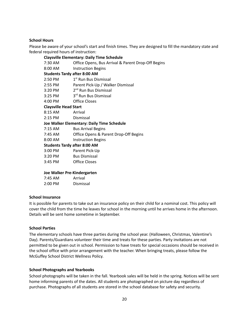# <span id="page-20-0"></span>**School Hours**

Please be aware of your school's start and finish times. They are designed to fill the mandatory state and federal required hours of instruction:

| <b>Claysville Elementary: Daily Time Schedule</b> |                                                    |  |
|---------------------------------------------------|----------------------------------------------------|--|
| 7:30 AM                                           | Office Opens, Bus Arrival & Parent Drop-Off Begins |  |
| 8:00 AM                                           | <b>Instruction Begins</b>                          |  |
| <b>Students Tardy after 8:00 AM</b>               |                                                    |  |
|                                                   | 2:50 PM 1 <sup>st</sup> Run Bus Dismissal          |  |
| 2:55 PM                                           | Parent Pick-Up / Walker Dismissal                  |  |
| 3:20 PM                                           | 2 <sup>nd</sup> Run Bus Dismissal                  |  |
|                                                   | 3:25 PM 3 <sup>rd</sup> Run Bus Dismissal          |  |
| 4:00 PM                                           | <b>Office Closes</b>                               |  |
| <b>Claysville Head Start</b>                      |                                                    |  |
| 8:15 AM                                           | Arrival                                            |  |
| 2:15 PM                                           | Dismissal                                          |  |
|                                                   | Joe Walker Elementary: Daily Time Schedule         |  |
| 7:15 AM                                           | <b>Bus Arrival Begins</b>                          |  |
| 7:45 AM                                           | Office Opens & Parent Drop-Off Begins              |  |
| 8:00 AM                                           | <b>Instruction Begins</b>                          |  |
| <b>Students Tardy after 8:00 AM</b>               |                                                    |  |
| 3:00 PM                                           | Parent Pick-Up                                     |  |
| 3:20 PM                                           | <b>Bus Dismissal</b>                               |  |
| $3:45$ PM                                         | Office Closes                                      |  |

#### **Joe Walker Pre-Kindergarten**

| $7:45$ AM | Arrival   |
|-----------|-----------|
| $2:00$ PM | Dismissal |

#### <span id="page-20-1"></span>**School Insurance**

It is possible for parents to take out an insurance policy on their child for a nominal cost. This policy will cover the child from the time he leaves for school in the morning until he arrives home in the afternoon. Details will be sent home sometime in September.

#### <span id="page-20-2"></span>**School Parties**

The elementary schools have three parties during the school year. (Halloween, Christmas, Valentine's Day). Parents/Guardians volunteer their time and treats for these parties. Party invitations are not permitted to be given out in school. Permission to have treats for special occasions should be received in the school office with prior arrangement with the teacher. When bringing treats, please follow the McGuffey School District Wellness Policy.

#### <span id="page-20-3"></span>**School Photographs and Yearbooks**

School photographs will be taken in the fall. Yearbook sales will be held in the spring. Notices will be sent home informing parents of the dates. All students are photographed on picture day regardless of purchase. Photographs of all students are stored in the school database for safety and security.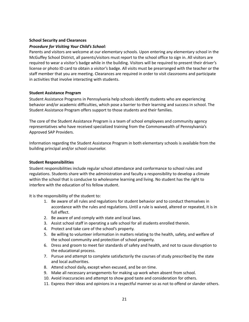# <span id="page-21-0"></span>**School Security and Clearances**

# *Procedure for Visiting Your Child's School:*

Parents and visitors are welcome at our elementary schools. Upon entering any elementary school in the McGuffey School District, all parents/visitors must report to the school office to sign in. All visitors are required to wear a visitor's badge while in the building. Visitors will be required to present their driver's license or photo ID card to obtain a visitor's badge. All visits must be prearranged with the teacher or the staff member that you are meeting. Clearances are required in order to visit classrooms and participate in activities that involve interacting with students.

### <span id="page-21-1"></span>**Student Assistance Program**

Student Assistance Programs in Pennsylvania help schools identify students who are experiencing behavior and/or academic difficulties, which pose a barrier to their learning and success in school. The Student Assistance Program offers support to those students and their families.

The core of the Student Assistance Program is a team of school employees and community agency representatives who have received specialized training from the Commonwealth of Pennsylvania's Approved SAP Providers.

Information regarding the Student Assistance Program in both elementary schools is available from the building principal and/or school counselor.

#### <span id="page-21-2"></span>**Student Responsibilities**

Student responsibilities include regular school attendance and conformance to school rules and regulations. Students share with the administration and faculty a responsibility to develop a climate within the school that is conducive to wholesome learning and living. No student has the right to interfere with the education of his fellow student.

It is the responsibility of the student to:

- 1. Be aware of all rules and regulations for student behavior and to conduct themselves in accordance with the rules and regulations. Until a rule is waived, altered or repeated, it is in full effect.
- 2. Be aware of and comply with state and local laws.
- 3. Assist school staff in operating a safe school for all students enrolled therein.
- 4. Protect and take care of the school's property.
- 5. Be willing to volunteer information in matters relating to the health, safety, and welfare of the school community and protection of school property.
- 6. Dress and groom to meet fair standards of safety and health, and not to cause disruption to the educational process.
- 7. Pursue and attempt to complete satisfactorily the courses of study prescribed by the state and local authorities.
- 8. Attend school daily, except when excused, and be on time.
- 9. Make all necessary arrangements for making up work when absent from school.
- 10. Avoid inaccuracies and attempt to show good taste and consideration for others.
- 11. Express their ideas and opinions in a respectful manner so as not to offend or slander others.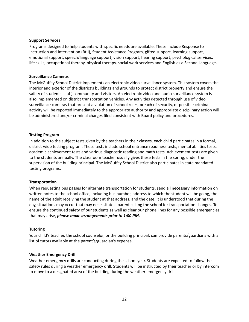#### <span id="page-22-0"></span>**Support Services**

Programs designed to help students with specific needs are available. These include Response to Instruction and Intervention (RtII), Student Assistance Program, gifted support, learning support, emotional support, speech/language support, vision support, hearing support, psychological services, life skills, occupational therapy, physical therapy, social work services and English as a Second Language.

#### <span id="page-22-1"></span>**Surveillance Cameras**

The McGuffey School District implements an electronic video surveillance system. This system covers the interior and exterior of the district's buildings and grounds to protect district property and ensure the safety of students, staff, community and visitors. An electronic video and audio surveillance system is also implemented on district transportation vehicles. Any activities detected through use of video surveillance cameras that present a violation of school rules, breach of security, or possible criminal activity will be reported immediately to the appropriate authority and appropriate disciplinary action will be administered and/or criminal charges filed consistent with Board policy and procedures.

### <span id="page-22-2"></span>**Testing Program**

In addition to the subject tests given by the teachers in their classes, each child participates in a formal, district-wide testing program. These tests include school entrance readiness tests, mental abilities tests, academic achievement tests and various diagnostic reading and math tests. Achievement tests are given to the students annually. The classroom teacher usually gives these tests in the spring, under the supervision of the building principal. The McGuffey School District also participates in state mandated testing programs.

# <span id="page-22-3"></span>**Transportation**

When requesting bus passes for alternate transportation for students, send all necessary information on written notes to the school office, including bus number, address to which the student will be going, the name of the adult receiving the student at that address, and the date. It is understood that during the day, situations may occur that may necessitate a parent calling the school for transportation changes. To ensure the continued safety of our students as well as clear our phone lines for any possible emergencies that may arise, *please make arrangements prior to 1:00 PM.*

#### <span id="page-22-4"></span>**Tutoring**

Your child's teacher, the school counselor, or the building principal, can provide parents/guardians with a list of tutors available at the parent's/guardian's expense.

# <span id="page-22-5"></span>**Weather Emergency Drill**

Weather emergency drills are conducting during the school year. Students are expected to follow the safety rules during a weather emergency drill. Students will be instructed by their teacher or by intercom to move to a designated area of the building during the weather emergency drill.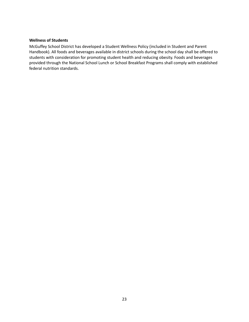# <span id="page-23-0"></span>**Wellness of Students**

McGuffey School District has developed a Student Wellness Policy (included in Student and Parent Handbook). All foods and beverages available in district schools during the school day shall be offered to students with consideration for promoting student health and reducing obesity. Foods and beverages provided through the National School Lunch or School Breakfast Programs shall comply with established federal nutrition standards.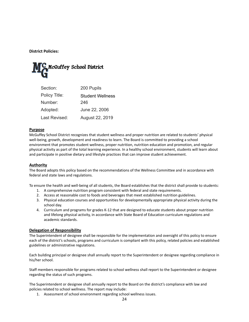<span id="page-24-0"></span>**District Policies:**



<span id="page-24-1"></span>

| Section:      | 200 Pupils              |
|---------------|-------------------------|
| Policy Title: | <b>Student Wellness</b> |
| Number:       | 246                     |
| Adopted:      | June 22, 2006           |
| Last Revised: | August 22, 2019         |

### **Purpose**

McGuffey School District recognizes that student wellness and proper nutrition are related to students' physical well-being, growth, development and readiness to learn. The Board is committed to providing a school environment that promotes student wellness, proper nutrition, nutrition education and promotion, and regular physical activity as part of the total learning experience. In a healthy school environment, students will learn about and participate in positive dietary and lifestyle practices that can improve student achievement.

#### **Authority**

The Board adopts this policy based on the recommendations of the Wellness Committee and in accordance with federal and state laws and regulations.

To ensure the health and well-being of all students, the Board establishes that the district shall provide to students:

- 1. A comprehensive nutrition program consistent with federal and state requirements.
- 2. Access at reasonable cost to foods and beverages that meet established nutrition guidelines.
- 3. Physical education courses and opportunities for developmentally appropriate physical activity during the school day.
- 4. Curriculum and programs for grades K-12 that are designed to educate students about proper nutrition and lifelong physical activity, in accordance with State Board of Education curriculum regulations and academic standards.

#### **Delegation of Responsibility**

The Superintendent of designee shall be responsible for the implementation and oversight of this policy to ensure each of the district's schools, programs and curriculum is compliant with this policy, related policies and established guidelines or administrative regulations.

Each building principal or designee shall annually report to the Superintendent or designee regarding compliance in his/her school.

Staff members responsible for programs related to school wellness shall report to the Superintendent or designee regarding the status of such programs.

The Superintendent or designee shall annually report to the Board on the district's compliance with law and policies related to school wellness. The report may include:

1. Assessment of school environment regarding school wellness issues.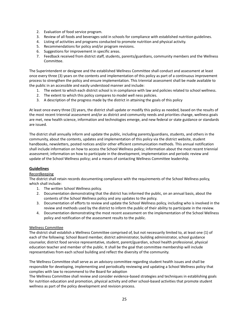- 2. Evaluation of food service program.
- 3. Review of all foods and beverages sold in schools for compliance with established nutrition guidelines.
- 4. Listing of activities and programs conducted to promote nutrition and physical activity.
- 5. Recommendations for policy and/or program revisions.
- 6. Suggestions for improvement in specific areas.
- 7. Feedback received from district staff, students, parents/guardians, community members and the Wellness Committee.

The Superintendent or designee and the established Wellness Committee shall conduct and assessment at least once every three (3) years on the contents and implementation of this policy as part of a continuous improvement process to strengthen the policy and ensure implementation. This triennial assessment shall be made available to the public in an accessible and easily understood manner and include:

- 1. The extent to which each district school is in compliance with law and policies related to school wellness.
- 2. The extent to which this policy compares to model well ness policies.
- 3. A description of the progress made by the district in attaining the goals of this policy

At least once every three (3) years, the district shall update or modify this policy as needed, based on the results of the most recent triennial assessment and/or as district and community needs and priorities change, wellness goals are met, new health science, information and technologies emerge, and new federal or state guidance or standards are issued.

The district shall annually inform and update the public, including parents/guardians, students, and others in the community, about the contents, updates and implementation of this policy via the district website, student handbooks, newsletters, posted notices and/or other efficient communication methods. This annual notification shall include information on how to access the School Wellness policy; information about the most recent triennial assessment; information on how to participate in the development, implementation and periodic review and update of the School Wellness policy; and a means of contacting Wellness Committee leadership.

# **Guidelines**

#### Recordkeeping

The district shall retain records documenting compliance with the requirements of the School Wellness policy, which shall include:

- 1. The written School Wellness policy.
- 2. Documentation demonstrating that the district has informed the public, on an annual basis, about the contents of the School Wellness policy and any updates to the policy.
- 3. Documentation of efforts to review and update the School Wellness policy, including who is involved in the review and methods used by the district to inform the public of their ability to participate in the review.
- 4. Documentation demonstrating the most recent assessment on the implementation of the School Wellness policy and notification of the assessment results to the public.

#### Wellness Committee

The district shall establish a Wellness Committee comprised of, but not necessarily limited to, at least one (1) of each of the following: School Board member, district administrator, building administrator, school guidance counselor, district food service representative, student, parent/guardian, school health professional, physical education teacher and member of the public. It shall be the goal that committee membership will include representatives from each school building and reflect the diversity of the community.

The Wellness Committee shall serve as an advisory committee regarding student health issues and shall be responsible for developing, implementing and periodically reviewing and updating a School Wellness policy that complies with law to recommend to the Board for adoption

The Wellness Committee shall review and consider evidence-based strategies and techniques in establishing goals for nutrition education and promotion, physical activity and other school-based activities that promote student wellness as part of the policy development and revision process.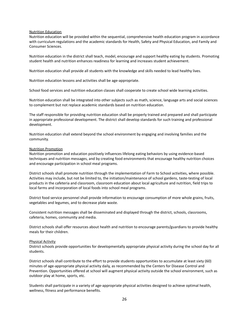#### Nutrition Education

Nutrition education will be provided within the sequential, comprehensive health education program in accordance with curriculum regulations and the academic standards for Health, Safety and Physical Education, and Family and Consumer Sciences.

Nutrition education in the district shall teach, model, encourage and support healthy eating by students. Promoting student health and nutrition enhances readiness for learning and increases student achievement.

Nutrition education shall provide all students with the knowledge and skills needed to lead healthy lives.

Nutrition education lessons and activities shall be age-appropriate.

School food services and nutrition education classes shall cooperate to create school wide learning activities.

Nutrition education shall be integrated into other subjects such as math, science, language arts and social sciences to complement but not replace academic standards based on nutrition education.

The staff responsible for providing nutrition education shall be properly trained and prepared and shall participate in appropriate professional development. The district shall develop standards for such training and professional development.

Nutrition education shall extend beyond the school environment by engaging and involving families and the community.

#### Nutrition Promotion

Nutrition promotion and education positively influences lifelong eating behaviors by using evidence-based techniques and nutrition messages, and by creating food environments that encourage healthy nutrition choices and encourage participation in school meal programs.

District schools shall promote nutrition through the implementation of Farm to School activities, where possible. Activities may include, but not be limited to, the initiation/maintenance of school gardens, taste-testing of local products in the cafeteria and classroom, classroom education about local agriculture and nutrition, field trips to local farms and incorporation of local foods into school meal programs.

District food service personnel shall provide information to encourage consumption of more whole grains, fruits, vegetables and legumes, and to decrease plate waste.

Consistent nutrition messages shall be disseminated and displayed through the district, schools, classrooms, cafeteria, homes, community and media.

District schools shall offer resources about health and nutrition to encourage parents/guardians to provide healthy meals for their children.

#### Physical Activity

District schools provide opportunities for developmentally appropriate physical activity during the school day for all students.

District schools shall contribute to the effort to provide students opportunities to accumulate at least sixty (60) minutes of age-appropriate physical activity daily, as recommended by the Centers for Disease Control and Prevention. Opportunities offered at school will augment physical activity outside the school environment, such as outdoor play at home, sports, etc.

Students shall participate in a variety of age-appropriate physical activities designed to achieve optimal health, wellness, fitness and performance benefits.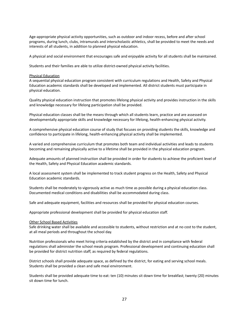Age-appropriate physical activity opportunities, such as outdoor and indoor recess, before and after school programs, during lunch, clubs, intramurals and interscholastic athletics, shall be provided to meet the needs and interests of all students, in addition to planned physical education.

A physical and social environment that encourages safe and enjoyable activity for all students shall be maintained.

Students and their families are able to utilize district-owned physical activity facilities.

#### Physical Education

A sequential physical education program consistent with curriculum regulations and Health, Safety and Physical Education academic standards shall be developed and implemented. All district students must participate in physical education.

Quality physical education instruction that promotes lifelong physical activity and provides instruction in the skills and knowledge necessary for lifelong participation shall be provided.

Physical education classes shall be the means through which all students learn, practice and are assessed on developmentally appropriate skills and knowledge necessary for lifelong, health-enhancing physical activity.

A comprehensive physical education course of study that focuses on providing students the skills, knowledge and confidence to participate in lifelong, health-enhancing physical activity shall be implemented.

A varied and comprehensive curriculum that promotes both team and individual activities and leads to students becoming and remaining physically active to a lifetime shall be provided in the physical education program.

Adequate amounts of planned instruction shall be provided in order for students to achieve the proficient level of the Health, Safety and Physical Education academic standards.

A local assessment system shall be implemented to track student progress on the Health, Safety and Physical Education academic standards.

Students shall be moderately to vigorously active as much time as possible during a physical education class. Documented medical conditions and disabilities shall be accommodated during class.

Safe and adequate equipment, facilities and resources shall be provided for physical education courses.

Appropriate professional development shall be provided for physical education staff.

#### Other School Based Activities

Safe drinking water shall be available and accessible to students, without restriction and at no cost to the student, at all meal periods and throughout the school day.

Nutrition professionals who meet hiring criteria established by the district and in compliance with federal regulations shall administer the school meals program. Professional development and continuing education shall be provided for district nutrition staff, as required by federal regulations.

District schools shall provide adequate space, as defined by the district, for eating and serving school meals. Students shall be provided a clean and safe meal environment.

Students shall be provided adequate time to eat: ten (10) minutes sit down time for breakfast; twenty (20) minutes sit down time for lunch.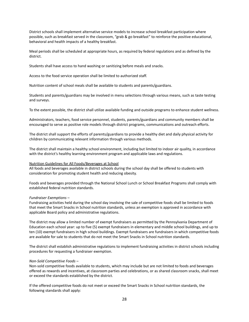District schools shall implement alternative service models to increase school breakfast participation where possible, such as breakfast served in the classroom, "grab & go breakfast" to reinforce the positive educational, behavioral and health impacts of a healthy breakfast.

Meal periods shall be scheduled at appropriate hours, as required by federal regulations and as defined by the district.

Students shall have access to hand washing or sanitizing before meals and snacks.

Access to the food service operation shall be limited to authorized staff.

Nutrition content of school meals shall be available to students and parents/guardians.

Students and parents/guardians may be involved in menu selections through various means, such as taste testing and surveys.

To the extent possible, the district shall utilize available funding and outside programs to enhance student wellness.

Administrators, teachers, food service personnel, students, parents/guardians and community members shall be encouraged to serve as positive role models through district programs, communications and outreach efforts.

The district shall support the efforts of parents/guardians to provide a healthy diet and daily physical activity for children by communicating relevant information through various methods.

The district shall maintain a healthy school environment, including but limited to indoor air quality, in accordance with the district's healthy learning environment program and applicable laws and regulations.

#### Nutrition Guidelines for All Foods/Beverages at School

All foods and beverages available in district schools during the school day shall be offered to students with consideration for promoting student health and reducing obesity.

Foods and beverages provided through the National School Lunch or School Breakfast Programs shall comply with established federal nutrition standards.

#### *Fundraiser Exemptions –*

Fundraising activities held during the school day involving the sale of competitive foods shall be limited to foods that meet the Smart Snacks in School nutrition standards, unless an exemption is approved in accordance with applicable Board policy and administrative regulations.

The district may allow a limited number of exempt fundraisers as permitted by the Pennsylvania Department of Education each school year: up to five (5) exempt fundraisers in elementary and middle school buildings, and up to ten (10) exempt fundraisers in high school buildings. Exempt fundraisers are fundraisers in which competitive foods are available for sale to students that do not meet the Smart Snacks in School nutrition standards.

The district shall establish administrative regulations to implement fundraising activities in district schools including procedures for requesting a fundraiser exemption.

#### *Non-Sold Competitive Foods –*

Non-sold competitive foods available to students, which may include but are not limited to foods and beverages offered as rewards and incentives, at classroom parties and celebrations, or as shared classroom snacks, shall meet or exceed the standards established by the district.

If the offered competitive foods do not meet or exceed the Smart Snacks in School nutrition standards, the following standards shall apply: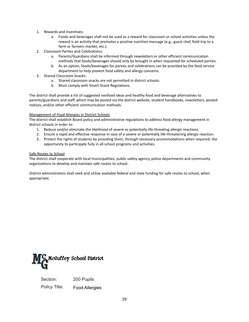- 1. Rewards and Incentives:
	- a. Foods and beverages shall not be used as a reward for classroom or school activities unless the reward is an activity that promotes a positive nutrition message (e.g., guest chef, field trip to a farm or farmers market, etc.).
- 2. Classroom Parties and Celebrations:
	- a. Parents/Guardians shall be informed through newsletters or other efficient communication methods that foods/beverages should only be brought in when requested for scheduled parties.
	- b. As an option, foods/beverages for parties and celebrations can be provided by the food service department to help prevent food safety and allergy concerns.
- 3. Shared Classroom Snacks:
	- a. Shared classroom snacks are not permitted in district schools.
	- b. Must comply with Smart Snack Regulations.

The district shall provide a list of suggested nonfood ideas and healthy food and beverage alternatives to parents/guardians and staff, which may be posted via the district website, student handbooks, newsletters, posted notices, and/or other efficient communication methods.

# Management of Food Allergies in District Schools

The district shall establish Board policy and administrative regulations to address food allergy management in district schools in order to:

- 1. Reduce and/or eliminate the likelihood of severe or potentially life-threating allergic reactions.
- 2. Ensure a rapid and effective response in case of a severe or potentially life-threatening allergic reaction.
- 3. Protect the rights of students by providing them, through necessary accommodations when required, the opportunity to participate fully in all school programs and activities.

### Safe Routes to School

The district shall cooperate with local municipalities, public safety agency, police departments and community organizations to develop and maintain safe routes to school.

District administrators shall seek and utilize available federal and state funding for safe routes to school, when appropriate.



<span id="page-29-0"></span>Section: 200 Pupils Policy Title: Food Allergies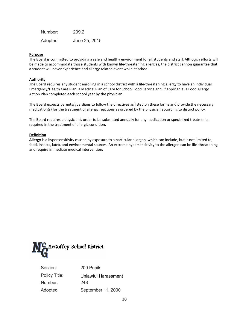| Number:  | 209.2         |
|----------|---------------|
| Adopted: | June 25, 2015 |

#### **Purpose**

The Board is committed to providing a safe and healthy environment for all students and staff. Although efforts will be made to accommodate those students with known life-threatening allergies, the district cannon guarantee that a student will never experience and allergy-related event while at school.

#### **Authority**

The Board requires any student enrolling in a school district with a life-threatening allergy to have an Individual Emergency/Health Care Plan, a Medical Plan of Care for School Food Service and, if applicable, a Food Allergy Action Plan completed each school year by the physician.

The Board expects parents/guardians to follow the directives as listed on these forms and provide the necessary medication(s) for the treatment of allergic reactions as ordered by the physician according to district policy.

The Board requires a physician's order to be submitted annually for any medication or specialized treatments required in the treatment of allergic condition.

#### **Definition**

**Allergy** is a hypersensitivity caused by exposure to a particular allergen, which can include, but is not limited to, food, insects, latex, and environmental sources. An extreme hypersensitivity to the allergen can be life-threatening and require immediate medical intervention.



<span id="page-30-0"></span>

| Section:      | 200 Pupils          |
|---------------|---------------------|
| Policy Title: | Unlawful Harassment |
| Number:       | 248                 |
| Adopted:      | September 11, 2000  |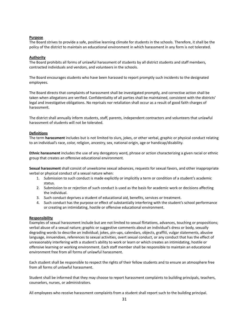#### **Purpose**

The Board strives to provide a safe, positive learning climate for students in the schools. Therefore, it shall be the policy of the district to maintain an educational environment in which harassment in any form is not tolerated.

#### **Authority**

The Board prohibits all forms of unlawful harassment of students by all district students and staff members, contracted individuals and vendors, and volunteers in the schools.

The Board encourages students who have been harassed to report promptly such incidents to the designated employees.

The Board directs that complaints of harassment shall be investigated promptly, and corrective action shall be taken when allegations are verified. Confidentiality of all parties shall be maintained, consistent with the districts' legal and investigative obligations. No reprisals nor retaliation shall occur as a result of good faith charges of harassment.

The district shall annually inform students, staff, parents, independent contractors and volunteers that unlawful harassment of students will not be tolerated.

#### **Definitions**

The term **harassment** includes but is not limited to slurs, jokes, or other verbal, graphic or physical conduct relating to an individual's race, color, religion, ancestry, sex, national origin, age or handicap/disability.

**Ethnic harassment** includes the use of any derogatory word, phrase or action characterizing a given racial or ethnic group that creates an offensive educational environment.

**Sexual harassment** shall consist of unwelcome sexual advances, requests for sexual favors, and other inappropriate verbal or physical conduct of a sexual nature when:

- 1. Submission to such conduct is made explicitly or implicitly a term or condition of a student's academic status.
- 2. Submission to or rejection of such conduct is used as the basis for academic work or decisions affecting the individual.
- 3. Such conduct deprives a student of educational aid, benefits, services or treatment.
- 4. Such conduct has the purpose or effect of substantially interfering with the student's school performance or creating an intimidating, hostile or offensive educational environment.

#### **Responsibility**

Examples of sexual harassment include but are not limited to sexual flirtations, advances, touching or propositions; verbal abuse of a sexual nature; graphic or suggestive comments about an individual's dress or body, sexually degrading words to describe an individual; jokes, pin-ups, calendars, objects, graffiti, vulgar statements, abusive language, innuendoes, references to sexual activities, overt sexual conduct, or any conduct that has the effect of unreasonably interfering with a student's ability to work or learn or which creates an intimidating, hostile or offensive learning or working environment. Each staff member shall be responsible to maintain an educational environment free from all forms of unlawful harassment.

Each student shall be responsible to respect the rights of their fellow students and to ensure an atmosphere free from all forms of unlawful harassment.

Student shall be informed that they may choose to report harassment complaints to building principals, teachers, counselors, nurses, or administrators.

All employees who receive harassment complaints from a student shall report such to the building principal.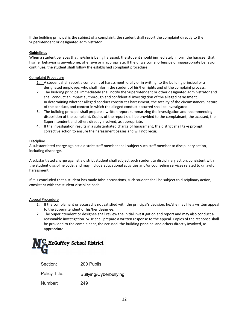If the building principal is the subject of a complaint, the student shall report the complaint directly to the Superintendent or designated administrator.

#### **Guidelines**

When a student believes that he/she is being harassed, the student should immediately inform the harasser that his/her behavior is unwelcome, offensive or inappropriate. If the unwelcome, offensive or inappropriate behavior continues, the student shall follow the established complaint procedure

#### Complaint Procedure

- 1. A student shall report a complaint of harassment, orally or in writing, to the building principal or a designated employee, who shall inform the student of his/her rights and of the complaint process.
- 2. The building principal immediately shall notify the Superintendent or other designated administrator and shall conduct an impartial, thorough and confidential investigation of the alleged harassment. In determining whether alleged conduct constitutes harassment, the totality of the circumstances, nature of the conduct, and context in which the alleged conduct occurred shall be investigated.
- 3. The building principal shall prepare a written report summarizing the investigation and recommending disposition of the complaint. Copies of the report shall be provided to the complainant, the accused, the Superintendent and others directly involved, as appropriate.
- 4. If the investigation results in a substantiated charge of harassment, the district shall take prompt corrective action to ensure the harassment ceases and will not recur.

#### **Discipline**

A substantiated charge against a district staff member shall subject such staff member to disciplinary action, including discharge.

A substantiated charge against a district student shall subject such student to disciplinary action, consistent with the student discipline code, and may include educational activities and/or counseling services related to unlawful harassment.

If it is concluded that a student has made false accusations, such student shall be subject to disciplinary action, consistent with the student discipline code.

#### Appeal Procedure

- 1. If the complainant or accused is not satisfied with the principal's decision, he/she may file a written appeal to the Superintendent or his/her designee.
- 2. The Superintendent or designee shall review the initial investigation and report and may also conduct a reasonable investigation. S/He shall prepare a written response to the appeal. Copies of the response shall be provided to the complainant, the accused, the building principal and others directly involved, as appropriate.



<span id="page-32-0"></span>

| Section:      | 200 Pupils             |
|---------------|------------------------|
| Policy Title: | Bullying/Cyberbullying |
| Number:       | 249                    |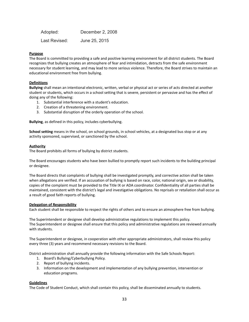Adopted: December 2, 2008 Last Revised: June 25, 2015

#### **Purpose**

The Board is committed to providing a safe and positive learning environment for all district students. The Board recognizes that bullying creates an atmosphere of fear and intimidation, detracts from the safe environment necessary for student learning, and may lead to more serious violence. Therefore, the Board strives to maintain an educational environment free from bullying.

#### **Definitions**

**Bullying** shall mean an intentional electronic, written, verbal or physical act or series of acts directed at another student or students, which occurs in a school setting that is severe, persistent or pervasive and has the effect of doing any of the following:

- 1. Substantial interference with a student's education.
- 2. Creation of a threatening environment.
- 3. Substantial disruption of the orderly operation of the school.

**Bullying**, as defined in this policy, includes cyberbullying.

**School setting** means in the school, on school grounds, in school vehicles, at a designated bus stop or at any activity sponsored, supervised, or sanctioned by the school.

#### **Authority**

The Board prohibits all forms of bullying by district students.

The Board encourages students who have been bullied to promptly report such incidents to the building principal or designee.

The Board directs that complaints of bullying shall be investigated promptly, and corrective action shall be taken when allegations are verified. If an accusation of bullying is based on race, color, national origin, sex or disability, copies of the complaint must be provided to the Title IX or ADA coordinator. Confidentiality of all parties shall be maintained, consistent with the district's legal and investigative obligations. No reprisals or retaliation shall occur as a result of good faith reports of bullying.

#### **Delegation of Responsibility**

Each student shall be responsible to respect the rights of others and to ensure an atmosphere free from bullying.

The Superintendent or designee shall develop administrative regulations to implement this policy. The Superintendent or designee shall ensure that this policy and administrative regulations are reviewed annually with students.

The Superintendent or designee, in cooperation with other appropriate administrators, shall review this policy every three (3) years and recommend necessary revisions to the Board.

District administration shall annually provide the following information with the Safe Schools Report:

- 1. Board's Bullying/Cyberbullying Policy.
- 2. Report of bullying incidents.
- 3. Information on the development and implementation of any bullying prevention, intervention or education programs.

#### **Guidelines**

The Code of Student Conduct, which shall contain this policy, shall be disseminated annually to students.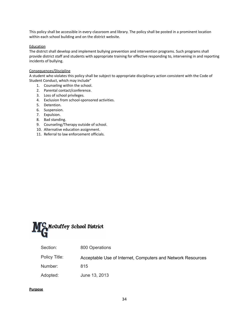This policy shall be accessible in every classroom and library. The policy shall be posted in a prominent location within each school building and on the district website.

#### **Education**

The district shall develop and implement bullying prevention and intervention programs. Such programs shall provide district staff and students with appropriate training for effective responding to, intervening in and reporting incidents of bullying.

### Consequences/Discipline

A student who violates this policy shall be subject to appropriate disciplinary action consistent with the Code of Student Conduct, which may include"

- 1. Counseling within the school.
- 2. Parental contact/conference.
- 3. Loss of school privileges.
- 4. Exclusion from school-sponsored activities.
- 5. Detention.
- 6. Suspension.
- 7. Expulsion.
- 8. Bad standing.
- 9. Counseling/Therapy outside of school.
- 10. Alternative education assignment.
- 11. Referral to law enforcement officials.



<span id="page-34-0"></span>Policy Title: Acceptable Use of Internet, Computers and Network Resources

Number: 815

Adopted: June 13, 2013

#### **Purpose**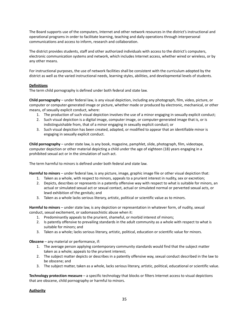The Board supports use of the computers, Internet and other network resources in the district's instructional and operational programs in order to facilitate learning, teaching and daily operations through interpersonal communications and access to inform, research and collaboration.

The district provides students, staff and other authorized individuals with access to the district's computers, electronic communication systems and network, which includes Internet access, whether wired or wireless, or by any other means.

For instructional purposes, the use of network facilities shall be consistent with the curriculum adopted by the district as well as the varied instructional needs, learning styles, abilities, and developmental levels of students.

#### **Definitions**

The term child pornography is defined under both federal and state law.

**Child pornography** – under federal law, is any visual depiction, including any photograph, film, video, picture, or computer or computer-generated image or picture, whether made or produced by electronic, mechanical, or other means, of sexually explicit conduct, where:

- 1. The production of such visual depiction involves the use of a minor engaging in sexually explicit conduct;
- 2. Such visual depiction is a digital image, computer image, or computer-generated image that is, or is indistinguishable from, that of a minor engaging in sexually explicit conduct; or
- 3. Such visual depiction has been created, adapted, or modified to appear that an identifiable minor is engaging in sexually explicit conduct.

**Child pornography** – under state law, is any book, magazine, pamphlet, slide, photograph, film, videotape, computer depiction or other material depicting a child under the age of eighteen (18) years engaging in a prohibited sexual act or in the simulation of such act.

The term harmful to minors is defined under both federal and state law.

**Harmful to minors** – under federal law, is any picture, image, graphic image file or other visual depiction that:

- 1. Taken as a whole, with respect to minors, appeals to a prurient interest in nudity, sex or excretion;
- 2. Depicts, describes or represents in a patently offensive way with respect to what is suitable for minors, an actual or simulated sexual act or sexual contact, actual or simulated normal or perverted sexual acts, or lewd exhibition of the genitals; and
- 3. Taken as a whole lacks serious literary, artistic, political or scientific value as to minors.

**Harmful to minors** – under state law, is any depiction or representation in whatever form, of nudity, sexual conduct, sexual excitement, or sadomasochistic abuse when it:

- 1. Predominantly appeals to the prurient, shameful, or morbid interest of minors;
- 2. Is patently offensive to prevailing standards in the adult community as a whole with respect to what is suitable for minors; and
- 3. Taken as a whole; lacks serious literary, artistic, political, education or scientific value for minors.

**Obscene** – any material or performance, if:

- 1. The average person applying contemporary community standards would find that the subject matter taken as a whole; appeals to the prurient interest;
- 2. The subject matter depicts or describes in a patently offensive way, sexual conduct described in the law to be obscene; and
- 3. The subject matter, taken as a whole, lacks serious literary, artistic, political, educational or scientific value.

**Technology protection measure** – a specific technology that blocks or filters Internet access to visual depictions that are obscene, child pornography or harmful to minors.

#### **Authority**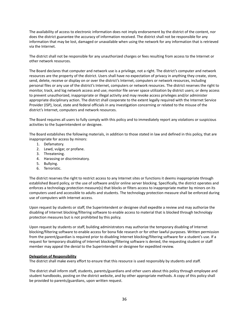The availability of access to electronic information does not imply endorsement by the district of the content, nor does the district guarantee the accuracy of information received. The district shall not be responsible for any information that may be lost, damaged or unavailable when using the network for any information that is retrieved via the Internet.

The district shall not be responsible for any unauthorized charges or fees resulting from access to the Internet or other network resources.

The Board declares that computer and network use is a privilege, not a right. The district's computer and network resources are the property of the district. Users shall have no expectation of privacy in anything they create, store, send, delete, receive or display on or over the district's Internet, computers or network resources, including personal files or any use of the district's Internet, computers or network resources. The district reserves the right to monitor, track, and log network access and use; monitor file server space utilization by district users; or deny access to prevent unauthorized, inappropriate or illegal activity and may revoke access privileges and/or administer appropriate disciplinary action. The district shall cooperate to the extent legally required with the Internet Service Provider (ISP), local, state and federal officials in any investigation concerning or related to the misuse of the district's Internet, computers and network resources.

The Board requires all users to fully comply with this policy and to immediately report any violations or suspicious activities to the Superintendent or designee.

The Board establishes the following materials, in addition to those stated in law and defined in this policy, that are inappropriate for access by minors:

- 1. Defamatory.
- 2. Lewd, vulgar, or profane.
- 3. Threatening.
- 4. Harassing or discriminatory.
- 5. Bullying.
- 6. Terroristic.

The district reserves the right to restrict access to any Internet sites or functions it deems inappropriate through established Board policy, or the use of software and/or online server blocking. Specifically, the district operates and enforces a technology protection measure(s) that blocks or filters access to inappropriate matter by minors on its computers used and accessible to adults and students. The technology protection measure shall be enforced during use of computers with Internet access.

Upon request by students or staff, the Superintendent or designee shall expedite a review and may authorize the disabling of Internet blocking/filtering software to enable access to material that is blocked through technology protection measures but is not prohibited by this policy.

Upon request by students or staff, building administrators may authorize the temporary disabling of Internet blocking/filtering software to enable access for bona fide research or for other lawful purposes. Written permission from the parent/guardian is required prior to disabling Internet blocking/filtering software for a student's use. If a request for temporary disabling of Internet blocking/filtering software is denied, the requesting student or staff member may appeal the denial to the Superintendent or designee for expedited review.

#### **Delegation of Responsibility**

The district shall make every effort to ensure that this resource is used responsibly by students and staff.

The district shall inform staff, students, parents/guardians and other users about this policy through employee and student handbooks, posting on the district website, and by other appropriate methods. A copy of this policy shall be provided to parents/guardians, upon written request.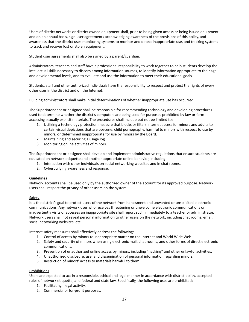Users of district networks or district-owned equipment shall, prior to being given access or being issued equipment and on an annual basis, sign user agreements acknowledging awareness of the provisions of this policy, and awareness that the district uses monitoring systems to monitor and detect inappropriate use, and tracking systems to track and recover lost or stolen equipment.

Student user agreements shall also be signed by a parent/guardian.

Administrators, teachers and staff have a professional responsibility to work together to help students develop the intellectual skills necessary to discern among information sources, to identify information appropriate to their age and developmental levels, and to evaluate and use the information to meet their educational goals.

Students, staff and other authorized individuals have the responsibility to respect and protect the rights of every other user in the district and on the Internet.

Building administrators shall make initial determinations of whether inappropriate use has occurred.

The Superintendent or designee shall be responsible for recommending technology and developing procedures used to determine whether the district's computers are being used for purposes prohibited by law or form accessing sexually explicit materials. The procedures shall include but not be limited to:

- 1. Utilizing a technology protection measure that blocks or filters Internet access for minors and adults to certain visual depictions that are obscene, child pornography, harmful to minors with respect to use by minors, or determined inappropriate for use by minors by the Board.
- 2. Maintaining and securing a usage log.
- 3. Monitoring online activities of minors.

The Superintendent or designee shall develop and implement administrative regulations that ensure students are educated on network etiquette and another appropriate online behavior, including:

- 1. Interaction with other individuals on social networking websites and in chat rooms.
- 2. Cyberbullying awareness and response.

## **Guidelines**

Network accounts shall be used only by the authorized owner of the account for its approved purpose. Network users shall respect the privacy of other users on the system.

## **Safety**

It is the district's goal to protect users of the network from harassment and unwanted or unsolicited electronic communications. Any network user who receives threatening or unwelcome electronic communications or inadvertently visits or accesses an inappropriate site shall report such immediately to a teacher or administrator. Network users shall not reveal personal information to other users on the network, including chat rooms, email, social networking websites, etc.

Internet safety measures shall effectively address the following:

- 1. Control of access by minors to inappropriate matter on the Internet and World Wide Web.
- 2. Safety and security of minors when using electronic mail, chat rooms, and other forms of direct electronic communications.
- 3. Prevention of unauthorized online access by minors, including "hacking" and other unlawful activities.
- 4. Unauthorized disclosure, use, and dissemination of personal information regarding minors.
- 5. Restriction of minors' access to materials harmful to them.

#### **Prohibitions**

Users are expected to act in a responsible, ethical and legal manner in accordance with district policy, accepted rules of network etiquette, and federal and state law. Specifically, the following uses are prohibited:

- 1. Facilitating illegal activity.
- 2. Commercial or for-profit purposes.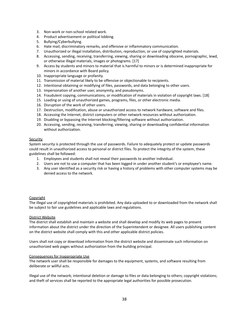- 3. Non-work or non-school related work.
- 4. Product advertisement or political lobbing.
- 5. Bullying/Cyberbullying.
- 6. Hate mail, discriminatory remarks, and offensive or inflammatory communication.
- 7. Unauthorized or illegal installation, distribution, reproduction, or use of copyrighted materials.
- 8. Accessing, sending, receiving, transferring, viewing, sharing or downloading obscene, pornographic, lewd, or otherwise illegal materials, images or photograms. [17]
- 9. Access by students and minors to material that is harmful to minors or is determined inappropriate for minors in accordance with Board policy.
- 10. Inappropriate language or profanity.
- 11. Transmission of material likely to be offensive or objectionable to recipients.
- 12. Intentional obtaining or modifying of files, passwords, and data belonging to other users.
- 13. Impersonation of another user, anonymity, and pseudonyms.
- 14. Fraudulent copying, communications, or modification of materials in violation of copyright laws. [18]
- 15. Loading or using of unauthorized games, programs, files, or other electronic media.
- 16. Disruption of the work of other users.
- 17. Destruction, modification, abuse or unauthorized access to network hardware, software and files.
- 18. Accessing the Internet, district computers or other network resources without authorization.
- 19. Disabling or bypassing the Internet blocking/filtering software without authorization.
- 20. Accessing, sending, receiving, transferring, viewing, sharing or downloading confidential information without authorization.

#### **Security**

System security is protected through the use of passwords. Failure to adequately protect or update passwords could result in unauthorized access to personal or district files. To protect the integrity of the system, these guidelines shall be followed:

- 1. Employees and students shall not reveal their passwords to another individual.
- 2. Users are not to use a computer that has been logged in under another student's or employee's name.
- 3. Any user identified as a security risk or having a history of problems with other computer systems may be denied access to the network.

#### **Copyright**

The illegal use of copyrighted materials is prohibited. Any data uploaded to or downloaded from the network shall be subject to fair use guidelines and applicable laws and regulations.

#### District Website

The district shall establish and maintain a website and shall develop and modify its web pages to present information about the district under the direction of the Superintendent or designee. All users publishing content on the district website shall comply with this and other applicable district policies.

Users shall not copy or download information from the district website and disseminate such information on unauthorized web pages without authorization from the building principal.

#### Consequences for Inappropriate Use

The network user shall be responsible for damages to the equipment, systems, and software resulting from deliberate or willful acts.

Illegal use of the network; intentional deletion or damage to files or data belonging to others; copyright violations; and theft of services shall be reported to the appropriate legal authorities for possible prosecution.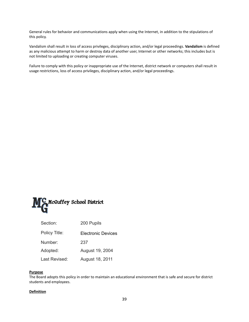General rules for behavior and communications apply when using the Internet, in addition to the stipulations of this policy.

Vandalism shall result in loss of access privileges, disciplinary action, and/or legal proceedings. **Vandalism** is defined as any malicious attempt to harm or destroy data of another user, Internet or other networks; this includes but is not limited to uploading or creating computer viruses.

Failure to comply with this policy or inappropriate use of the Internet, district network or computers shall result in usage restrictions, loss of access privileges, disciplinary action, and/or legal proceedings.



| Section:      | 200 Pupils         |  |
|---------------|--------------------|--|
| Policy Title: | Electronic Devices |  |
| Number:       | 237                |  |
| Adopted:      | August 19, 2004    |  |
| Last Revised: | August 18, 2011    |  |

## **Purpose**

The Board adopts this policy in order to maintain an educational environment that is safe and secure for district students and employees.

## **Definition**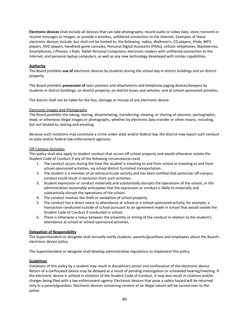**Electronic devices** shall include all devices that can take photographs; record audio or video data; store, transmit or receive messages or images; or provide a wireless, unfiltered connection to the Internet. Examples of these electronic devices include, but shall not be limited to, the following: radios, Walkman's, CD players, iPods, MP3 players, DVD players, handheld game consoles, Personal Digital Assistants (PDAs), cellular telephones, Blackberries, Smartphones, I-Phones, I-Pads, Tablet Personal Computers, electronic readers with unfiltered connection to the Internet, and personal laptop computers, as well as any new technology developed with similar capabilities.

## **Authority**

The Board prohibits **use of** electronic devices by students during the school day in district buildings and on district property.

The Board prohibits **possession of** laser pointers and attachments and telephone paging devices/beepers by students in district buildings; on district property; on district buses and vehicles; and at school-sponsored activities.

The district shall not be liable for the loss, damage or misuse of any electronic device.

### Electronic Images and Photographs

The Board prohibits the taking, storing, disseminating, transferring, viewing, or sharing of obscene, pornographic, lewd, or otherwise illegal images or photographs, whether by electronic data transfer or other means, including, but not limited to, texting and emailing.

Because such violations may constitute a crime under state and/or federal law, the district may report such conduct to state and/or federal law enforcement agencies.

### Off-Campus Activities

This policy shall also apply to student conduct that occurs off school property and would otherwise violate the Student Code of Conduct if any of the following circumstances exist:

- 1. The conduct occurs during the time the student is traveling to and from school or traveling to and from school-sponsored activities, via school district furnished transportation.
- 2. The student is a member of an extracurricular activity and has been notified that particular off-campus conduct could result in exclusion from such activities.
- 3. Student expression or conduct materially and substantially disrupts the operations of the school, or the administration reasonably anticipates that the expression or conduct is likely to materially and substantially disrupt the operations of the school.
- 4. The conduct involves the theft or vandalism of school property.
- 5. The conduct has a direct nexus to attendance at school or a school-sponsored activity, for example, a transaction conducted outside of school pursuant to an agreement made in school that would violate the Student Code of Conduct if conducted in school.
- 6. There is otherwise a nexus between the proximity or timing of the conduct in relation to the student's attendance at school or school-sponsored activities.

#### **Delegation of Responsibility**

The Superintendent or designee shall annually notify students, parents/guardians and employees about the Board's electronic device policy.

The Superintendent or designee shall develop administrative regulations to implement this policy.

## **Guidelines**

Violations of this policy by a student may result in disciplinary action and confiscation of the electronic device. Return of a confiscated device may be delayed as a result of pending investigation or scheduled hearing/meeting. If the electronic device is utilized in violation of the Student Code of Conduct, it may also result in citations and/or charges being filed with a law enforcement agency. Electronic devices that pose a safety hazard will be returned only to a parent/guardian. Electronic devices containing content of an illegal nature will be turned over to the police.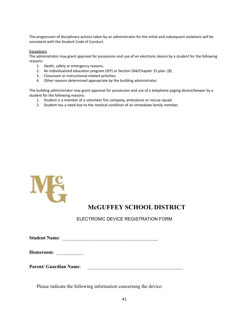The progression of disciplinary actions taken by an administrator for the initial and subsequent violations will be consistent with the Student Code of Conduct.

## **Exceptions**

The administrator may grant approval for possession and use of an electronic device by a student for the following reasons:

- 1. Heath, safety or emergency reasons.
- 2. An individualized education program (IEP) or Section 504/Chapter 15 plan. [8]
- 3. Classroom or instructional-related activities.
- 4. Other reasons determined appropriate by the building administrator.

The building administrator may grant approval for possession and use of a telephone paging device/beeper by a student for the following reasons:

- 1. Student is a member of a volunteer fire company, ambulance or rescue squad.
- 2. Student has a need due to the medical condition of an immediate family member.



## **McGUFFEY SCHOOL DISTRICT**

ELECTRONIC DEVICE REGISTRATION FORM

**Student Name:**  $\blacksquare$ 

**Homeroom**: \_\_\_\_\_\_\_\_\_\_\_

Parent/ Guardian Name:

Please indicate the following information concerning the device: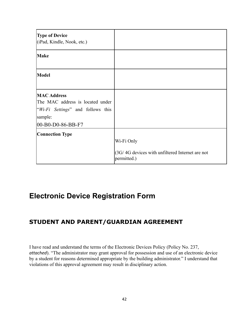| <b>Type of Device</b><br>(iPad, Kindle, Nook, etc.)                                                                         |                                                                              |
|-----------------------------------------------------------------------------------------------------------------------------|------------------------------------------------------------------------------|
| <b>Make</b>                                                                                                                 |                                                                              |
| <b>Model</b>                                                                                                                |                                                                              |
| <b>MAC Address</b><br>The MAC address is located under<br>"Wi-Fi Settings" and follows this<br>sample:<br>00-B0-D0-86-BB-F7 |                                                                              |
| <b>Connection Type</b>                                                                                                      | Wi-Fi Only<br>(3G/4G devices with unfiltered Internet are not<br>permitted.) |

# **Electronic Device Registration Form**

# **STUDENT AND PARENT/GUARDIAN AGREEMENT**

I have read and understand the terms of the Electronic Devices Policy (Policy No. 237, *attached*). "The administrator may grant approval for possession and use of an electronic device by a student for reasons determined appropriate by the building administrator." I understand that violations of this approval agreement may result in disciplinary action.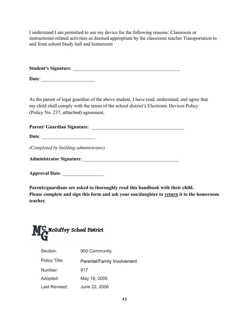I understand I am permitted to use my device for the following reasons: Classroom or instructional-related activities as deemed appropriate by the classroom teacher Transportation to and from school Study hall and homeroom

**Student's Signature**: \_\_\_\_\_\_\_\_\_\_\_\_\_\_\_\_\_\_\_\_\_\_\_\_\_\_\_\_\_\_\_\_\_\_\_\_\_\_\_\_\_\_\_\_

Date:

As the parent of legal guardian of the above student, I have read, understand, and agree that my child shall comply with the terms of the school district's Electronic Devices Policy (Policy No. 237, *attached*) agreement.

| <b>Parent/ Guardian Signature:</b> |
|------------------------------------|
|------------------------------------|

**Date**:

*(Completed by building administrator)*

**Administrator Signature**: \_\_\_\_\_\_\_\_\_\_\_\_\_\_\_\_\_\_\_\_\_\_\_\_\_\_\_\_\_\_\_\_\_\_\_\_\_\_\_

**Approval Date**: \_\_\_\_\_\_\_\_\_\_\_\_\_\_\_\_\_

**Parents/guardians are asked to thoroughly read this handbook with their child. Please complete and sign this form and ask your son/daughter to return it to the homeroom teacher.**



| Section:      | 900 Community               |  |
|---------------|-----------------------------|--|
| Policy Title: | Parental/Family Involvement |  |
| Number:       | 917                         |  |
| Adopted:      | May 19, 2005                |  |
| Last Revised: | June 22, 2006               |  |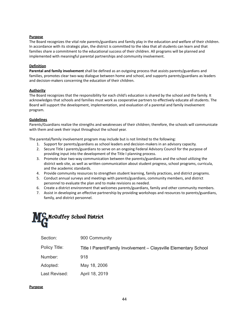## **Purpose**

The Board recognizes the vital role parents/guardians and family play in the education and welfare of their children. In accordance with its strategic plan, the district is committed to the idea that all students can learn and that families share a commitment to the educational success of their children. All programs will be planned and implemented with meaningful parental partnerships and community involvement.

### **Definition**

**Parental and family involvement** shall be defined as an outgoing process that assists parents/guardians and families, promotes clear two-way dialogue between home and school, and supports parents/guardians as leaders and decision-makers concerning the education of their children.

## **Authority**

The Board recognizes that the responsibility for each child's education is shared by the school and the family. It acknowledges that schools and families must work as cooperative partners to effectively educate all students. The Board will support the development, implementation, and evaluation of a parental and family involvement program.

### **Guidelines**

Parents/Guardians realize the strengths and weaknesses of their children; therefore, the schools will communicate with them and seek their input throughout the school year.

The parental/family involvement program may include but is not limited to the following:

- 1. Support for parents/guardians as school leaders and decision-makers in an advisory capacity.
- 2. Secure Title I parents/guardians to serve on an ongoing Federal Advisory Council for the purpose of providing input into the development of the Title I planning process.
- 3. Promote clear two-way communication between the parents/guardians and the school utilizing the district web site, as well as written communication about student progress, school programs, curricula, and the academic standards.
- 4. Provide community resources to strengthen student learning, family practices, and district programs.
- 5. Conduct annual surveys and meetings with parents/guardians, community members, and district personnel to evaluate the plan and to make revisions as needed.
- 6. Create a district environment that welcomes parents/guardians, family and other community members.
- 7. Assist in developing an effective partnership by providing workshops and resources to parents/guardians, family, and district personnel.



| Section:      | 900 Community                                                    |
|---------------|------------------------------------------------------------------|
| Policy Title: | Title I Parent/Family Involvement - Claysville Elementary School |
| Number:       | 918                                                              |
| Adopted:      | May 18, 2006                                                     |
| Last Revised: | April 18, 2019                                                   |
|               |                                                                  |

## **Purpose**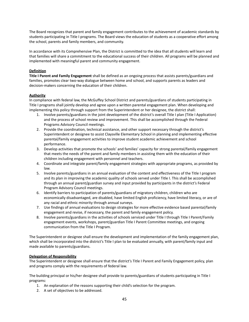The Board recognizes that parent and family engagement contributes to the achievement of academic standards by students participating in Title I programs. The Board views the education of students as a cooperative effort among the school, parents and family members, and community.

In accordance with its Comprehensive Plan, the District is committed to the idea that all students will learn and that families will share a commitment to the educational success of their children. All programs will be planned and implemented with meaningful parent and community engagement.

## **Definition**

**Title I Parent and Family Engagement** shall be defined as an ongoing process that assists parents/guardians and families, promotes clear two-way dialogue between home and school, and supports parents as leaders and decision-makers concerning the education of their children.

## **Authority**

In compliance with federal law, the McGuffey School District and parents/guardians of students participating in Title I programs shall jointly develop and agree upon a written parental engagement plan. When developing and implementing this policy through support from the Superintendent or her designee, the district shall:

- 1. Involve parents/guardians in the joint development of the district's overall Title I plan (Title I Application) and the process of school review and improvement. This shall be accomplished through the Federal Programs Advisory Council meetings.
- 2. Provide the coordination, technical assistance, and other support necessary through the district's Superintendent or designee to assist Claysville Elementary School in planning and implementing effective parental/family engagement activities to improve student academic achievement and school performance.
- 3. Develop activities that promote the schools' and families' capacity for strong parental/family engagement that meets the needs of the parent and family members in assisting them with the education of their children including engagement with personnel and teachers.
- 4. Coordinate and integrate parent/family engagement strategies with appropriate programs, as provided by law.
- 5. Involve parents/guardians in an annual evaluation of the content and effectiveness of the Title I program and its plan in improving the academic quality of schools served under Title I. This shall be accomplished through an annual parent/guardian survey and input provided by participants in the district's Federal Program Advisory Council meetings.
- 6. Identify barriers to participation of parents/guardians of migratory children, children who are economically disadvantaged, are disabled, have limited English proficiency, have limited literacy, or are of any racial and ethnic minority through annual surveys.
- 7. Use findings of annual evaluations to design strategies for more effective evidence based parental/family engagement and revise, if necessary, the parent and family engagement policy.
- 8. Involve parents/guardians in the activities of schools serviced under Title I through Title I Parent/Family engagement events, workshops, parent/guardian Title I Parent Committee meetings, and ongoing communication from the Title I Program.

The Superintendent or designee shall ensure the development and implementation of the family engagement plan, which shall be incorporated into the district's Title I plan to be evaluated annually, with parent/family input and made available to parents/guardians.

## **Delegation of Responsibility**

The Superintendent or designee shall ensure that the district's Title I Parent and Family Engagement policy, plan and programs comply with the requirements of federal law.

The building principal or his/her designee shall provide to parents/guardians of students participating in Title I programs:

- 1. An explanation of the reasons supporting their child's selection for the program.
- 2. A set of objectives to be addressed.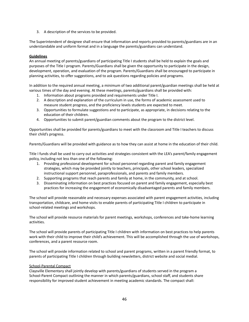3. A description of the services to be provided.

The Superintendent of designee shall ensure that information and reports provided to parents/guardians are in an understandable and uniform format and in a language the parents/guardians can understand.

## **Guidelines**

An annual meeting of parents/guardians of participating Title I students shall be held to explain the goals and purposes of the Title I program. Parents/Guardians shall be given the opportunity to participate in the design, development, operation, and evaluation of the program. Parents/Guardians shall be encouraged to participate in planning activities, to offer suggestions, and to ask questions regarding policies and programs.

In addition to the required annual meeting, a minimum of two additional parent/guardian meetings shall be held at various times of the day and evening. At these meetings, parents/guardians shall be provided with:

- 1. Information about programs provided and requirements under Title I.
- 2. A description and explanation of the curriculum in use, the forms of academic assessment used to measure student progress, and the proficiency levels students are expected to meet.
- 3. Opportunities to formulate suggestions and to participate, as appropriate, in decisions relating to the education of their children.
- 4. Opportunities to submit parent/guardian comments about the program to the district level.

Opportunities shall be provided for parents/guardians to meet with the classroom and Title I teachers to discuss their child's progress.

Parents/Guardians will be provided with guidance as to how they can assist at home in the education of their child.

Title I funds shall be used to carry out activities and strategies consistent with the LEA's parent/family engagement policy, including not less than one of the following:

- 1. Providing professional development for school personnel regarding parent and family engagement strategies, which may be provided jointly to teachers, principals, other school leaders, specialized instructional support personnel, paraprofessionals, and parents and family members.
- 2. Supporting programs that reach parents and family at home, in the community, and at school.
- 3. Disseminating information on best practices focused on parent and family engagement, especially best practices for increasing the engagement of economically disadvantaged parents and family members.

The school will provide reasonable and necessary expenses associated with parent engagement activities, including transportation, childcare, and home visits to enable parents of participating Title I children to participate in school-related meetings and workshops.

The school will provide resource materials for parent meetings, workshops, conferences and take-home learning activities.

The school will provide parents of participating Title I children with information on best practices to help parents work with their child to improve their child's achievement. This will be accomplished through the use of workshops, conferences, and a parent resource room.

The school will provide information related to school and parent programs, written in a parent friendly format, to parents of participating Title I children through building newsletters, district website and social medial.

## School-Parental Compact

Claysville Elementary shall jointly develop with parents/guardians of students served in the program a School-Parent Compact outlining the manner in which parents/guardians, school staff, and students share responsibility for improved student achievement in meeting academic standards. The compact shall: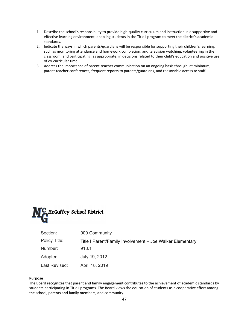- 1. Describe the school's responsibility to provide high-quality curriculum and instruction in a supportive and effective learning environment, enabling students in the Title I program to meet the district's academic standards.
- 2. Indicate the ways in which parents/guardians will be responsible for supporting their children's learning, such as monitoring attendance and homework completion, and television watching; volunteering in the classroom; and participating, as appropriate, in decisions related to their child's education and positive use of co-curricular time.
- 3. Address the importance of parent-teacher communication on an ongoing basis through, at minimum, parent-teacher conferences, frequent reports to parents/guardians, and reasonable access to staff.



| Section:      | 900 Community                                             |
|---------------|-----------------------------------------------------------|
| Policy Title: | Title I Parent/Family Involvement - Joe Walker Elementary |
| Number:       | 918.1                                                     |
| Adopted:      | July 19, 2012                                             |
| Last Revised: | April 18, 2019                                            |

## **Purpose**

The Board recognizes that parent and family engagement contributes to the achievement of academic standards by students participating in Title I programs. The Board views the education of students as a cooperative effort among the school, parents and family members, and community.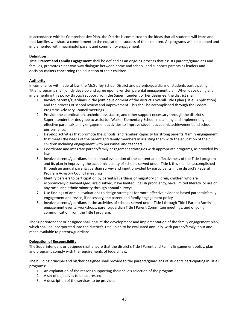In accordance with its Comprehensive Plan, the District is committed to the ideas that all students will learn and that families will share a commitment to the educational success of their children. All programs will be planned and implemented with meaningful parent and community engagement.

## **Definition**

**Title I Parent and Family Engagement** shall be defined as an ongoing process that assists parents/guardians and families, promotes clear two-way dialogue between home and school, and supports parents as leaders and decision-makers concerning the education of their children.

## **Authority**

In compliance with federal law, the McGuffey School District and parents/guardians of students participating in Title I programs shall jointly develop and agree upon a written parental engagement plan. When developing and implementing this policy through support from the Superintendent or her designee, the district shall:

- 1. Involve parents/guardians in the joint development of the district's overall Title I plan (Title I Application) and the process of school review and improvement. This shall be accomplished through the Federal Programs Advisory Council meetings.
- 2. Provide the coordination, technical assistance, and other support necessary through the district's Superintendent or designee to assist Joe Walker Elementary School in planning and implementing effective parental/family engagement activities to improve student academic achievement and school performance.
- 3. Develop activities that promote the schools' and families' capacity for strong parental/family engagement that meets the needs of the parent and family members in assisting them with the education of their children including engagement with personnel and teachers.
- 4. Coordinate and integrate parent/family engagement strategies with appropriate programs, as provided by law.
- 5. Involve parents/guardians in an annual evaluation of the content and effectiveness of the Title I program and its plan in improving the academic quality of schools served under Title I. this shall be accomplished through an annual parent/guardian survey and input provided by participants in the district's Federal Program Advisory Council meetings.
- 6. Identify barriers to participation by parents/guardians of migratory children, children who are economically disadvantaged, are disabled, have limited English proficiency, have limited literacy, or are of any racial and ethnic minority through annual surveys.
- 7. Use findings of annual evaluations to design strategies for more effective evidence based parental/family engagement and revise, if necessary, the parent and family engagement policy
- 8. Involve parents/guardians in the activities of schools served under Title I through Title I Parent/Family engagement events, workshops, parent/guardian Title I Parent Committee meetings, and ongoing communication from the Title I program.

The Superintendent or designee shall ensure the development and implementation of the family engagement plan, which shall be incorporated into the district's Title I plan to be evaluated annually, with parent/family input and made available to parents/guardians.

## **Delegation of Responsibility**

The Superintendent or designee shall ensure that the district's Title I Parent and Family Engagement policy, plan and programs comply with the requirements of federal law.

The building principal and his/her designee shall provide to the parents/guardians of students participating in Title I programs:

- 1. An explanation of the reasons supporting their child's selection of the program.
- 2. A set of objectives to be addressed.
- 3. A description of the services to be provided.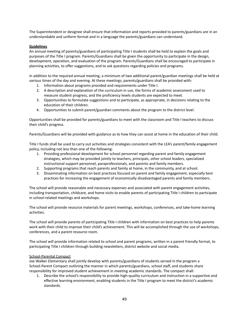The Superintendent or designee shall ensure that information and reports provided to parents/guardians are in an understandable and uniform format and in a language the parents/guardians can understand.

## **Guidelines**

An annual meeting of parents/guardians of participating Title I students shall be held to explain the goals and purposes of the Title I program. Parents/Guardians shall be given the opportunity to participate in the design, development, operation, and evaluation of the program. Parents/Guardians shall be encouraged to participate in planning activities, to offer suggestions, and to ask questions regarding policies and programs.

In addition to the required annual meeting, a minimum of two additional parent/guardian meetings shall be held at various times of the day and evening. At these meetings, parents/guardians shall be provided with:

- 1. Information about programs provided and requirements under Title I.
- 2. A description and explanation of the curriculum in use, the forms of academic assessment used to measure student progress, and the proficiency levels students are expected to meet.
- 3. Opportunities to formulate suggestions and to participate, as appropriate, in decisions relating to the education of their children.
- 4. Opportunities to submit parent/guardian comments about the program to the district level.

Opportunities shall be provided for parents/guardians to meet with the classroom and Title I teachers to discuss their child's progress.

Parents/Guardians will be provided with guidance as to how they can assist at home in the education of their child.

Title I funds shall be used to carry out activities and strategies consistent with the LEA's parent/family engagement policy, including not less than one of the following:

- 1. Providing professional development for school personnel regarding parent and family engagement strategies, which may be provided jointly to teachers, principals, other school leaders, specialized instructional support personnel, paraprofessionals, and parents and family members.
- 2. Supporting programs that reach parents and family at home, in the community, and at school.
- 3. Disseminating information on best practices focused on parent and family engagement, especially best practices for increasing the engagement of economically disadvantaged parents and family members.

The school will provide reasonable and necessary expenses and associated with parent engagement activities, including transportation, childcare, and home visits to enable parents of participating Title I children to participate in school-related meetings and workshops.

The school will provide resource materials for parent meetings, workshops, conferences, and take-home learning activities.

The school will provide parents of participating Title I children with information on best practices to help parents work with their child to improve their child's achievement. This will be accomplished through the use of workshops, conferences, and a parent resource room.

The school will provide information related to school and parent programs, written in a parent friendly format, to participating Title I children through building newsletters, district website and social media.

## School-Parental Compact

Joe Walker Elementary shall jointly develop with parents/guardians of students served in the program a School-Parent Compact outlining the manner in which parents/guardians, school staff, and students share responsibility for improved student achievement in meeting academic standards. The compact shall:

1. Describe the school's responsibility to provide high-quality curriculum and instruction in a supportive and effective learning environment, enabling students in the Title I program to meet the district's academic standards.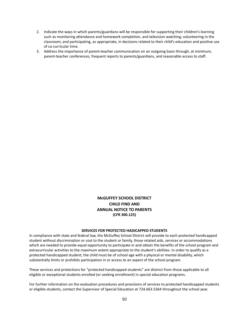- 2. Indicate the ways in which parents/guardians will be responsible for supporting their children's learning such as monitoring attendance and homework completion, and television watching; volunteering in the classroom; and participating, as appropriate, in decisions related to their child's education and positive use of co-curricular time.
- 3. Address the importance of parent-teacher communication on an outgoing basis through, at minimum, parent-teacher conferences, frequent reports to parents/guardians, and reasonable access to staff.

## **McGUFFEY SCHOOL DISTRICT CHILD FIND AND ANNUAL NOTICE TO PARENTS (CFR 300.125)**

#### **SERVICES FOR PROTECTED HADICAPPED STUDENTS**

In compliance with state and federal law, the McGuffey School District will provide to each protected handicapped student without discrimination or cost to the student or family, those related aids, services or accommodations which are needed to provide equal opportunity to participate in and obtain the benefits of the school program and extracurricular activities to the maximum extent appropriate to the student's abilities. In order to qualify as a protected handicapped student; the child must be of school age with a physical or mental disability, which substantially limits or prohibits participation in or access to an aspect of the school program.

These services and protections for "protected handicapped students" are distinct from those applicable to all eligible or exceptional students enrolled (or seeking enrollment) in special education programs.

For further information on the evaluation procedures and provisions of services to protected handicapped students or eligible students, contact the Supervisor of Special Education at 724.663.5364 throughout the school year.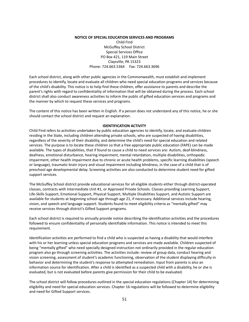## **NOTICE OF SPECIAL EDUCATION SERVICES AND PROGRAMS** Child Find McGuffey School District Special Services Office PO Box 421, 119 Main Street Claysville, PA 15323 Phone: 724.663.5364 Fax: 724.663.3696

Each school district, along with other public agencies in the Commonwealth, must establish and implement procedures to identify, locate and evaluate all children who need special education programs and services because of the child's disability. This notice is to help find these children, offer assistance to parents and describe the parent's rights with regard to confidentiality of information that will be obtained during the process. Each school district shall also conduct awareness activities to inform the public of gifted education services and programs and the manner by which to request these services and programs.

The content of this notice has been written in English. If a person does not understand any of this notice, he or she should contact the school district and request an explanation.

#### **IDENTIFICATION ACTIVITY**

Child Find refers to activities undertaken by public education agencies to identify, locate, and evaluate children residing in the State, including children attending private schools, who are suspected of having disabilities, regardless of the severity of their disability, and determine the child's need for special education and related services. The purpose is to locate these children so that a free appropriate public education (FAPE) can be made available. The types of disabilities, that if found to cause a child to need services are: Autism, deaf-blindness, deafness, emotional disturbance, hearing impairment, mental retardation, multiple disabilities, orthopedic impairment, other health impairment due to chronic or acute health problems, specific learning disabilities (speech or language), traumatic brain injury and visual impairment including blindness, in the case of a child that is of preschool age developmental delay. Screening activities are also conducted to determine student need for gifted support services.

The McGuffey School district provide educational services for all eligible students either through district-operated classes, contracts with Intermediate Unit #1, or Approved Private Schools. Classes providing Learning Support, Life-Skills Support, Emotional Support, Physical Support, Multiple Disabilities Support, and Autistic Support are available for students at beginning school age through age 21, if necessary. Additional services include hearing, vision, and speech and language support. Students found to meet eligibility criteria as "mentally gifted" may receive services through district's Gifted Support programs.

Each school district is required to annually provide notice describing the identification activities and the procedures followed to ensure confidentiality of personally identifiable information. This notice is intended to meet this requirement.

Identification activities are performed to find a child who is suspected as having a disability that would interfere with his or her learning unless special education programs and services are made available. Children suspected of being "mentally gifted" who need specially designed instruction not ordinarily provided in the regular education program also go through screening activities. The activities include: review of group data, conduct hearing and vision screening, assessment of student's academic functioning, observation of the student displaying difficulty in behavior and determining the student's response to attempted remediation. Input from parents is also an information source for identification. After a child is identified as a suspected child with a disability, he or she is evaluated, but is not evaluated before parents give permission for their child to be evaluated.

The school district will follow procedures outlined in the special education regulations (Chapter 14) for determining eligibility and need for special education services. Chapter 16 regulations will be followed to determine eligibility and need for Gifted Support services.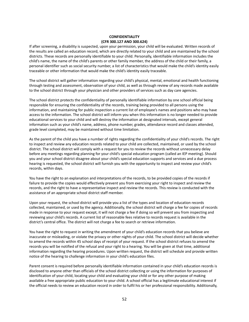### **CONFIDENTIALITY (CFR 300.127 AND 300.624)**

If after screening, a disability is suspected, upon your permission, your child will be evaluated. Written records of the results are called an education record, which are directly related to your child and are maintained by the school districts. These records are personally identifiable to your child. Personally, identifiable information includes the child's name, the name of the child's parents or other family member, the address of the child or their family, a personal identifier such as social security number, a list of characteristics that would make the child's identity easily traceable or other information that would make the child's identity easily traceable.

The school district will gather information regarding your child's physical, mental, emotional and health functioning through testing and assessment, observation of your child, as well as through review of any records made available to the school district through your physician and other providers of services such as day care agencies.

The school district protects the confidentiality of personally identifiable information by one school official being responsible for ensuring the confidentiality of the records, training being provided to all persons using the information, and maintaining for public inspection a current list of employee's names and positions who may have access to the information. The school district will inform you when this information is no longer needed to provide educational services to your child and will destroy the information at designated intervals, except general information such as your child's name, address, phone number, grades, attendance record and classes attended, grade level completed, may be maintained without time limitation.

As the parent of the child you have a number of rights regarding the confidentiality of your child's records. The right to inspect and review any education records related to your child are collected, maintained, or used by the school district. The school district will comply with a request for you to review the records without unnecessary delay before any meetings regarding planning for your child's special education program (called an IEP meeting). Should you and your school district disagree about your child's special education supports and services and a due process hearing is requested, the school district will furnish you with the opportunity to inspect and review your child's records, within days.

You have the right to an explanation and interpretations of the records, to be provided copies of the records if failure to provide the copies would effectively prevent you from exercising your right to inspect and review the records, and the right to have a representative inspect and review the records. This review is conducted with the assistance of an appropriate school district staff member.

Upon your request, the school district will provide you a list of the types and location of education records collected, maintained, or used by the agency. Additionally, the school district will charge a fee for copies of records made in response to your request except, it will not charge a fee if doing so will prevent you from inspecting and reviewing your child's records. A current list of reasonable fees relative to records request is available in the district's central office. The district will not charge a fee to search or retrieve information.

You have the right to request in writing the amendment of your child's education records that you believe are inaccurate or misleading, or violate the privacy or other nights of your child. The school district will decide whether to amend the records within 45 school days of receipt of your request. If the school district refuses to amend the records you will be notified of the refusal and your right to a hearing. You will be given at that time, additional information regarding the hearing procedures. Upon written request, the district will schedule and provide written notice of the hearing to challenge information in your child's education files.

Parent consent is required before personally identifiable information contained in your child's education records is disclosed to anyone other than officials of the school district collecting or using the information for purposes of identification of your child, locating your child and evaluating your child or for any other purpose of making available a free appropriate public education to your child. A school official has a legitimate educational interest if the official needs to review an education record in order to fulfil his or her professional responsibility. Additionally,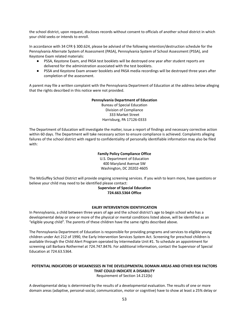the school district, upon request, discloses records without consent to officials of another school district in which your child seeks or intends to enroll.

In accordance with 34 CFR § 300.624, please be advised of the following retention/destruction schedule for the Pennsylvania Alternate System of Assessment (PASA), Pennsylvania System of School Assessment (PSSA), and Keystone Exam related materials:

- PSSA, Keystone Exam, and PASA test booklets will be destroyed one year after student reports are delivered for the administration associated with the test booklets.
- PSSA and Keystone Exam answer booklets and PASA media recordings will be destroyed three years after completion of the assessment.

A parent may file a written complaint with the Pennsylvania Department of Education at the address below alleging that the rights described in this notice were not provided.

### **Pennsylvania Department of Education**

Bureau of Special Education Division of Compliance 333 Market Street Harrisburg, PA 17126-0333

The Department of Education will investigate the matter, issue a report of findings and necessary corrective action within 60 days. The Department will take necessary action to ensure compliance is achieved. Complaints alleging failures of the school district with regard to confidentiality of personally identifiable information may also be filed with:

## **Family Policy Compliance Office**

U.S. Department of Education 400 Maryland Avenue SW Washington, DC 20202-4605

The McGuffey School District will provide ongoing screening services. If you wish to learn more, have questions or believe your child may need to be identified please contact:

## **Supervisor of Special Education 724.663.5364 Office**

## **EALRY INTERVENTION IDENTIFICATION**

In Pennsylvania, a child between three years of age and the school district's age to begin school who has a developmental delay or one or more of the physical or mental conditions listed above, will be identified as an "eligible young child". The parents of these children have the same rights described above.

The Pennsylvania Department of Education is responsible for providing programs and services to eligible young children under Act 212 of 1990, the Early Intervention Services System Act. Screening for preschool children is available through the Child Alert Program operated by Intermediate Unit #1. To schedule an appointment for screening call Barbara Rothermel at 724.747.8476. For additional information, contact the Supervisor of Special Education at 724.63.5364.

## **POTENTIAL INDICATORS OF WEAKNESSES IN THE DEVELOPMENTAL DOMAIN AREAS AND OTHER RISK FACTORS THAT COULD INDICATE A DISABILITY**

Requirement of Section 14.212(b)

A developmental delay is determined by the results of a developmental evaluation. The results of one or more domain areas (adaptive, personal-social, communication, motor or cognitive) have to show at least a 25% delay or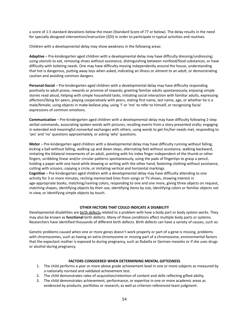a score of 1.5 standard deviations below the mean (Standard Score of 77 or below). The delay results in the need for specially designed intervention/instruction (SDI) in order to participate in typical activities and routines.

Children with a developmental delay may show weakness in the following areas:

**Adaptive** – Pre-kindergarten aged children with a developmental delay may have difficulty dressing/undressing; using utensils to eat, removing shoes without assistance, distinguishing between nonfood/food substances, or have difficulty with toileting needs. One may have difficulty moving independently around the house, understanding that hot is dangerous, putting away toys when asked, indicating an illness or ailment to an adult, or demonstrating caution and avoiding common dangers.

**Personal-Social** – Pre-kindergarten aged children with a developmental delay may have difficulty responding positively to adult praise, rewards or promise of rewards; greeting familiar adults spontaneously, enjoying simple stories read aloud, helping with simple household tasks, initiating social interaction with familiar adults, expressing affection/liking for peers, playing cooperatively with peers, stating first name, last name, age, or whether he is a male/female; using objects in make-believe play, using 'I' or 'me' to refer to himself, or recognizing facial expressions of common emotions.

**Communication** – Pre-kindergarten aged children with a developmental delay may have difficulty following 2-step verbal commands, associating spoken words with pictures, recalling events from a story presented orally; engaging in extended and meaningful nonverbal exchanges with others, using words to get his/her needs met, responding to 'yes' and 'no' questions approximately, or asking 'why' questions.

**Motor** – Pre-kindergarten aged children with a developmental delay may have difficulty running without falling, kicking a ball without falling, walking up and down steps, alternating feet without assistance, walking backward, imitating the bilateral movements of an adult, pointing with his index finger independent of the thumb or other fingers, scribbling linear and/or circular patterns spontaneously, using the pads of fingertips to grasp a pencil, holding a paper with one hand while drawing or writing with the other hand, fastening clothing without assistance, cutting with scissors, copying a circle, or imitating vertical and horizontal markings.

**Cognitive** – Pre-kindergarten aged children with a developmental delay may have difficulty attending to one activity for 3 or more minutes, reciting memorized lines from songs or TV shows, showing interest in age-appropriate books, matching/naming colors, responding to one and one more, giving three objects on request, matching shapes, identifying objects by their use, identifying items by size, identifying colors or familiar objects not in view, or identifying simple objects by touch.

#### **OTHER FACTORS THAT COULD INDICATE A DISABILITY**

Developmental disabilities are birth defects related to a problem with how a body part or body system works. They may also be known as **functional** birth defects. Many of these conditions affect multiple body parts or systems. Researchers have identified thousands of different birth defects. Birth defects can have a variety of causes, such as:

Genetic problems caused when one or more genes doesn't work properly or part of a gene is missing, problems with chromosomes, such as having an extra chromosome or missing part of a chromosome, environmental factors that the expectant mother is exposed to during pregnancy, such as Rubella or German measles or if she uses drugs or alcohol during pregnancy.

#### **FACTORS CONSIDERED WHEN DETERMINING MENTAL GIFTEDNESS**

- 1. The child performs a year or more above grade achievement level in one or more subjects as measured by a nationally normed and validated achievement test.
- 2. The child demonstrates rates of acquisition/retention of content and skills reflecting gifted ability.
- 3. The child demonstrates achievement, performance, or expertise in one or more academic areas as evidenced by products, portfolios or research, as well as criterion-referenced team judgment.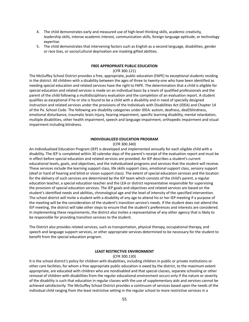- 4. The child demonstrates early and measured use of high-level thinking skills, academic creativity, leadership skills, intense academic interest, communication skills, foreign language aptitude, or technology expertise.
- 5. The child demonstrates that intervening factors such as English as a second language, disabilities, gender or race bias, or socio/cultural deprivation are masking gifted abilities.

#### **FREE APPROPRIATE PUBLIC EDUCATION**

#### (CFR 300.121)

The McGuffey School District provides a free, appropriate, public education (FAPE) to exceptional students residing in the district. All children with a disability between the ages of three to twenty-one who have been identified as needing special education and related services have the right to FAPE. The determination that a child is eligible for special education and related services is made on an individual basis by a team of qualified professionals and the parent of the child following a multidisciplinary evaluation and the completion of an evaluation report. A student qualifies as exceptional if he or she is found to be a child with a disability and in need of specially designed instruction and related services under the provisions of the Individuals with Disabilities Act (IDEA) and Chapter 14 of the Pa. School Code. The following are disability categories under IDEA: autism, deafness, deaf/blindness, emotional disturbance, traumatic brain injury, hearing impairment, specific learning disability, mental retardation, multiple disabilities, other health impairment, speech and language impairment, orthopedic impairment and visual impairment including blindness.

#### **INDIVIDUALIZED EDUCATION PROGRAM**

#### (CFR 300.340)

An Individualized Education Program (IEP) is developed and implemented annually for each eligible child with a disability. The IEP is completed within 30 calendar days of the parent's receipt of the evaluation report and must be in effect before special education and related services are provided. An IEP describes a student's current educational levels, goals, and objectives, and the individualized programs and services that the student will receive. These services include the learning support class, life skills support class, emotional support class, sensory support (deaf or hard of hearing and blind or vision support class). The extent of special education services and the location for the delivery of such services are determined by the IEP team which consists of the child's parent, a regular education teacher, a special education teacher and the LEA or district representative responsible for supervising the provision of special education services. The IEP goals and objectives and related services are based on the student's identified needs and abilities, chronological age and the level of intensity of the specified intervention. The school district will invite a student with a disability of any age to attend his or her IEP meeting if a purpose of the meeting will be the consideration of the student's transition service's needs. If the student does not attend the IEP meeting, the district will take other steps to ensure that the student's preferences and interests are considered. In implementing these requirements, the district also invites a representative of any other agency that is likely to be responsible for providing transition services to the student.

The District also provides related services, such as transportation, physical therapy, occupational therapy, and speech and language support services, or other appropriate services determined to be necessary for the student to benefit from the special education program.

#### **LEAST RESTRICTIVE ENVIRONMENT**

#### (CFR 300.130)

It is the school district's policy for children with disabilities, including children in public or private institutions or other care facilities, for whom a free appropriate public education is owed by the district, to the maximum extent appropriate, are educated with children who are nondisabled and that special classes, separate schooling or other removal of children with disabilities from the regular educational environment occurs only if the nature or severity of the disability is such that education in regular classes with the use of supplementary aids and services cannot be achieved satisfactorily. The McGuffey School District provides a continuum of services based upon the needs of the individual child ranging from the least restrictive setting in the regular school to more restrictive services in a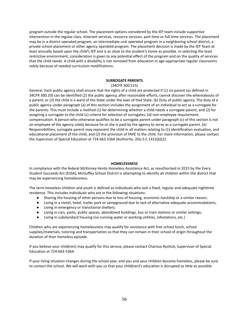program outside the regular school. The placement options considered by the IEP team include supportive intervention in the regular class, itinerant services, resource services, part-time or full-time services. The placement may be in a district operated program, an intermediate unit operated program in a neighboring school district, a private school placement or other agency operated program. The placement decision is made by the IEP Team at least annually based upon the child's IEP and is as close to the student's home as possible. In selecting the least restrictive environment, consideration is given to any potential effect of the program and on the quality of services that the child needs. A child with a disability is not removed from education in age-appropriate regular classrooms solely because of needed curriculum modifications.

#### **SURROGATE PARENTS**

#### (34CFR 300.515)

General. Each public agency shall ensure that the rights of a child are protected if (1) no parent (as defined in 34CFR 300.20) can be identified (2) the public agency, after reasonable efforts, cannot discover the whereabouts of a parent; or (3) the child is a ward of the State under the laws of that State. (b) Duty of public agency. The duty of a public agency under paragraph (a) of this section includes the assignment of an individual to act as a surrogate for the parents. This must include a method (1) for determining whether a child needs a surrogate parent; and (2) for assigning a surrogate to the child (c) criteria for selection of surrogates, (d) non-employee requirement; compensation. A person who otherwise qualifies to be a surrogate parent under paragraph (c) of this section is not an employee of the agency solely because he or she is paid by the agency to serve as a surrogate parent. (e) Responsibilities; surrogate parent may represent the child in all matters relating to (1) identification evaluation, and educational placement of the child; and (2) the provision of FAPE to the child. For more information, please contact the Supervisor of Special Education at 724.663.5364 (Authority: 20U.S.C 1415(b)(2).

## **HOMELESSNESS**

In compliance with the federal McKinney-Vento Homeless Assistance Act, as reauthorized in 2015 by the Every Student Succeeds Act (ESSA), McGuffey School District is attempting to identify all children within the district that may be experiencing homelessness.

The term homeless children and youth is defined as individuals who lack a fixed, regular and adequate nighttime residence. This includes individuals who are in the following situations:

- Sharing the housing of other persons due to loss of housing, economic hardship or a similar reason;
- Living in a motel, hotel, trailer park or campground due to lack of alternative adequate accommodations;
- Living in emergency or transitional shelters;
- Living in cars, parks, public spaces, abandoned buildings, bus or train stations or similar settings;
- Living in substandard housing (no running water or working utilities, infestations, etc.)

Children who are experiencing homelessness may qualify for assistance with free school lunch, school supplies/materials, tutoring and transportation so that they can remain in their school of origin throughout the duration of their homeless episode.

If you believe your child(ren) may qualify for this service, please contact Charissa Rychick, Supervisor of Special Education at 724-663-5364.

If your living situation changes during the school year, and you and your children become homeless, please be sure to contact the school. We will work with you so that your child(ren)'s education is disrupted as little as possible.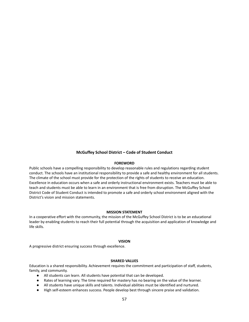## **McGuffey School District – Code of Student Conduct**

#### **FOREWORD**

Public schools have a compelling responsibility to develop reasonable rules and regulations regarding student conduct. The schools have an institutional responsibility to provide a safe and healthy environment for all students. The climate of the school must provide for the protection of the rights of students to receive an education. Excellence in education occurs when a safe and orderly instructional environment exists. Teachers must be able to teach and students must be able to learn in an environment that is free from disruption. The McGuffey School District Code of Student Conduct is intended to promote a safe and orderly school environment aligned with the District's vision and mission statements.

#### **MISSION STATEMENT**

In a cooperative effort with the community, the mission of the McGuffey School District is to be an educational leader by enabling students to reach their full potential through the acquisition and application of knowledge and life skills.

#### **VISION**

A progressive district ensuring success through excellence.

#### **SHARED VALUES**

Education is a shared responsibility. Achievement requires the commitment and participation of staff, students, family, and community.

- All students can learn. All students have potential that can be developed.
- Rates of learning vary. The time required for mastery has no bearing on the value of the learner.
- All students have unique skills and talents. Individual abilities must be identified and nurtured.
- High self-esteem enhances success. People develop best through sincere praise and validation.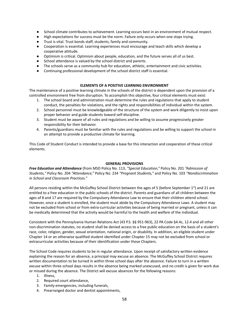- School climate contributes to achievement. Learning occurs best in an environment of mutual respect.
- High expectations for success must be the norm. Failure only occurs when one stops trying.
- Trust is vital. Trust bonds staff, students, family and community.
- Cooperation is essential. Learning experiences must encourage and teach skills which develop a cooperative attitude.
- Optimism is critical. Optimism about people, education, and the future serves all of us best.
- School attendance is valued by the school district and parents.
- The schools serve as a community hub for education, athletic, entertainment and civic activities.
- Continuing professional development of the school district staff is essential.

#### **ELEMENTS OF A POSITIVE LEARNING ENVIRONMENT**

The maintenance of a positive learning climate in the schools of the district is dependent upon the provision of a controlled environment free from disruption. To accomplish this objective, four critical elements must exist:

- 1. The school board and administration must determine the rules and regulations that apply to student conduct, the penalties for violations, and the rights and responsibilities of individual within the system.
- 2. School personnel must be knowledgeable of the structure of the system and work diligently to insist upon proper behavior and guide students toward self-discipline.
- 3. Student must be aware of all rules and regulations and be willing to assume progressively greater responsibility for their behavior.
- 4. Parents/guardians must be familiar with the rules and regulations and be willing to support the school in an attempt to provide a productive climate for learning.

This Code of Student Conduct is intended to provide a base for this interaction and cooperation of these critical elements.

#### **GENERAL PROVISIONS**

*Free Education and Attendance* (from MSD Policy No. 113, *"Special Education,"* Policy No. 201 *"Admission of Students,"* Policy No. 204 *"Attendance,"* Policy No. 234 *"Pregnant Students,"* and Policy No. 103 *"Nondiscrimination in School and Classroom Practices."*

All persons residing within the McGuffey School District between the ages of 5 (before September 1<sup>st</sup>) and 21 are entitled to a free education in the public schools of the district. Parents and guardians of all children between the ages of 8 and 17 are required by the Compulsory Attendance Law to ensure that their children attend school. However, once a student is enrolled, the student must abide by the Compulsory Attendance Laws. A student may not be excluded from school or from extra-curricular activities because of being married or pregnant, unless it can be medically determined that the activity would be harmful to the health and welfare of the individual.

Consistent with the Pennsylvania Human Relations Act (43 P.S. §§ 951-963), 22 PA Code §4.4c, 12.4 and all other non-discrimination statutes, no student shall be denied access to a free public education on the basis of a student's race, color, religion, gender, sexual orientation, national origin, or disability. In addition, an eligible student under Chapter 14 or an otherwise qualified student identified under Chapter 15 may not be excluded from school or extracurricular activities because of their identification under those Chapters.

The School Code requires students to be in regular attendance. Upon receipt of satisfactory written evidence explaining the reason for an absence, a principal may excuse an absence. The McGuffey School District requires written documentation to be turned in within three school days after the absence. Failure to turn in a written excuse within three school days results in the absence being marked unexcused, and no credit is given for work due or missed during the absence. The District will excuse absences for the following reasons:

- 1. Illness,
- 2. Required court attendance,
- 3. Family emergencies, including funerals,
- 4. Prearranged doctor and dentist appointments,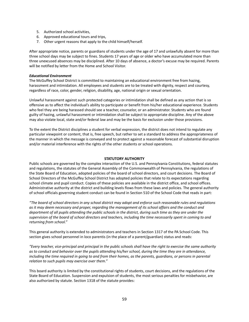- 5. Authorized school activities,
- 6. Approved educational tours and trips,
- 7. Other urgent reasons that apply to the child himself/herself.

After appropriate notice, parents or guardians of students under the age of 17 and unlawfully absent for more than three school days may be subject to fines. Students 17 years of age or older who have accumulated more than three unexcused absences may be disciplined. After 10 days of absence, a doctor's excuse may be required. Parents will be notified by letter from the Home and School Visitor.

#### *Educational Environment*

The McGuffey School District is committed to maintaining an educational environment free from hazing, harassment and intimidation. All employees and students are to be treated with dignity, respect and courtesy, regardless of race, color, gender, religion, disability, age, national origin or sexual orientation.

Unlawful harassment against such protected categories or intimidation shall be defined as any action that is so offensive as to affect the individual's ability to participate or benefit from his/her educational experience. Students who feel they are being harassed should see a teacher, counselor, or an administrator. Students who are found guilty of hazing, unlawful harassment or intimidation shall be subject to appropriate discipline. Any of the above may also violate local, state and/or federal law and may be the basis for exclusion under those provisions.

To the extent the District disciplines a student for verbal expression, the district does not intend to regulate any particular viewpoint or content, that is, free speech, but rather to set a standard to address the appropriateness of the manner in which the message is conveyed and to protect against a reasonable forecast of substantial disruption and/or material interference with the rights of the other students or school operations.

#### **STATUTORY AUTHORITY**

Public schools are governed by the complex interaction of the U.S. and Pennsylvania Constitutions, federal statutes and regulations, the statutes of the General Assembly of the Commonwealth of Pennsylvania, the regulations of the State Board of Education, adopted policies of the board of school directors, and court decisions. The Board of School Directors of the McGuffey School District has adopted policies that relate to its expectations regarding school climate and pupil conduct. Copies of these policies are available in the district office, and school offices. Administrative authority at the district and building levels flows from these laws and policies. The general authority of school officials governing student conduct can be found in Section 510 of the School Code that reads in part:

"The board of school directors in any school district may adopt and enforce such reasonable rules and regulations as it may deem necessary and proper, regarding the management of its school affairs and the conduct and deportment of all pupils attending the public schools in the district, during such time as they are under the supervision of the board of school directors and teachers, including the time necessarily spent in coming to and *returning from school."*

This general authority is extended to administrators and teachers in Section 1317 of the PA School Code. This section gives school personnel in loco parentis (in the place of a parent/guardian) status and reads:

"Every teacher, vice-principal and principal in the public schools shall have the right to exercise the same authority as to conduct and behavior over the pupils attending his/her school, during the time they are in attendance, including the time required in going to and from their homes, as the parents, guardians, or persons in parental *relation to such pupils may exercise over them."*

This board authority is limited by the constitutional rights of students, court decisions, and the regulations of the State Board of Education. Suspension and expulsion of students, the most serious penalties for misbehavior, are also authorized by statute. Section 1318 of the statute provides: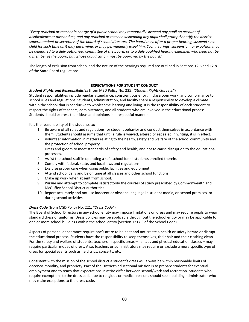"Every principal or teacher in charge of a public school may temporarily suspend any pupil on account of *disobedience or misconduct, and any principal or teacher suspending any pupil shall promptly notify the district* superintendent or secretary of the board of school directors. The board may, after a proper hearing, suspend such child for such time as it may determine, or may permanently expel him. Such hearings, suspension, or expulsion may be delegated to a duly authorized committee of the board, or to a duly qualified hearing examiner, who need not be *a member of the board, but whose adjudication must be approved by the board."*

The length of exclusion from school and the nature of the hearings required are outlined in Sections 12.6 and 12.8 of the State Board regulations.

## **EXPECTATIONS FOR STUDENT CONDUCT**

## *Student Rights and Responsibilities* (from MSD Policy No. 235, *"Student Rights/Surveys"*)

Student responsibilities include regular attendance, conscientious effort in classroom work, and conformance to school rules and regulations. Students, administration, and faculty share a responsibility to develop a climate within the school that is conducive to wholesome learning and living. It is the responsibility of each student to respect the rights of teachers, administrators, and all students who are involved in the educational process. Students should express their ideas and opinions in a respectful manner.

It is the reasonability of the students to:

- 1. Be aware of all rules and regulations for student behavior and conduct themselves in accordance with them. Students should assume that until a rule is waived, altered or repealed in writing, it is in effect.
- 2. Volunteer information in matters relating to the health, safety and welfare of the school community and the protection of school property.
- 3. Dress and groom to meet standards of safety and health, and not to cause disruption to the educational processes.
- 4. Assist the school staff in operating a safe school for all students enrolled therein.
- 5. Comply with federal, state, and local laws and regulations.
- 6. Exercise proper care when using public facilities and equipment.
- 7. Attend school daily and be on time at all classes and other school functions.
- 8. Make up work when absent from school.
- 9. Pursue and attempt to complete satisfactorily the courses of study prescribed by Commonwealth and McGuffey School District authorities.
- 10. Report accurately and not use indecent or obscene language in student media, on school premises, or during school activities.

#### *Dress Code* (from MSD Policy No. 221, *"Dress Code"*)

The Board of School Directors in any school entity may impose limitations on dress and may require pupils to wear standard dress or uniforms. Dress policies may be applicable throughout the school entity or may be applicable to one or more school buildings within the school entity (Section 1317.3 of the School Code).

Aspects of personal appearance require one's attire to be neat and not create a health or safety hazard or disrupt the educational process. Students have the responsibility to keep themselves, their hair and their clothing clean. For the safety and welfare of students, teachers in specific areas – i.e. labs and physical education classes – may require particular modes of dress. Also, teachers or administrators may require or exclude a more specific type of dress for special events such as field trips, concerts, etc.

Consistent with the mission of the school district a student's dress will always be within reasonable limits of decency, morality, and propriety. Part of the District's educational mission is to prepare students for eventual employment and to teach that expectations in attire differ between school/work and recreation. Students who require exemptions to the dress code due to religious or medical reasons should see a building administrator who may make exceptions to the dress code.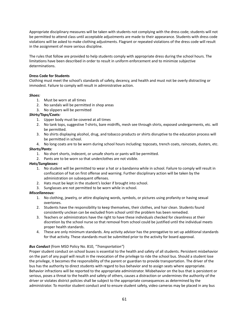Appropriate disciplinary measures will be taken with students not complying with the dress code; students will not be permitted to attend class until acceptable adjustments are made to their appearance. Students with dress code violations will be asked to make clothing adjustments. Flagrant or repeated violations of the dress code will result in the assignment of more serious discipline.

The rules that follow are provided to help students comply with appropriate dress during the school hours. The limitations have been described in order to result in uniform enforcement and to minimize subjective determinations.

## **Dress Code for Students**

Clothing must meet the school's standards of safety, decency, and health and must not be overly distracting or immodest. Failure to comply will result in administrative action.

### *Shoes:*

- 1. Must be worn at all times
- 2. No sandals will be permitted in shop areas
- 3. No slippers will be permitted

### *Shirts/Tops/Coats:*

- 1. Upper body must be covered at all times
- 2. No tank tops, suggestive T-shirts, bare midriffs, mesh see through shirts, exposed undergarments, etc. will be permitted.
- 3. No shirts displaying alcohol, drug, and tobacco products or shirts disruptive to the education process will be permitted in school.
- 4. No long coats are to be worn during school hours including: topcoats, trench coats, raincoats, dusters, etc. *Shorts/Pants:*
	- 1. No short shorts, indecent, or unsafe shorts or pants will be permitted.
	- 2. Pants are to be worn so that underclothes are not visible.

#### *Hats/Sunglasses:*

- 1. No student will be permitted to wear a hat or a bandanna while in school. Failure to comply will result in confiscation of hat on first offense and warning. Further disciplinary action will be taken by the administration on subsequent offenses.
- 2. Hats must be kept in the student's locker if brought into school.
- 3. Sunglasses are not permitted to be worn while in school.

#### *Miscellaneous:*

- 1. No clothing, jewelry, or attire displaying words, symbols, or pictures using profanity or having sexual overtones.
- 2. Students have the responsibility to keep themselves, their clothes, and hair clean. Students found consistently unclean can be excluded from school until the problem has been remedied.
- 3. Teachers or administrators have the right to have these individuals checked for cleanliness at their discretion by the school nurse so that removal from school could be justified until the individual meets proper health standards.
- 4. These are only minimum standards. Any activity advisor has the prerogative to set up additional standards for that activity. These standards must be submitted prior to the activity for board approval.

#### *Bus Conduct* (from MSD Policy No. 810, *"Transportation"*)

Proper student conduct on school buses is essential to the health and safety of all students. Persistent misbehavior on the part of any pupil will result in the revocation of the privilege to ride the school bus. Should a student lose the privilege, it becomes the responsibility of the parent or guardian to provide transportation. The driver of the bus has the authority to direct students with regard to bus behavior and to assign seats where appropriate. Behavior infractions will be reported to the appropriate administrator. Misbehavior on the bus that is persistent or serious, poses a threat to the health and safety of others, causes a distraction or undermines the authority of the driver or violates district policies shall be subject to the appropriate consequences as determined by the administrator. To monitor student conduct and to ensure student safety, video cameras may be placed in any bus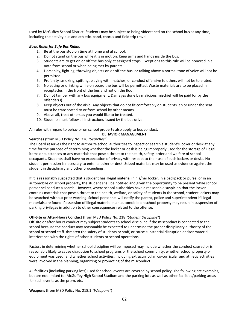used by McGuffey School District. Students may be subject to being videotaped on the school bus at any time, including the activity bus and athletic, band, chorus and field trip travel.

## *Basic Rules for Safe Bus Riding*

- 1. Be at the bus stop on time at home and at school.
- 2. Do not stand on the bus while it is in motion. Keep arms and hands inside the bus.
- 3. Students are to get on or off the bus only at assigned stops. Exceptions to this rule will be honored in a note from school or when being met by parents.
- 4. Horseplay, fighting, throwing objects on or off the bus, or talking above a normal tone of voice will not be permitted.
- 5. Profanity, smoking, spitting, playing with matches, or conduct offensive to others will not be tolerated.
- 6. No eating or drinking while on board the bus will be permitted. Waste materials are to be placed in receptacles in the front of the bus and not on the floor.
- 7. Do not tamper with any bus equipment. Damages done by malicious mischief will be paid for by the offender(s).
- 8. Keep objects out of the aisle. Any objects that do not fit comfortably on students lap or under the seat must be transported to or from school by other means.
- 9. Above all, treat others as you would like to be treated.
- 10. Students must follow all instructions issued by the bus driver.

All rules with regard to behavior on school property also apply to bus conduct.

### **BEHAVIOR MANAGEMENT**

### **Searches** (from MSD Policy No. 226 *"Searches"*)

The Board reserves the right to authorize school authorities to inspect or search a student's locker or desk at any time for the purpose of determining whether the locker or desk is being improperly used for the storage of illegal items or substances or any materials that pose a threat to the health, safety, order and welfare of school occupants. Students shall have no expectation of privacy with respect to their use of such lockers or desks. No student permission is necessary to enter a locker or desk. Seized materials may be used as evidence against the student in disciplinary and other proceedings.

If it is reasonably suspected that a student has illegal material in his/her locker, in a backpack or purse, or in an automobile on school property, the student shall be notified and given the opportunity to be present while school personnel conduct a search. However, where school authorities have a reasonable suspicion that the locker contains materials that pose a threat to the health, welfare, or safety of students in the school, student lockers may be searched without prior warning. School personnel will notify the parent, police and superintendent if illegal materials are found. Possession of illegal material in an automobile on school property may result in suspension of parking privileges in addition to other consequences related to the offense.

#### **Off-Site or After-Hours Conduct** (from MSD Policy No. 218 *"Student Discipline"*)

Off-site or after-hours conduct may subject students to school discipline if the misconduct is connected to the school because the conduct may reasonably be expected to undermine the proper disciplinary authority of the school or school staff, threaten the safety of students or staff, or cause substantial disruption and/or material interference with the rights of other students or school operations.

Factors in determining whether school discipline will be imposed may include whether the conduct caused or is reasonably likely to cause disruption to school programs or the school community; whether school property or equipment was used; and whether school activities, including extracurricular, co-curricular and athletic activities were involved in the planning, organizing or promoting of the misconduct.

All facilities (including parking lots) used for school events are covered by school policy. The following are examples, but are not limited to: McGuffey High School Stadium and the parking lots as well as other facilities/parking areas for such events as the prom, etc.

**Weapons** (from MSD Policy No. 218.1 *"Weapons"*)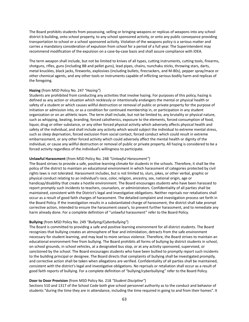The Board prohibits students from possessing, selling or bringing weapons or replicas of weapons into any school district b building, onto school property, to any school sponsored activity, or onto any public conveyance providing transportation to school or a school sponsored activity. Violation of the weapons policy is a serious matter and carries a mandatory consideration of expulsion from school for a period of a full year. The Superintendent may recommend modification of the expulsion on a case-by-case basis and shall assure compliance with IDEA.

The term weapon shall include, but not be limited to knives of all types, cutting instruments, cutting tools, firearms, shotguns, rifles, guns (including BB and pellet guns), lead pipes, chains, nunchaku sticks, throwing stars, darts, metal knuckles, black jacks, fireworks, explosives (including bullets, firecrackers, and M-80s), pepper spray/mace or other chemical agents, and any other tools or instruments capable of inflicting serious bodily harm and replicas of the foregoing.

#### **Hazing** (from MSD Policy No. 247 *"Hazing"*)

Students are prohibited from conducting any activities that involve hazing. For purposes of this policy, hazing is defined as any action or situation which recklessly or intentionally endangers the mental or physical health or safety of a student or which causes willful destruction or removal of public or private property for the purpose of initiation or admission into, or as a condition for continued membership in, or participation in any student organization or on an athletic team. The term shall include, but not be limited to, any brutality or physical nature, such as whipping, beating, branding, forced calisthenics, exposure to the elements, forced consumption of food, liquor, drug or other substance, or any other forced physical activity which adversely affects physical health and safety of the individual, and shall include any activity which would subject the individual to extreme mental stress, such as sleep deprivation, forced exclusion from social contact, forced conduct which could result in extreme embarrassment, or any other forced activity which could adversely affect the mental health or dignity of the individual, or cause any willful destruction or removal of public or private property. All hazing is considered to be a forced activity regardless of the individual's willingness to participate.

#### **Unlawful Harassment** (from MSD Policy No. 248 *"Unlawful Harassment"*)

The Board strives to provide a safe, positive learning climate for students in the schools. Therefore, it shall be the policy of the district to maintain an educational environment in which harassment of categories protected by civil rights laws is not tolerated. Harassment includes, but is not limited to, slurs, jokes, or other verbal, graphic or physical conduct relating to an individual's race, color, religion, ancestry, sex, national origin, age or handicap/disability that create a hostile environment. The Board encourages students who have been harassed to report promptly such incidents to teachers, counselors, or administrators. Confidentiality of all parties shall be maintained, consistent with the District's legal and investigative obligations. Neither reprisals nor retaliations shall occur as a result of good faith charges of harassment. The detailed complaint and investigation process set forth in the Board Policy. If the investigation results in a substantiated charge of harassment, the district shall take prompt corrective action, intended to ensure the harassment cease's, to prevent further harassment, and to remediate any harm already done. For a complete definition of "unlawful harassment" refer to the Board Policy.

#### **Bullying** (from MSD Policy No. 249 *"Bullying/Cyberbullying"*)

The Board is committed to providing a safe and positive learning environment for all district students. The Board recognizes that bullying creates an atmosphere of fear and intimidation, detracts from the safe environment necessary for student learning, and may lead to more serious violence. Therefore, the Board strives to maintain an educational environment free from bullying. The Board prohibits all forms of bullying by district students in school, on school grounds, in school vehicles, at a designated bus stop, or at any activity sponsored, supervised, or sanctioned by the school. The Board encourages students who have been bullied to promptly report such incidents to the building principal or designee. The Board directs that complaints of bullying shall be investigated promptly, and corrective action shall be taken when allegations are verified. Confidentiality of all parties shall be maintained, consistent with the district's legal and investigative obligations. No reprisals or retaliation shall occur as a result of good faith reports of bullying. For a complete definition of "bullying/cyberbullying" refer to the Board Policy.

#### **Door to Door Provision** (from MSD Policy No. 218 *"Student Discipline"*)

Sections 510 and 1317 of the School Code both give school personnel authority as to the conduct and behavior of students "during the time they are in attendance, including the time required in going to and from their homes". It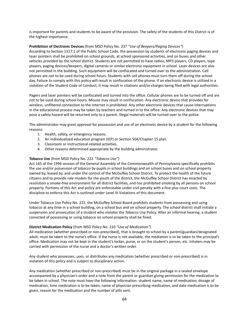is important for parents and students to be aware of the provision. The safety of the students of this District is of the highest importance.

## **Prohibition of Electronic Devices** (from MSD Policy No. 237 *"Use of Beepers/Paging Devices"*)

According to Section 1317.1 of the Public School Code, the possession by students of electronic paging devices and laser pointers shall be prohibited on school grounds, at school sponsored activities, and on buses and other vehicles provided by the school district. Students are not permitted to have radios, MP3 players, CD players, tape players, paging devices/beepers, digital cameras or similar electronic equipment in school. Laser devices are also not permitted in the building. Such equipment will be confiscated and turned over to the administration. Cell phones are not to be used during school hours. Students with cell phones must turn them off during the school day. Failure to comply with this policy will result in confiscation of the phone. If an electronic device is utilized in a violation of the Student Code of Conduct, it may result in citations and/or charges being filed with legal authorities.

Pagers and laser pointers will be confiscated and turned into the office. Cellular phones are to be turned off and are not to be used during school hours. Misuse may result in confiscation. Any electronic device that provides for wireless, unfiltered connection to the Internet is prohibited. Any other electronic devices that cause interruptions in the educational process may be taken by teachers and turned in to the office. Any electronic devices that may pose a safety hazard will be returned only to a parent. Illegal materials will be turned over to the police.

The administrator may grant approval for possession and use of an electronic device by a student for the following reasons:

- 1. Health, safety, or emergency reasons.
- 2. An individualized education program (IEP) or Section 504/Chapter 15 plan.
- 3. Classroom or instructional-related activities.
- 4. Other reasons determined appropriate by the building administrator.

## **Tobacco Use** (from MSD Policy No. 222 *"Tobacco Use"*)

Act 145 of the 1996 session of the General Assembly of the Commonwealth of Pennsylvania specifically prohibits the use and/or possession of tobacco by pupils in school buildings and on school buses and on school property owned by, leased by, and under the control of the McGuffey School District. To protect the health of the future citizens and to provide role models for the youth of the district, the McGuffey School District has enacted by resolution a smoke-free environment for all district facilities, and has prohibited smoking by all persons on school property. Portions of this Act and policy are enforceable under civil penalty with a fine plus court costs. The discipline to enforce this Act is outlined under Level III Violations of this document.

Under Tobacco Use Policy No. 222, the McGuffey School Board prohibits students from possessing and using tobacco at any time in a school building, on a school bus and on school property. The school district shall initiate a suspension and prosecution of a student who violates the Tobacco Use Policy. After an informal hearing, a student convicted of possessing or using tobacco on school property shall be fined.

## **District Medication Policy** (from MSD Policy No. 210 *"Use of Medication"*)

All medication (whether prescribed or non-prescribed), that is brought to school by a parent/guardian/designated adult, must be taken to the nurse's office. If the nurse is not available, the mediation is to be taken to the principal's office. Medication may not be kept in the student's locker, purse, or on the student's person, etc. Inhalers may be carried with permission of the nurse and a doctor's written order.

Any student who possesses, uses, or distributes any medication (whether prescribed or non-prescribed) is in violation of this policy and is subject to disciplinary action.

Any medication (whether prescribed or non-prescribed) must be in the original package in a sealed envelope accompanied by a physician's order and a note from the parent or guardian giving permission for the medication to be taken in school. The note must have the following information: student name, name of medication, dosage of medication, time medication is to be taken, name of physician prescribing medication, and date medication is to be given, reason for the medication and the number of pills sent.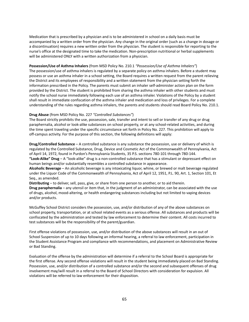Medication that is prescribed by a physician and is to be administered in school on a daily basis must be accompanied by a written order from the physician. Any change in the original order (such as a change in dosage or a discontinuation) requires a new written order from the physician. The student is responsible for reporting to the nurse's office at the designated time to take the medication. Non-prescription nutritional or herbal supplements will be administered ONLY with a written authorization from a physician.

## **Possession/Use of Asthma Inhalers** (from MSD Policy No. 210.1 *"Possession/Use of Asthma Inhalers"*)

The possession/use of asthma inhalers is regulated by a separate policy on asthma inhalers. Before a student may possess or use an asthma inhaler in a school setting, the Board requires a written request from the parent relieving the District and its employees of responsibility and a written statement from the physician setting forth the information prescribed in the Policy. The parents must submit an inhaler self-administer action plan on the form provided by the District. The student is prohibited from sharing the asthma inhaler with other students and must notify the school nurse immediately following each use of an asthma inhaler. Violations of the Policy by a student shall result in immediate confiscation of the asthma inhaler and medication and loss of privileges. For a complete understanding of the rules regarding asthma inhalers, the parents and students should read Board Policy No. 210.1.

### **Drug Abuse** (from MSD Policy No. 227 *"Controlled Substances"*)

The Board strictly prohibits the use, possession, sale, transfer and intent to sell or transfer of any drug or drug paraphernalia, alcohol or look-alike substances on school property, or at any school-related activities, and during the time spent traveling under the specific circumstance set forth in Policy No. 227. This prohibition will apply to off-campus activity. For the purpose of this section, the following definitions will apply:

**Drug/Controlled Substance** – A controlled substance is any substance the possession, use or delivery of which is regulated by the Controlled Substance, Drug, Device and Cosmetic Act of the Commonwealth of Pennsylvania, Act of April 14, 1972, found in Purdon's Pennsylvania Students, 35 P.S. sections 780-101 through 780-144.

**"Look-Alike" Drug** – A "look-alike" drug is a non-controlled substance that has a stimulant or depressant effect on human beings and/or substantially resembles a controlled substance in appearance.

**Alcoholic Beverage** – An alcoholic beverage is any intoxicating liquor, whine, or brewed or malt beverage regulated under the Liquor Code of the Commonwealth of Pennsylvania, Act of April 12, 1951, P.L. 90, Art. 1, Section 101, Et Seq., as amended.

**Distributing** – to deliver, sell, pass, give, or share from one person to another, or to aid therein.

**Drug paraphernalia** – any utensil or item that, in the judgment of an administrator, can be associated with the use of drugs, alcohol, mood-altering, or health endangering substances including but not limited to vaping devices and/or products.

McGuffey School District considers the possession, use, and/or distribution of any of the above substances on school property, transportation, or at school related events as a serious offense. All substances and products will be confiscated by the administration and tested by law enforcement to determine their content. All costs incurred to test substances will be the responsibility of the parent/guardian.

First offense violations of possession, use, and/or distribution of the above substances will result in an out of School Suspension of up to 10 days following an informal hearing, a referral to law enforcement, participation in the Student Assistance Program and compliance with recommendations, and placement on Administrative Review or Bad Standing.

Evaluation of the offense by the administration will determine if a referral to the School Board is appropriate for the first offense. Any second offense violations will result in the student being immediately placed on Bad Standing. Possession, use, and/or distribution of a controlled substance and/or the second and subsequent offenses of drug involvement may/will result in a referral to the Board of School Directors with consideration for expulsion. All violations will be referred to law enforcement for their disposition.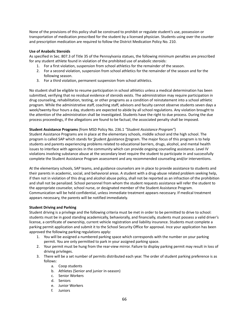None of the provisions of this policy shall be construed to prohibit or regulate student's use, possession or transportation of medication prescribed for the student by a licensed physician. Students using over the counter and prescription medication are required to follow the District Medication Policy No. 210.

## **Use of Anabolic Steroids**

As specified in Sec. 807.3 of Title 35 of the Pennsylvania statues, the following minimum penalties are prescribed for any student athlete found in violation of the prohibited use of anabolic steroids:

- 1. For a first violation, suspension from school athletics for the remainder of the season.
- 2. For a second violation, suspension from school athletics for the remainder of the season and for the following season.
- 3. For a third violation, permanent suspension from school athletics.

No student shall be eligible to resume participation in school athletics unless a medical determination has been submitted, verifying that no residual evidence of steroids exists. The administration may require participation in drug counseling, rehabilitation, testing, or other programs as a condition of reinstatement into a school athletic program. While the administrative staff, coaching staff, advisors and faculty cannot observe students seven days a week/twenty-four hours a day, students are expected to abide by all school regulations. Any violation brought to the attention of the administration shall be investigated. Students have the right to due process. During the due process proceedings, if the allegations are found to be factual, the associated penalty shall be imposed.

### **Student Assistance Programs** (from MSD Policy No. 236.1 *"Student Assistance Program"*)

Student Assistance Programs are in place at the elementary schools, middle school and the high school. The program is called SAP which stands for Student Assistance Program. The major focus of this program is to help students and parents experiencing problems related to educational barriers, drugs, alcohol, and mental health issues to interface with agencies in the community which can provide ongoing counseling assistance. Level IV violations involving substance abuse at the secondary level require the student to participate in and successfully complete the Student Assistance Program assessment and any recommended counseling and/or interventions.

At the elementary schools, SAP teams, and guidance counselors are in place to provide assistance to students and their parents in academic, social, and behavioral areas. A student with a drug-abuse related problem seeking help, if then not in violation of this drug and alcohol abuse policy, shall not be reported as an infraction of the prohibition and shall not be penalized. School personnel from whom the student requests assistance will refer the student to the appropriate counselor, school nurse, or designated member of the Student Assistance Program. Communication will be held confidential, unless immediate treatment appears necessary. If medical treatment appears necessary, the parents will be notified immediately.

#### **Student Driving and Parking**

Student driving is a privilege and the following criteria must be met in order to be permitted to drive to school: students must be in good standing academically, behaviorally, and financially, students must possess a valid driver's license, a certificate of ownership, current vehicle registration and liability insurance. Students must complete a parking permit application and submit it to the School Security Office for approval. Ince your application has been approved the following parking regulations apply:

- 1. You will be assigned a numbered parking space which corresponds with the number on your parking permit. You are only permitted to park in your assigned parking space.
- 2. Your permit must be hung from the rear-view mirror. Failure to display parking permit may result in loss of driving privileges.
- 3. There will be a set number of permits distributed each year. The order of student parking preference is as follows:
	- a. Coop students
	- b. Athletes (Senior and junior in-season)
	- c. Senior Workers
	- d. Seniors
	- e. Junior Workers
	- f. Juniors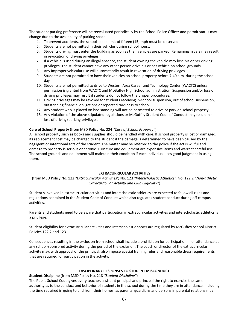The student parking preference will be reevaluated periodically by the School Police Officer and permit status may change due to the availability of parking space

- 4. To prevent accidents, the school speed limit of fifteen (15) mph must be observed.
- 5. Students are not permitted in their vehicles during school hours.
- 6. Students driving must enter the building as soon as their vehicles are parked. Remaining in cars may result in revocation of driving privileges.
- 7. If a vehicle is used during an illegal absence, the student owning the vehicle may lose his or her driving privileges. The student cannot have any other person drive his or her vehicle on school grounds.
- 8. Any improper vehicular use will automatically result in revocation of driving privileges.
- 9. Students are not permitted to have their vehicles on school property before 7:40 a.m. during the school day.
- 10. Students are not permitted to drive to Western Area Career and Technology Center (WACTC) unless permission is granted from WACTC and McGuffey High School administration. Suspension and/or loss of driving privileges may result if students do not follow the proper procedures.
- 11. Driving privileges may be revoked for students receiving in-school suspension, out of school suspension, outstanding financial obligations or repeated tardiness to school.
- 12. Any student who is placed on bad standing will not be permitted to drive or park on school property.
- 13. Any violation of the above stipulated regulations or McGuffey Student Code of Conduct may result in a loss of driving/parking privileges.

### **Care of School Property** (from MSD Policy No. 224 *"Care of School Property"*)

All school property such as books and supplies should be handled with care. If school property is lost or damaged, its replacement cost may be charged to the student if the damage is determined to have been caused by the negligent or intentional acts of the student. The matter may be referred to the police if the act is willful and damage to property is serious or chronic. Furniture and equipment are expensive items and warrant careful use. The school grounds and equipment will maintain their condition if each individual uses good judgment in using them.

## **EXTRACURRICULAR ACTIVITIES**

(from MSD Policy No. 122 *"Extracurricular Activities",* No. 123 *"Interscholastic Athletics",* No. 122.2 *"Non-athletic Extracurricular Activity and Club Eligibility"*)

Student's involved in extracurricular activities and interscholastic athletics are expected to follow all rules and regulations contained in the Student Code of Conduct which also regulates student conduct during off campus activities.

Parents and students need to be aware that participation in extracurricular activities and interscholastic athletics is a privilege.

Student eligibility for extracurricular activities and interscholastic sports are regulated by McGuffey School District Policies 122.2 and 123.

Consequences resulting in the exclusion from school shall include a prohibition for participation in or attendance at any school-sponsored activity during the period of the exclusion. The coach or director of the extracurricular activity may, with approval of the principal, also impose special training rules and reasonable dress requirements that are required for participation in the activity.

#### **DISCIPLINARY RESPONSES TO STUDENT MISCONDUCT**

#### **Student Discipline** (from MSD Policy No. 218 *"Student Discipline"*)

The Public School Code gives every teacher, assistant principal and principal the right to exercise the same authority as to the conduct and behavior of students in the school during the time they are in attendance, including the time required in going to and from their homes, as parents, guardians and persons in parental relations may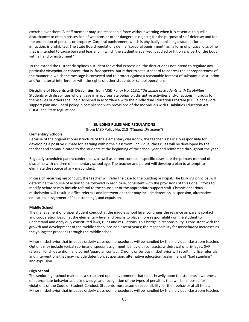exercise over them. A staff member may use reasonable force without warning when it is essential to quell a disturbance; to obtain possession of weapons or other dangerous objects; for the purpose of self-defense; and for the protection of persons or property. Corporal punishment, which is physically punishing a student for an infraction, is prohibited. The State Board regulations define "corporal punishment" as "a form of physical discipline that is intended to cause pain and fear and in which the student is spanked, paddled or hit on any part of the body with a hand or instrument."

To the extend the District disciplines a student for verbal expression, the district does not intend to regulate any particular viewpoint or content, that is, free speech, but rather to set a standard to address the appropriateness of the manner in which the message is conveyed and to protect against a reasonable forecast of substantial disruption and/or material interference with the rights of other students or school operations.

**Discipline of Students with Disabilities** (from MSD Policy No. 113.1 *"Discipline of Students with Disabilities"*) Students with disabilities who engage in inappropriate behavior, disruptive activities and/or actions injurious to themselves or others shall be disciplined in accordance with their Individual Education Program (IEP), a behavioral support plan and Board policy in compliance with provisions of the Individuals with Disabilities Education Act (IDEA) and State regulations.

#### **BUILDING RULES AND REGULATIONS**

(from MSD Policy No. 218 *"Student Discipline"*)

#### **Elementary Schools**

Because of the organizational structure of the elementary classroom, the teacher is basically responsible for developing a positive climate for learning within the classroom. Individual class rules will be developed by the teacher and communicated to the students at the beginning of the school year and reinforced throughout the year.

Regularly scheduled parent conferences, as well as parent contact in specific cases, are the primary method of discipline with children of elementary school age. The teacher and parent will develop a plan to attempt to eliminate the source of any misconduct.

In case of recurring misconduct, the teacher will refer the case to the building principal. The building principal will determine the course of action to be followed in each case, consistent with the provisions of this Code. Efforts to modify behavior may include referral to the counselor or the appropriate support staff. Chronic or serious misbehavior will result in office referrals and interventions that may include detention, suspension, alternative education, assignment of "bad standing", and expulsion.

#### **Middle School**

The management of proper student conduct at the middle school level continues the reliance on parent contact and cooperation begun at the elementary level and begins to place more responsibility on the student to understand and obey duly constituted laws, rules and regulations. This bridge in responsibility is consistent with the growth and development of the middle school pre-adolescent years; the responsibility for misbehavior increases as the youngster proceeds through the middle school.

Minor misbehavior that impedes orderly classroom procedures will be handled by the individual classroom teacher. Options may include verbal reprimand, special assignment, behavioral contracts, withdrawal of privileges, SAP referral, lunch detention, and parent/guardian contact. Chronic or serious misbehavior will result in office referrals and interventions that may include detention, suspension, alternative education, assignment of "bad standing", and expulsion.

#### **High School**

The senior high school maintains a structured open environment that relies heavily upon the students' awareness of appropriate behavior and a knowledge and recognition of the types of penalties that will be imposed for violations of the Code of Student Conduct. Students must assume responsibility for their behavior at all times. Minor misbehavior that impedes orderly classroom procedures will be handled by the individual classroom teacher.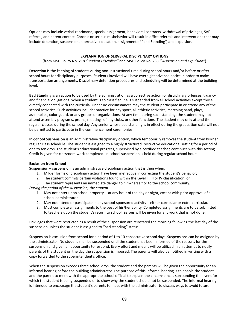Options may include verbal reprimand, special assignment, behavioral contracts, withdrawal of privileges, SAP referral, and parent contact. Chronic or serious misbehavior will result in office referrals and interventions that may include detention, suspension, alternative education, assignment of "bad Standing", and expulsion.

## **EXPLANATION OF SERVERAL DISCIPLINARY OPTIONS**

(from MSD Policy No. 218 *"Student Discipline"* and MSD Policy No. 233 *"Suspension and Expulsion"*)

**Detention** is the keeping of students during non-instructional time during school hours and/or before or after school hours for disciplinary purposes. Students involved will have overnight advance notice in order to make transportation arrangements. Disciplinary detention procedures and scheduling will be determined at the building level.

**Bad Standing** is an action to be used by the administration as a corrective action for disciplinary offenses, truancy, and financial obligations. When a student is so classified, he is suspended from all school activities except those directly connected with the curricula. Under no circumstances may the student participate in or attend any of the school activities. Such activities include: practice for any sport, all athletic activities, marching band, plays, assemblies, color guard, or any groups or organizations. At any time during such standing, the student may not attend assembly programs, proms, meetings of any clubs, or other functions. The student may only attend the regular classes during the school day. Any senior whose bad standing is in effect during the graduation date will not be permitted to participate in the commencement ceremonies.

**In-School Suspension** is an administrative disciplinary option, which temporarily removes the student from his/her regular class schedule. The student is assigned to a highly structured, restrictive educational setting for a period of one to ten days. The student's educational progress, supervised by a certified teacher, continues with this setting. Credit is given for classroom work completed. In-school suspension is held during regular school hours.

## **Exclusion from School**

**Suspension** – suspension is an administrative disciplinary action that is then when:

- 1. Milder forms of disciplinary action have been ineffective in correcting the student's behavior;
- 2. The student commits certain violations found within the Level II, III or IV classification; or
- 3. The student represents an immediate danger to him/herself or to the school community.

*During the period of the suspension, the student:*

- 1. May not enter upon school property -- at any hour of the day or night, except with prior approval of a school administrator.
- 2. May not attend or participate in any school-sponsored activity either curricular or extra-curricular.
- 3. Must complete all assignments to the best of his/her ability. Completed assignments are to be submitted to teachers upon the student's return to school. Zeroes will be given for any work that is not done.

Privileges that were restricted as a result of the suspension are reinstated the morning following the last day of the suspension unless the student is assigned to "bad standing" status.

Suspension is exclusion from school for a period of 1 to 10 consecutive school days. Suspensions can be assigned by the administrator. No student shall be suspended until the student has been informed of the reasons for the suspension and given an opportunity to respond. Every effort and means will be utilized in an attempt to notify parents of the student on the day the suspension is imposed. The parents will also be notified in writing with a copy forwarded to the superintendent's office.

When the suspension exceeds three school days, the student and the parents will be given the opportunity for an informal hearing before the building administrator. The purpose of this informal hearing is to enable the student and the parent to meet with the appropriate school official to explain the circumstances surrounding the event for which the student is being suspended or to show why the student should not be suspended. The informal hearing is intended to encourage the student's parents to meet with the administrator to discuss ways to avoid future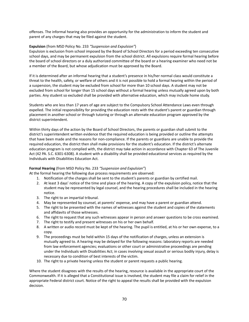offenses. The informal hearing also provides an opportunity for the administration to inform the student and parent of any charges that may be filed against the student.

## **Expulsion** (from MSD Policy No. 233 *"Suspension and Expulsion"*)

Expulsion is exclusion from school imposed by the Board of School Directors for a period exceeding ten consecutive school days, and may be permanent expulsion from the school district. All expulsions require formal hearing before the board of school directors or a duly authorized committee of the board or a hearing examiner who need not be a member of the Board, but whose adjudication must be approved by the Board.

If it is determined after an informal hearing that a student's presence in his/her normal class would constitute a threat to the health, safety, or welfare of others and it is not possible to hold a formal hearing within the period of a suspension, the student may be excluded from school for more than 10 school days. A student may not be excluded from school for longer than 15 school days without a formal hearing unless mutually agreed upon by both parties. Any student so excluded shall be provided with alternative education, which may include home study.

Students who are less than 17 years of age are subject to the Compulsory School Attendance Laws even through expelled. The initial responsibility for providing the education rests with the student's parent or guardian through placement in another school or through tutoring or through an alternate education program approved by the district superintendent.

Within thirty days of the action by the Board of School Directors, the parents or guardian shall submit to the district's superintendent written evidence that the required education is being provided or outline the attempts that have been made and the reasons for non-compliance. If the parents or guardians are unable to provide the required education, the district then shall make provisions for the student's education. If the district's alternate education program is not complied with, the district may take action in accordance with Chapter 63 of The Juvenile Act (42 PA. S.C. 6301-6308). A student with a disability shall be provided educational services as required by the Individuals with Disabilities Education Act.

## **Formal Hearing** (from MSD Policy No. 233 *"Suspension and Expulsion"*)

At the formal hearing the following due process requirements are observed:

- 1. Notification of the charges shall be sent to the student's parents or guardian by certified mail.
- 2. At least 3 days' notice of the time and place of the hearing. A copy of the expulsion policy, notice that the student may be represented by legal counsel, and the hearing procedures shall be included in the hearing notice.
- 3. The right to an impartial tribunal.
- 4. May be represented by counsel, at parents' expense, and may have a parent or guardian attend.
- 5. The right to be presented with the names of witnesses against the student and copies of the statements and affidavits of those witnesses.
- 6. The right to request that any such witnesses appear in person and answer questions to be cross examined.
- 7. The right to testify and present witnesses on his or her own behalf.
- 8. A written or audio record must be kept of the hearing. The pupil is entitled, at his or her own expense, to a copy.
- 9. The proceedings must be held within 15 days of the notification of charges, unless an extension is mutually agreed to. A hearing may be delayed for the following reasons: laboratory reports are needed from law enforcement agencies; evaluations or other court or administrative proceedings are pending under the Individuals with Disabilities Act; in cases involving sexual assault or serious bodily injury, delay is necessary due to condition of best interests of the victim.
- 10. The right to a private hearing unless the student or parent requests a public hearing.

Where the student disagrees with the results of the hearing, resource is available in the appropriate court of the Commonwealth. If it is alleged that a Constitutional issue is involved, the student may file a claim for relief in the appropriate Federal district court. Notice of the right to appeal the results shall be provided with the expulsion decision.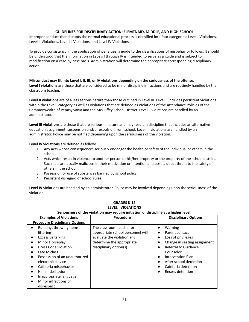## **GUIDELINES FOR DISCIPLINARY ACTION: ELEMTNARY, MIDDLE, AND HIGH SCHOOL**

Improper conduct that disrupts the normal educational process is classified into four categories: Level I Violations, Level II Violations, Level III Violations, and Level IV Violations.

To provide consistency in the application of penalties, a guide to the classifications of misbehavior follows. It should be understood that the information in Levels I through IV is intended to serve as a guide and is subject to modification on a case-by-case basis. Administration will determine the appropriate corresponding disciplinary action.

## Misconduct may fit into Level I, II, III, or IV violations depending on the seriousness of the offense.

**Level I violations** are those that are considered to be minor discipline infractions and are routinely handled by the classroom teacher.

**Level II violations** are of a less serious nature than those outlined in Level III. Level II includes persistent violations within the Level I category as well as violations that are defined as Violations of the Attendance Policies of the Commonwealth of Pennsylvania and the McGuffey School District. Level II violations are handled by an administrator.

**Level III violations** are those that are serious in nature and may result in discipline that includes an alternative education assignment, suspension and/or expulsion from school. Level III violations are handled by an administrator. Police may be notified depending upon the seriousness of the violation.

### **Level IV violations** are defined as follows:

- 1. Any acts whose consequences seriously endanger the health or safety of the individual or others in the school.
- 2. Acts which result in violence to another person or his/her property or the property of the school district. Such acts are usually malicious in their motivation or intention and pose a direct threat to the safety of others in the school.
- 3. Possession or use of substances banned by school policy.
- 4. Persistent disregard of school rules.

**Level IV** violations are handled by an administrator. Police may be involved depending upon the seriousness of the violation.

| Seriousness of the violation may require initiation of discipline at a higher level.                                                                                                                                                                                                      |                                                                                                                                                     |                                                                                                                                                                                                                |  |
|-------------------------------------------------------------------------------------------------------------------------------------------------------------------------------------------------------------------------------------------------------------------------------------------|-----------------------------------------------------------------------------------------------------------------------------------------------------|----------------------------------------------------------------------------------------------------------------------------------------------------------------------------------------------------------------|--|
| <b>Examples of Violations</b><br><b>Procedure Disciplinary Options</b>                                                                                                                                                                                                                    | Procedure                                                                                                                                           | <b>Disciplinary Options</b>                                                                                                                                                                                    |  |
| Running, throwing items,<br>littering<br>Excessive talking<br>Minor Horseplay<br>Dress Code violation<br>Late to class<br>Possession of an unauthorized<br>electronic device<br>Cafeteria misbehavior<br>Hall misbehavior<br>Inappropriate language<br>Minor infractions of<br>disrespect | The classroom teacher or<br>appropriate school personnel will<br>evaluate the violation and<br>determine the appropriate<br>disciplinary option(s). | Warning<br>Parent contact<br>Loss of privileges<br>Change in seating assignment<br>Referral to Guidance<br>Counselor<br>Intervention Plan<br>After school detention<br>Cafeteria detention<br>Recess detention |  |

## **GRADES K-12 LEVEL I VIOLATIONS**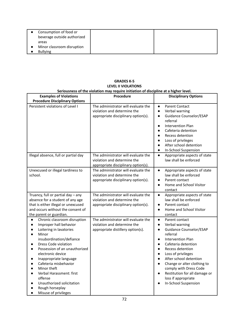| Consumption of food or<br>beverage outside authorized |  |
|-------------------------------------------------------|--|
| areas                                                 |  |
| Minor classroom disruption                            |  |
| <b>Bullving</b>                                       |  |

### **GRADES K-5 LEVEL II VIOLATIONS Seriousness of the violation may require initiation of discipline at a higher level.**

| <b>Examples of Violations</b>                                                                                                                                                                                                                                                                                                                                                                                                                                                                                                        | sendashess or the trolation may require initiation or alsopmic at a higher reten<br><b>Procedure</b>      | <b>Disciplinary Options</b>                                                                                                                                                                                                                                                                                                                                                                                                                                  |
|--------------------------------------------------------------------------------------------------------------------------------------------------------------------------------------------------------------------------------------------------------------------------------------------------------------------------------------------------------------------------------------------------------------------------------------------------------------------------------------------------------------------------------------|-----------------------------------------------------------------------------------------------------------|--------------------------------------------------------------------------------------------------------------------------------------------------------------------------------------------------------------------------------------------------------------------------------------------------------------------------------------------------------------------------------------------------------------------------------------------------------------|
| <b>Procedure Disciplinary Options</b>                                                                                                                                                                                                                                                                                                                                                                                                                                                                                                |                                                                                                           |                                                                                                                                                                                                                                                                                                                                                                                                                                                              |
| Persistent violations of Level I                                                                                                                                                                                                                                                                                                                                                                                                                                                                                                     | The administrator will evaluate the<br>violation and determine the<br>appropriate disciplinary option(s). | <b>Parent Contact</b><br>$\bullet$<br>Verbal warning<br>$\bullet$<br>Guidance Counselor/ESAP<br>$\bullet$<br>referral<br><b>Intervention Plan</b><br>$\bullet$<br>Cafeteria detention<br>$\bullet$<br><b>Recess detention</b><br>Loss of privileges<br>$\bullet$<br>After school detention<br>$\bullet$<br>In-School Suspension<br>$\bullet$                                                                                                                 |
| Illegal absence, full or partial day                                                                                                                                                                                                                                                                                                                                                                                                                                                                                                 | The administrator will evaluate the<br>violation and determine the<br>appropriate disciplinary option(s). | Appropriate aspects of state<br>$\bullet$<br>law shall be enforced                                                                                                                                                                                                                                                                                                                                                                                           |
| Unexcused or illegal tardiness to<br>school.                                                                                                                                                                                                                                                                                                                                                                                                                                                                                         | The administrator will evaluate the<br>violation and determine the<br>appropriate disciplinary option(s). | $\bullet$<br>Appropriate aspects of state<br>law shall be enforced<br>Parent contact<br>$\bullet$<br>Home and School Visitor<br>$\bullet$<br>contact                                                                                                                                                                                                                                                                                                         |
| Truancy, full or partial day - any<br>absence for a student of any age<br>that is either illegal or unexcused<br>and occurs without the consent of<br>the parent or guardian.                                                                                                                                                                                                                                                                                                                                                        | The administrator will evaluate the<br>violation and determine the<br>appropriate disciplinary option(s). | Appropriate aspects of state<br>$\bullet$<br>law shall be enforced<br>Parent contact<br>$\bullet$<br>Home and School Visitor<br>$\bullet$<br>contact                                                                                                                                                                                                                                                                                                         |
| Chronic classroom disruption<br>$\bullet$<br>Improper hall behavior<br>$\bullet$<br>Loitering in lavatories<br>$\bullet$<br>Minor<br>$\bullet$<br>insubordination/defiance<br>Dress Code violation<br>$\bullet$<br>Possession of an unauthorized<br>$\bullet$<br>electronic device<br>Inappropriate language<br>$\bullet$<br>Cafeteria misbehavior<br>$\bullet$<br>Minor theft<br>$\bullet$<br>Verbal Harassment: first<br>$\bullet$<br>offense<br>Unauthorized solicitation<br>Rough horseplay<br>Misuse of privileges<br>$\bullet$ | The administrator will evaluate the<br>violation and determine the<br>appropriate distillery option(s).   | Parent contact<br>$\bullet$<br>Verbal warning<br>$\bullet$<br>Guidance Counselor/ESAP<br>$\bullet$<br>referral<br><b>Intervention Plan</b><br>$\bullet$<br>Cafeteria detention<br>$\bullet$<br>Recess detention<br>$\bullet$<br>Loss of privileges<br>$\bullet$<br>After school detention<br>$\bullet$<br>Change or alter clothing to<br>comply with Dress Code<br>Restitution for all damage or<br>$\bullet$<br>loss if appropriate<br>In-School Suspension |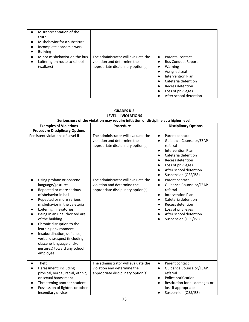| Misrepresentation of the<br>truth<br>Misbehavior for a substitute<br>Incomplete academic work<br><b>Bullying</b> |                                                                                                          |                                                                                                                                                                                                        |
|------------------------------------------------------------------------------------------------------------------|----------------------------------------------------------------------------------------------------------|--------------------------------------------------------------------------------------------------------------------------------------------------------------------------------------------------------|
| Minor misbehavior on the bus<br>Loitering on route to school<br>(walkers)                                        | The administrator will evaluate the<br>violation and determine the<br>appropriate disciplinary option(s) | Parental contact<br>$\bullet$<br><b>Bus Conduct Report</b><br>Warning<br>Assigned seat<br>Intervention Plan<br>Cafeteria detention<br>Recess detention<br>Loss of privileges<br>After school detention |

| <b>Examples of Violations</b><br><b>Procedure Disciplinary Options</b>                                                                                                                                                                                                                                                                                                                                                                           | Procedure                                                                                                | <b>Disciplinary Options</b>                                                                                                                                                                                                                                                        |
|--------------------------------------------------------------------------------------------------------------------------------------------------------------------------------------------------------------------------------------------------------------------------------------------------------------------------------------------------------------------------------------------------------------------------------------------------|----------------------------------------------------------------------------------------------------------|------------------------------------------------------------------------------------------------------------------------------------------------------------------------------------------------------------------------------------------------------------------------------------|
| Persistent violations of Level II                                                                                                                                                                                                                                                                                                                                                                                                                | The administrator will evaluate the<br>violation and determine the<br>appropriate disciplinary option(s) | Parent contact<br>$\bullet$<br>Guidance Counselor/ESAP<br>$\bullet$<br>referral<br><b>Intervention Plan</b><br>$\bullet$<br>Cafeteria detention<br>Recess detention<br>Loss of privileges<br>$\bullet$<br>After school detention<br>$\bullet$<br>Suspension (OSS/ISS)<br>$\bullet$ |
| Using profane or obscene<br>$\bullet$<br>language/gestures<br>Repeated or more serious<br>misbehavior in hall<br>Repeated or more serious<br>misbehavior in the cafeteria<br>Loitering in lavatories<br>Being in an unauthorized are<br>of the building<br>Chronic disruption to the<br>learning environment<br>Insubordination, defiance,<br>verbal disrespect (including<br>obscene language and/or<br>gestures) toward any school<br>employee | The administrator will evaluate the<br>violation and determine the<br>appropriate disciplinary option(s) | Parent contact<br>$\bullet$<br>Guidance Counselor/ESAP<br>$\bullet$<br>referral<br><b>Intervention Plan</b><br>$\bullet$<br>Cafeteria detention<br>$\bullet$<br>Recess detention<br>Loss of privileges<br>After school detention<br>Suspension (OSS/ISS)                           |
| Theft<br>Harassment: including<br>physical, verbal, racial, ethnic,<br>or sexual harassment<br>Threatening another student<br>Possession of lighters or other<br>incendiary devices                                                                                                                                                                                                                                                              | The administrator will evaluate the<br>violation and determine the<br>appropriate disciplinary option(s) | Parent contact<br>$\bullet$<br>Guidance Counselor/ESAP<br>$\bullet$<br>referral<br>Police notification<br>Restitution for all damages or<br>$\bullet$<br>loss if appropriate<br>Suspension (OSS/ISS)                                                                               |

## **GRADES K-5 LEVEL III VIOLATIONS Seriousness of the violation may require initiation of discipline at a higher level.**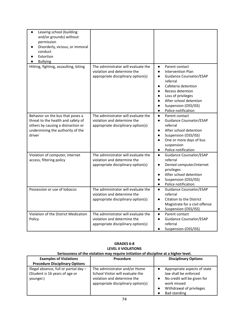| Leaving school (building<br>$\bullet$<br>and/or grounds) without<br>permission<br>Disorderly, vicious, or immoral<br>conduct<br>Extortion<br><b>Bullying</b> |                                                                                                          |                                                                                                                                                                                                                                                                                                                                                         |
|--------------------------------------------------------------------------------------------------------------------------------------------------------------|----------------------------------------------------------------------------------------------------------|---------------------------------------------------------------------------------------------------------------------------------------------------------------------------------------------------------------------------------------------------------------------------------------------------------------------------------------------------------|
| Hitting, fighting, assaulting, biting                                                                                                                        | The administrator will evaluate the<br>violation and determine the<br>appropriate disciplinary option(s) | $\bullet$<br>Parent contact<br><b>Intervention Plan</b><br>$\bullet$<br><b>Guidance Counselor/ESAP</b><br>$\bullet$<br>referral<br>Cafeteria detention<br>$\bullet$<br>Recess detention<br>$\bullet$<br>Loss of privileges<br>$\bullet$<br>After school detention<br>$\bullet$<br>Suspension (OSS/ISS)<br>$\bullet$<br>Police notification<br>$\bullet$ |
| Behavior on the bus that poses a<br>threat to the health and safety of<br>others by causing a distraction or<br>undermining the authority of the<br>driver   | The administrator will evaluate the<br>violation and determine the<br>appropriate disciplinary option(s) | Parent contact<br>$\bullet$<br>Guidance Counselor/ESAP<br>$\bullet$<br>referral<br>After school detention<br>$\bullet$<br>Suspension (OSS/ISS)<br>$\bullet$<br>One or more days of bus<br>$\bullet$<br>suspension<br>Police notification<br>$\bullet$                                                                                                   |
| Violation of computer, internet<br>access, filtering policy                                                                                                  | The administrator will evaluate the<br>violation and determine the<br>appropriate disciplinary option(s) | <b>Guidance Counselor/ESAP</b><br>$\bullet$<br>referral<br>Denied computer/internet<br>$\bullet$<br>privileges<br>After school detention<br>$\bullet$<br>Suspension (OSS/ISS)<br>$\bullet$<br>Police notification<br>$\bullet$                                                                                                                          |
| Possession or use of tobacco                                                                                                                                 | The administrator will evaluate the<br>violation and determine the<br>appropriate disciplinary option(s) | Guidance Counselor/ESAP<br>$\bullet$<br>referral<br>Citation to the District<br>$\bullet$<br>Magistrate for a civil offense<br>Suspension (OSS/ISS)<br>$\bullet$                                                                                                                                                                                        |
| Violation of the District Medication<br>Policy                                                                                                               | The administrator will evaluate the<br>violation and determine the<br>appropriate disciplinary option(s) | Parent contact<br>$\bullet$<br>Guidance Counselor/ESAP<br>$\bullet$<br>referral<br>Suspension (OSS/ISS)                                                                                                                                                                                                                                                 |

| <b>GRADES 6-8</b>                                                                   |
|-------------------------------------------------------------------------------------|
| <b>LEVEL II VIOLATIONS</b>                                                          |
| Coriousness of the violation may require initiation of discipline at a bigher level |

| Seriousness of the violation may require initiation of discipline at a higher level.  |                                                                                                                                        |                                                                                                                                                              |  |
|---------------------------------------------------------------------------------------|----------------------------------------------------------------------------------------------------------------------------------------|--------------------------------------------------------------------------------------------------------------------------------------------------------------|--|
| <b>Examples of Violations</b>                                                         | Procedure                                                                                                                              | <b>Disciplinary Options</b>                                                                                                                                  |  |
| <b>Procedure Disciplinary Options</b>                                                 |                                                                                                                                        |                                                                                                                                                              |  |
| Illegal absence, full or partial day -<br>(Student is 16 years of age or<br>younger.) | The administrator and/or Home<br>School Visitor will evaluate the<br>violation and determine the<br>appropriate disciplinary option(s) | Appropriate aspects of state<br>law shall be enforced<br>No credit will be given for<br>work missed<br>Withdrawal of privileges<br>$\bullet$<br>Bad standing |  |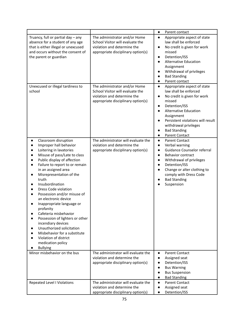|                                                                                                                                                                                                                                                                                                                                                                                                                                                                                                                                                                                                                                                                     |                                                                                                                                                                                                             | Parent contact<br>$\bullet$                                                                                                                                                                                                                                                                                                                     |
|---------------------------------------------------------------------------------------------------------------------------------------------------------------------------------------------------------------------------------------------------------------------------------------------------------------------------------------------------------------------------------------------------------------------------------------------------------------------------------------------------------------------------------------------------------------------------------------------------------------------------------------------------------------------|-------------------------------------------------------------------------------------------------------------------------------------------------------------------------------------------------------------|-------------------------------------------------------------------------------------------------------------------------------------------------------------------------------------------------------------------------------------------------------------------------------------------------------------------------------------------------|
| Truancy, full or partial day - any<br>absence for a student of any age<br>that is either illegal or unexcused<br>and occurs without the consent of<br>the parent or guardian<br>Unexcused or illegal tardiness to<br>school                                                                                                                                                                                                                                                                                                                                                                                                                                         | The administrator and/or Home<br>School Visitor will evaluate the<br>violation and determine the<br>appropriate disciplinary option(s)<br>The administrator and/or Home<br>School Visitor will evaluate the | Appropriate aspect of state<br>$\bullet$<br>law shall be enforced<br>No credit is given for work<br>$\bullet$<br>missed<br>Detention/ISS<br><b>Alternative Education</b><br>Assignment<br>Withdrawal of privileges<br><b>Bad Standing</b><br>Parent contact<br>Appropriate aspect of state<br>$\bullet$<br>law shall be enforced                |
|                                                                                                                                                                                                                                                                                                                                                                                                                                                                                                                                                                                                                                                                     | violation and determine the<br>appropriate disciplinary option(s)                                                                                                                                           | No credit is given for work<br>$\bullet$<br>missed<br>Detention/ISS<br>$\bullet$<br><b>Alternative Education</b><br>Assignment<br>Persistent violations will result<br>withdrawal privileges<br><b>Bad Standing</b><br>$\bullet$<br>Parent Contact<br>$\bullet$                                                                                 |
| Classroom disruption<br>$\bullet$<br>Improper hall behavior<br>$\bullet$<br>Loitering in lavatories<br>$\bullet$<br>Misuse of pass/Late to class<br>$\bullet$<br>Public display of affection<br>Failure to report to or remain<br>$\bullet$<br>in an assigned area<br>Misrepresentation of the<br>truth<br>Insubordination<br>Dress Code violation<br>Possession and/or misuse of<br>an electronic device<br>Inappropriate language or<br>profanity<br>Cafeteria misbehavior<br>Possession of lighters or other<br>incendiary devices<br>Unauthorized solicitation<br>Misbehavior for a substitute<br>Violation of district<br>medication policy<br><b>Bullying</b> | The administrator will evaluate the<br>violation and determine the<br>appropriate disciplinary option(s)                                                                                                    | <b>Parent Contact</b><br>$\bullet$<br>Verbal warning<br>$\bullet$<br><b>Guidance Counselor referral</b><br>$\bullet$<br><b>Behavior contract</b><br>$\bullet$<br>Withdrawal of privileges<br>$\bullet$<br>Detention/ISS<br>$\bullet$<br>Change or alter clothing to<br>$\bullet$<br>comply with Dress Code<br><b>Bad Standing</b><br>Suspension |
| Minor misbehavior on the bus                                                                                                                                                                                                                                                                                                                                                                                                                                                                                                                                                                                                                                        | The administrator will evaluate the<br>violation and determine the<br>appropriate disciplinary option(s)                                                                                                    | <b>Parent Contact</b><br>$\bullet$<br>Assigned seat<br>$\bullet$<br>Detention/ISS<br>$\bullet$<br><b>Bus Warning</b><br>$\bullet$<br><b>Bus Suspension</b><br>$\bullet$<br><b>Bad Standing</b><br>$\bullet$                                                                                                                                     |
| Repeated Level I Violations                                                                                                                                                                                                                                                                                                                                                                                                                                                                                                                                                                                                                                         | The administrator will evaluate the<br>violation and determine the<br>appropriate disciplinary option(s)                                                                                                    | <b>Parent Contact</b><br>$\bullet$<br>Assigned seat<br>Detention/ISS                                                                                                                                                                                                                                                                            |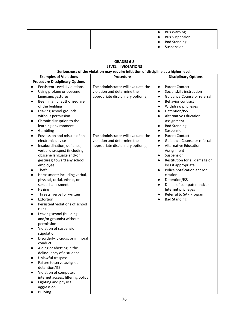|  | <b>Bus Warning</b>    |
|--|-----------------------|
|  | <b>Bus Suspension</b> |
|  | <b>Bad Standing</b>   |
|  | Suspension            |

### **GRADES 6-8 LEVEL III VIOLATIONS Seriousness of the violation may require initiation of discipline at a higher level.**

| <b>Examples of Violations</b>                                                                                                                                                                                                                                                                                                                                                                                                                                                                                                                                                                                                                                                                                                                                                                                                                                                        | Procedure                                                                                                | <b>Disciplinary Options</b>                                                                                                                                                                                                                                                                                                                                                                                      |
|--------------------------------------------------------------------------------------------------------------------------------------------------------------------------------------------------------------------------------------------------------------------------------------------------------------------------------------------------------------------------------------------------------------------------------------------------------------------------------------------------------------------------------------------------------------------------------------------------------------------------------------------------------------------------------------------------------------------------------------------------------------------------------------------------------------------------------------------------------------------------------------|----------------------------------------------------------------------------------------------------------|------------------------------------------------------------------------------------------------------------------------------------------------------------------------------------------------------------------------------------------------------------------------------------------------------------------------------------------------------------------------------------------------------------------|
| <b>Procedure Disciplinary Options</b>                                                                                                                                                                                                                                                                                                                                                                                                                                                                                                                                                                                                                                                                                                                                                                                                                                                |                                                                                                          |                                                                                                                                                                                                                                                                                                                                                                                                                  |
| Persistent Level II violations<br>$\bullet$<br>Using profane or obscene<br>$\bullet$<br>language/gestures<br>Been in an unauthorized are<br>of the building<br>Leaving school grounds<br>without permission<br>Chronic disruption to the<br>learning environment<br>Gambling                                                                                                                                                                                                                                                                                                                                                                                                                                                                                                                                                                                                         | The administrator will evaluate the<br>violation and determine the<br>appropriate disciplinary option(s) | <b>Parent Contact</b><br>$\bullet$<br>Social skills instruction<br>$\bullet$<br>Guidance Counselor referral<br>$\bullet$<br><b>Behavior contract</b><br>$\bullet$<br>Withdraw privileges<br>$\bullet$<br>Detention/ISS<br>$\bullet$<br><b>Alternative Education</b><br>Assignment<br><b>Bad Standing</b><br>Suspension<br>$\bullet$                                                                              |
| Possession and misuse of an<br>$\bullet$<br>electronic device<br>Insubordination, defiance,<br>$\bullet$<br>verbal disrespect (including<br>obscene language and/or<br>gestures) toward any school<br>employee<br>Theft<br>$\bullet$<br>Harassment: including verbal,<br>$\bullet$<br>physical, racial, ethnic, or<br>sexual harassment<br>Hazing<br>Threats, verbal or written<br>$\bullet$<br>Extortion<br>Persistent violations of school<br>rules<br>Leaving school (building<br>$\bullet$<br>and/or grounds) without<br>permission<br>Violation of suspension<br>stipulation<br>Disorderly, vicious, or immoral<br>conduct<br>Aiding or abetting in the<br>delinquency of a student<br>Unlawful trespass<br>Failure to serve assigned<br>detention/ISS<br>Violation of computer,<br>internet access, filtering policy<br>Fighting and physical<br>aggression<br><b>Bullying</b> | The administrator will evaluate the<br>violation and determine the<br>appropriate disciplinary option(s) | <b>Parent Contact</b><br>$\bullet$<br>Guidance Counselor referral<br>$\bullet$<br>Alternative Education<br>$\bullet$<br>Assignment<br>Suspension<br>$\bullet$<br>Restitution for all damage or<br>loss if appropriate<br>Police notification and/or<br>citation<br>Detention/ISS<br>$\bullet$<br>Denial of computer and/or<br>$\bullet$<br>Internet privileges<br>Referral to SAP Program<br><b>Bad Standing</b> |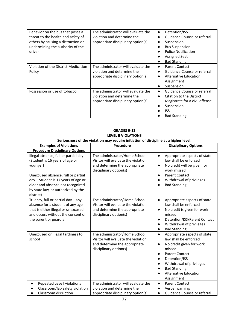| Behavior on the bus that poses a<br>threat to the health and safety of<br>others by causing a distraction or<br>undermining the authority of the<br>driver | The administrator will evaluate the<br>violation and determine the<br>appropriate disciplinary option(s) | Detention/ISS<br>$\bullet$<br>Guidance Counselor referral<br>Suspension<br><b>Bus Suspension</b><br>Police Notification<br><b>Assigned Seat</b><br><b>Bad Standing</b> |
|------------------------------------------------------------------------------------------------------------------------------------------------------------|----------------------------------------------------------------------------------------------------------|------------------------------------------------------------------------------------------------------------------------------------------------------------------------|
| Violation of the District Medication<br>Policy                                                                                                             | The administrator will evaluate the<br>violation and determine the<br>appropriate disciplinary option(s) | Parent Contact<br>$\bullet$<br>Guidance Counselor referral<br>Alternative Education<br>Assignment<br>Suspension                                                        |
| Possession or use of tobacco                                                                                                                               | The administrator will evaluate the<br>violation and determine the<br>appropriate disciplinary option(s) | Guidance Counselor referral<br>$\bullet$<br>Citation to the District<br>$\bullet$<br>Magistrate for a civil offense<br>Suspension<br>ISS<br><b>Bad Standing</b>        |

| Seriousness of the violation may require initiation of discipline at a higher level.                                                                                                                                                                     |                                                                                                                                 |                                                                                                                                                                                                                                                                  |
|----------------------------------------------------------------------------------------------------------------------------------------------------------------------------------------------------------------------------------------------------------|---------------------------------------------------------------------------------------------------------------------------------|------------------------------------------------------------------------------------------------------------------------------------------------------------------------------------------------------------------------------------------------------------------|
| <b>Examples of Violations</b>                                                                                                                                                                                                                            | Procedure                                                                                                                       | <b>Disciplinary Options</b>                                                                                                                                                                                                                                      |
| <b>Procedure Disciplinary Options</b>                                                                                                                                                                                                                    |                                                                                                                                 |                                                                                                                                                                                                                                                                  |
| Illegal absence, full or partial day -<br>(Student is 16 years of age or<br>younger)<br>Unexcused absence, full or partial<br>day - Student is 17 years of age or<br>older and absence not recognized<br>by state law, or authorized by the<br>district) | The administrator/Home School<br>Visitor will evaluate the violation<br>and determine the appropriate<br>disciplinary option(s) | Appropriate aspects of state<br>$\bullet$<br>law shall be enforced<br>No credit will be given for<br>$\bullet$<br>work missed<br><b>Parent Contact</b><br>$\bullet$<br>Withdrawal of privileges<br><b>Bad Standing</b>                                           |
| Truancy, full or partial day - any<br>absence for a student of any age<br>that is either illegal or unexcused<br>and occurs without the consent of<br>the parent or guardian                                                                             | The administrator/Home School<br>Visitor will evaluate the violation<br>and determine the appropriate<br>disciplinary option(s) | Appropriate aspects of state<br>$\bullet$<br>law shall be enforced<br>No credit is given for work<br>missed.<br>Detention/ISS/Parent Contact<br>$\bullet$<br>Withdrawal of privileges<br><b>Bad Standing</b><br>$\bullet$                                        |
| Unexcused or illegal tardiness to<br>school                                                                                                                                                                                                              | The administrator/Home School<br>Visitor will evaluate the violation<br>and determine the appropriate<br>disciplinary option(s) | Appropriate aspects of state<br>$\bullet$<br>law shall be enforced<br>No credit given for work<br>$\bullet$<br>missed<br><b>Parent Contact</b><br>Detention/ISS<br>Withdrawal of privileges<br><b>Bad Standing</b><br><b>Alternative Education</b><br>Assignment |
| Repeated Leve I violations<br>Classroom/lab safety violation<br>Classroom disruption                                                                                                                                                                     | The administrator will evaluate the<br>violation and determine the<br>appropriate disciplinary option(s)                        | <b>Parent Contact</b><br>$\bullet$<br>Verbal warning<br>Guidance Counselor referral                                                                                                                                                                              |

# **GRADES 9-12 LEVEL II VIOLATIONS**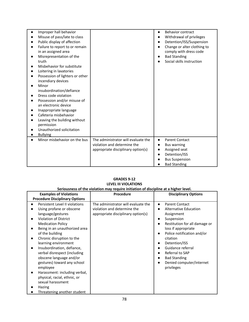| Improper hall behavior<br>Misuse of pass/late to class<br>Public display of affection<br>Failure to report to or remain<br>in an assigned area<br>Misrepresentation of the<br>truth<br>Misbehavior for substitute<br>Loitering in lavatories<br>Possession of lighters or other<br>incendiary devices<br>Minor<br>insubordination/defiance<br>Dress code violation<br>Possession and/or misuse of<br>an electronic device<br>Inappropriate language<br>Cafeteria misbehavior<br>Leaving the building without<br>permission<br>Unauthorized solicitation<br><b>Bullying</b> |                                                                                                          | <b>Behavior contract</b><br>$\bullet$<br>Withdrawal of privileges<br>Detention/ISS/Suspension<br>Change or alter clothing to<br>comply with dress code<br><b>Bad Standing</b><br>Social skills instruction |
|----------------------------------------------------------------------------------------------------------------------------------------------------------------------------------------------------------------------------------------------------------------------------------------------------------------------------------------------------------------------------------------------------------------------------------------------------------------------------------------------------------------------------------------------------------------------------|----------------------------------------------------------------------------------------------------------|------------------------------------------------------------------------------------------------------------------------------------------------------------------------------------------------------------|
| Minor misbehavior on the bus                                                                                                                                                                                                                                                                                                                                                                                                                                                                                                                                               | The administrator will evaluate the<br>violation and determine the<br>appropriate disciplinary option(s) | <b>Parent Contact</b><br>$\bullet$<br><b>Bus warning</b><br>Assigned seat<br>Detention/ISS<br><b>Bus Suspension</b><br><b>Bad Standing</b>                                                                 |

#### **GRADES 9-12 LEVEL III VIOLATIONS Seriousness of the violation may require initiation of discipline at a higher level.**

| <b>Examples of Violations</b>                                                                                                                                                                                                                                                                                                                                                                                                                                                                                                  | <b>Procedure</b>                                                                                         | <b>Disciplinary Options</b>                                                                                                                                                                                                                                                                                         |  |
|--------------------------------------------------------------------------------------------------------------------------------------------------------------------------------------------------------------------------------------------------------------------------------------------------------------------------------------------------------------------------------------------------------------------------------------------------------------------------------------------------------------------------------|----------------------------------------------------------------------------------------------------------|---------------------------------------------------------------------------------------------------------------------------------------------------------------------------------------------------------------------------------------------------------------------------------------------------------------------|--|
| <b>Procedure Disciplinary Options</b>                                                                                                                                                                                                                                                                                                                                                                                                                                                                                          |                                                                                                          |                                                                                                                                                                                                                                                                                                                     |  |
| Persistent Level II violations<br>Using profane or obscene<br>language/gestures<br><b>Violation of District</b><br><b>Medication Policy</b><br>Being in an unauthorized area<br>of the building<br>Chronic disruption to the<br>learning environment<br>Insubordination, defiance,<br>verbal disrespect (including<br>obscene language and/or<br>gestures) toward any school<br>employee<br>Harassment: including verbal,<br>physical, racial, ethnic, or<br>sexual harassment<br><b>Hazing</b><br>Threatening another student | The administrator will evaluate the<br>violation and determine the<br>appropriate disciplinary option(s) | <b>Parent Contact</b><br>$\bullet$<br>Alternative Education<br>Assignment<br>Suspension<br>Restitution for all damage or<br>loss if appropriate<br>Police notification and/or<br>citation<br>Detention/ISS<br>Guidance referral<br>Referral to SAP<br><b>Bad Standing</b><br>Denied computer/internet<br>privileges |  |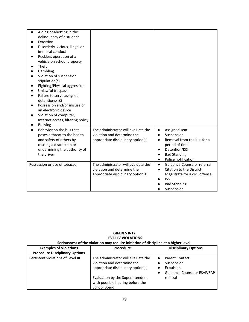| Aiding or abetting in the<br>delinquency of a student<br>Extortion<br>Disorderly, vicious, illegal or<br>immoral conduct<br>Reckless operation of a<br>vehicle on school property<br>Theft<br>Gambling<br>Violation of suspension<br>stipulation(s)<br>Fighting/Physical aggression<br>Unlawful trespass<br>Failure to serve assigned<br>detentions/ISS<br>Possession and/or misuse of<br>an electronic device<br>Violation of computer,<br>Internet access, filtering policy<br><b>Bullying</b> |                                                                                                          |                                                                                                                                                                                   |
|--------------------------------------------------------------------------------------------------------------------------------------------------------------------------------------------------------------------------------------------------------------------------------------------------------------------------------------------------------------------------------------------------------------------------------------------------------------------------------------------------|----------------------------------------------------------------------------------------------------------|-----------------------------------------------------------------------------------------------------------------------------------------------------------------------------------|
| Behavior on the bus that<br>$\bullet$<br>poses a threat to the health<br>and safety of others by<br>causing a distraction or<br>undermining the authority of<br>the driver                                                                                                                                                                                                                                                                                                                       | The administrator will evaluate the<br>violation and determine the<br>appropriate disciplinary option(s) | Assigned seat<br>$\bullet$<br>Suspension<br>$\bullet$<br>Removal from the bus for a<br>period of time<br>Detention/ISS<br><b>Bad Standing</b><br>Police notification<br>$\bullet$ |
| Possession or use of tobacco                                                                                                                                                                                                                                                                                                                                                                                                                                                                     | The administrator will evaluate the<br>violation and determine the<br>appropriate disciplinary option(s) | Guidance Counselor referral<br>$\bullet$<br>Citation to the District<br>$\bullet$<br>Magistrate for a civil offense<br><b>ISS</b><br><b>Bad Standing</b><br>Suspension            |

## **GRADES K-12 LEVEL IV VIOLATIONS Seriousness of the violation may require initiation of discipline at a higher level.**

| <b>Examples of Violations</b><br><b>Procedure Disciplinary Options</b> | Procedure                                                                                                | <b>Disciplinary Options</b>                                                     |
|------------------------------------------------------------------------|----------------------------------------------------------------------------------------------------------|---------------------------------------------------------------------------------|
|                                                                        |                                                                                                          |                                                                                 |
| Persistent violations of Level III                                     | The administrator will evaluate the<br>violation and determine the<br>appropriate disciplinary option(s) | <b>Parent Contact</b><br>Suspension<br>Expulsion<br>Guidance Counselor ESAP/SAP |
|                                                                        | Evaluation by the Superintendent<br>with possible hearing before the<br>School Board                     | referral                                                                        |